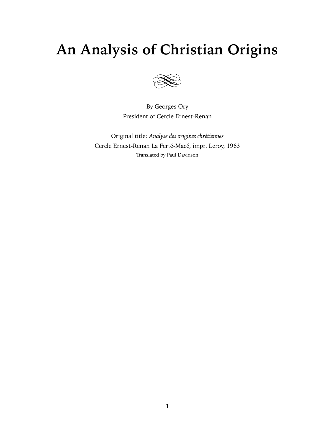# **An Analysis of Christian Origins**



By Georges Ory President of Cercle Ernest-Renan

Original title: *Analyse des origines chrétiennes* Cercle Ernest-Renan La Ferté-Macé, impr. Leroy, 1963 Translated by Paul Davidson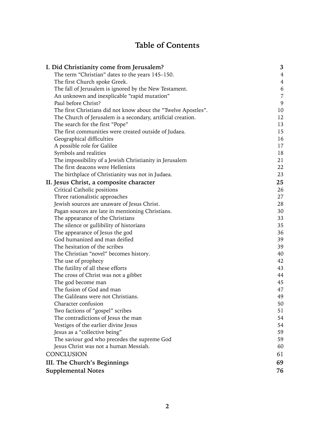## **Table of Contents**

| I. Did Christianity come from Jerusalem?                       | 3              |
|----------------------------------------------------------------|----------------|
| The term "Christian" dates to the years 145–150.               | 4              |
| The first Church spoke Greek.                                  | $\overline{4}$ |
| The fall of Jerusalem is ignored by the New Testament.         | 6              |
| An unknown and inexplicable "rapid mutation"                   | $\overline{7}$ |
| Paul before Christ?                                            | 9              |
| The first Christians did not know about the "Twelve Apostles". | 10             |
| The Church of Jerusalem is a secondary, artificial creation.   | 12             |
| The search for the first "Pope"                                | 13             |
| The first communities were created outside of Judaea.          | 15             |
| Geographical difficulties                                      | 16             |
| A possible role for Galilee                                    | 17             |
| Symbols and realities                                          | 18             |
| The impossibility of a Jewish Christianity in Jerusalem        | 21             |
| The first deacons were Hellenists                              | 22             |
| The birthplace of Christianity was not in Judaea.              | 23             |
| II. Jesus Christ, a composite character                        | 25             |
| Critical Catholic positions                                    | 26             |
| Three rationalistic approaches                                 | 27             |
| Jewish sources are unaware of Jesus Christ.                    | 28             |
| Pagan sources are late in mentioning Christians.               | 30             |
| The appearance of the Christians                               | 33             |
| The silence or gullibility of historians                       | 35             |
| The appearance of Jesus the god                                | 36             |
| God humanized and man deified                                  | 39             |
| The hesitation of the scribes                                  | 39             |
| The Christian "novel" becomes history.                         | 40             |
| The use of prophecy                                            | 42             |
| The futility of all these efforts                              | 43             |
| The cross of Christ was not a gibbet                           | 44             |
| The god become man                                             | 45             |
| The fusion of God and man                                      | 47             |
| The Galileans were not Christians.                             | 49             |
| Character confusion                                            | 50             |
| Two factions of "gospel" scribes                               | 51             |
| The contradictions of Jesus the man                            | 54             |
| Vestiges of the earlier divine Jesus                           | 54             |
| Jesus as a "collective being"                                  | 59             |
| The saviour god who precedes the supreme God                   | 59             |
| Jesus Christ was not a human Messiah.                          | 60             |
| CONCLUSION                                                     | 61             |
| III. The Church's Beginnings                                   | 69             |
| <b>Supplemental Notes</b>                                      | 76             |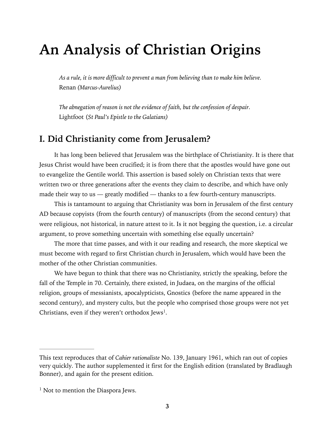## **An Analysis of Christian Origins**

*As a rule, it is more difficult to prevent a man from believing than to make him believe.*  Renan *(Marcus-Aurelius)* 

*The abnegation of reason is not the evidence of faith, but the confession of despair.* Lightfoot (*St Paul's Epistle to the Galatians)* 

## **I. Did Christianity come from Jerusalem?**

It has long been believed that Jerusalem was the birthplace of Christianity. It is there that Jesus Christ would have been crucified; it is from there that the apostles would have gone out to evangelize the Gentile world. This assertion is based solely on Christian texts that were written two or three generations after the events they claim to describe, and which have only made their way to us — greatly modified — thanks to a few fourth-century manuscripts.

This is tantamount to arguing that Christianity was born in Jerusalem of the first century AD because copyists (from the fourth century) of manuscripts (from the second century) that were religious, not historical, in nature attest to it. Is it not begging the question, i.e. a circular argument, to prove something uncertain with something else equally uncertain?

The more that time passes, and with it our reading and research, the more skeptical we must become with regard to first Christian church in Jerusalem, which would have been the mother of the other Christian communities.

We have begun to think that there was no Christianity, strictly the speaking, before the fall of the Temple in 70. Certainly, there existed, in Judaea, on the margins of the official religion, groups of messianists, apocalypticists, Gnostics (before the name appeared in the second century), and mystery cults, but the people who comprised those groups were not yet Christians, even if they weren't orthodox Jews<sup>1</sup>.

This text reproduces that of *Cahier rationaliste* No. 139, January 1961, which ran out of copies very quickly. The author supplemented it first for the English edition (translated by Bradlaugh Bonner), and again for the present edition.

 $<sup>1</sup>$  Not to mention the Diaspora Jews.</sup>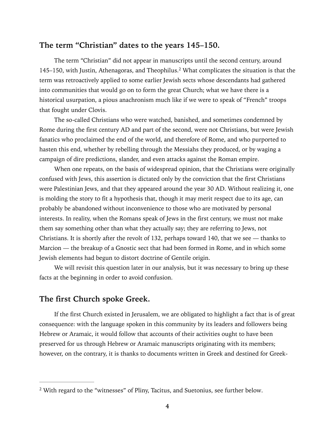#### **The term "Christian" dates to the years 145–150.**

The term "Christian" did not appear in manuscripts until the second century, around 145–150, with Justin, Athenagoras, and Theophilus.<sup>2</sup> What complicates the situation is that the term was retroactively applied to some earlier Jewish sects whose descendants had gathered into communities that would go on to form the great Church; what we have there is a historical usurpation, a pious anachronism much like if we were to speak of "French" troops that fought under Clovis.

The so-called Christians who were watched, banished, and sometimes condemned by Rome during the first century AD and part of the second, were not Christians, but were Jewish fanatics who proclaimed the end of the world, and therefore of Rome, and who purported to hasten this end, whether by rebelling through the Messiahs they produced, or by waging a campaign of dire predictions, slander, and even attacks against the Roman empire.

When one repeats, on the basis of widespread opinion, that the Christians were originally confused with Jews, this assertion is dictated only by the conviction that the first Christians were Palestinian Jews, and that they appeared around the year 30 AD. Without realizing it, one is molding the story to fit a hypothesis that, though it may merit respect due to its age, can probably be abandoned without inconvenience to those who are motivated by personal interests. In reality, when the Romans speak of Jews in the first century, we must not make them say something other than what they actually say; they are referring to Jews, not Christians. It is shortly after the revolt of 132, perhaps toward 140, that we see — thanks to Marcion — the breakup of a Gnostic sect that had been formed in Rome, and in which some Jewish elements had begun to distort doctrine of Gentile origin.

We will revisit this question later in our analysis, but it was necessary to bring up these facts at the beginning in order to avoid confusion.

#### **The first Church spoke Greek.**

If the first Church existed in Jerusalem, we are obligated to highlight a fact that is of great consequence: with the language spoken in this community by its leaders and followers being Hebrew or Aramaic, it would follow that accounts of their activities ought to have been preserved for us through Hebrew or Aramaic manuscripts originating with its members; however, on the contrary, it is thanks to documents written in Greek and destined for Greek-

<sup>&</sup>lt;sup>2</sup> With regard to the "witnesses" of Pliny, Tacitus, and Suetonius, see further below.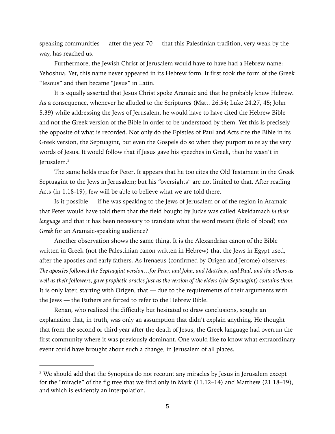speaking communities — after the year  $70$  — that this Palestinian tradition, very weak by the way, has reached us.

Furthermore, the Jewish Christ of Jerusalem would have to have had a Hebrew name: Yehoshua. Yet, this name never appeared in its Hebrew form. It first took the form of the Greek "Iesous" and then became "Jesus" in Latin.

It is equally asserted that Jesus Christ spoke Aramaic and that he probably knew Hebrew. As a consequence, whenever he alluded to the Scriptures (Matt. 26.54; Luke 24.27, 45; John 5.39) while addressing the Jews of Jerusalem, he would have to have cited the Hebrew Bible and not the Greek version of the Bible in order to be understood by them. Yet this is precisely the opposite of what is recorded. Not only do the Epistles of Paul and Acts cite the Bible in its Greek version, the Septuagint, but even the Gospels do so when they purport to relay the very words of Jesus. It would follow that if Jesus gave his speeches in Greek, then he wasn't in Jerusalem.3

The same holds true for Peter. It appears that he too cites the Old Testament in the Greek Septuagint to the Jews in Jerusalem; but his "oversights" are not limited to that. After reading Acts (in 1.18-19), few will be able to believe what we are told there.

Is it possible — if he was speaking to the Jews of Jerusalem or of the region in Aramaic that Peter would have told them that the field bought by Judas was called Akeldamach *in their language* and that it has been necessary to translate what the word meant (field of blood) *into Greek* for an Aramaic-speaking audience?

Another observation shows the same thing. It is the Alexandrian canon of the Bible written in Greek (not the Palestinian canon written in Hebrew) that the Jews in Egypt used, after the apostles and early fathers. As Irenaeus (confirmed by Origen and Jerome) observes: *The apostles followed the Septuagint version…for Peter, and John, and Matthew, and Paul, and the others as well as their followers, gave prophetic oracles just as the version of the elders (the Septuagint) contains them.* It is only later, starting with Origen, that — due to the requirements of their arguments with the Jews — the Fathers are forced to refer to the Hebrew Bible.

Renan, who realized the difficulty but hesitated to draw conclusions, sought an explanation that, in truth, was only an assumption that didn't explain anything. He thought that from the second or third year after the death of Jesus, the Greek language had overrun the first community where it was previously dominant. One would like to know what extraordinary event could have brought about such a change, in Jerusalem of all places.

<sup>&</sup>lt;sup>3</sup> We should add that the Synoptics do not recount any miracles by Jesus in Jerusalem except for the "miracle" of the fig tree that we find only in Mark (11.12–14) and Matthew (21.18–19), and which is evidently an interpolation.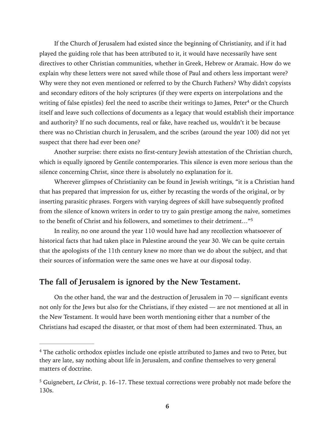If the Church of Jerusalem had existed since the beginning of Christianity, and if it had played the guiding role that has been attributed to it, it would have necessarily have sent directives to other Christian communities, whether in Greek, Hebrew or Aramaic. How do we explain why these letters were not saved while those of Paul and others less important were? Why were they not even mentioned or referred to by the Church Fathers? Why didn't copyists and secondary editors of the holy scriptures (if they were experts on interpolations and the writing of false epistles) feel the need to ascribe their writings to James, Peter<sup>4</sup> or the Church itself and leave such collections of documents as a legacy that would establish their importance and authority? If no such documents, real or fake, have reached us, wouldn't it be because there was no Christian church in Jerusalem, and the scribes (around the year 100) did not yet suspect that there had ever been one?

Another surprise: there exists no first-century Jewish attestation of the Christian church, which is equally ignored by Gentile contemporaries. This silence is even more serious than the silence concerning Christ, since there is absolutely no explanation for it.

Wherever glimpses of Christianity can be found in Jewish writings, "it is a Christian hand that has prepared that impression for us, either by recasting the words of the original, or by inserting parasitic phrases. Forgers with varying degrees of skill have subsequently profited from the silence of known writers in order to try to gain prestige among the naive, sometimes to the benefit of Christ and his followers, and sometimes to their detriment…"5

In reality, no one around the year 110 would have had any recollection whatsoever of historical facts that had taken place in Palestine around the year 30. We can be quite certain that the apologists of the 11th century knew no more than we do about the subject, and that their sources of information were the same ones we have at our disposal today.

#### **The fall of Jerusalem is ignored by the New Testament.**

On the other hand, the war and the destruction of Jerusalem in  $70 -$  significant events not only for the Jews but also for the Christians, if they existed — are not mentioned at all in the New Testament. It would have been worth mentioning either that a number of the Christians had escaped the disaster, or that most of them had been exterminated. Thus, an

<sup>&</sup>lt;sup>4</sup> The catholic orthodox epistles include one epistle attributed to James and two to Peter, but they are late, say nothing about life in Jerusalem, and confine themselves to very general matters of doctrine.

<sup>&</sup>lt;sup>5</sup> Guignebert, *Le Christ*, p. 16–17. These textual corrections were probably not made before the 130s.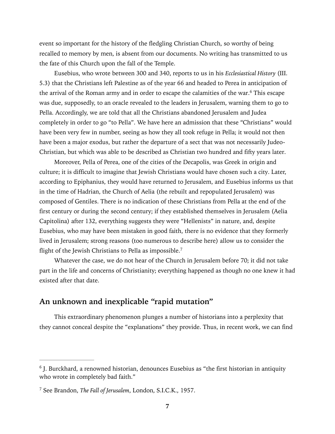event so important for the history of the fledgling Christian Church, so worthy of being recalled to memory by men, is absent from our documents. No writing has transmitted to us the fate of this Church upon the fall of the Temple.

Eusebius, who wrote between 300 and 340, reports to us in his *Ecclesiastical History* (III. 5.3) that the Christians left Palestine as of the year 66 and headed to Perea in anticipation of the arrival of the Roman army and in order to escape the calamities of the war.<sup>6</sup> This escape was due, supposedly, to an oracle revealed to the leaders in Jerusalem, warning them to go to Pella. Accordingly, we are told that all the Christians abandoned Jerusalem and Judea completely in order to go "to Pella". We have here an admission that these "Christians" would have been very few in number, seeing as how they all took refuge in Pella; it would not then have been a major exodus, but rather the departure of a sect that was not necessarily Judeo-Christian, but which was able to be described as Christian two hundred and fifty years later.

Moreover, Pella of Perea, one of the cities of the Decapolis, was Greek in origin and culture; it is difficult to imagine that Jewish Christians would have chosen such a city. Later, according to Epiphanius, they would have returned to Jerusalem, and Eusebius informs us that in the time of Hadrian, the Church of Aelia (the rebuilt and repopulated Jerusalem) was composed of Gentiles. There is no indication of these Christians from Pella at the end of the first century or during the second century; if they established themselves in Jerusalem (Aelia Capitolina) after 132, everything suggests they were "Hellenists" in nature, and, despite Eusebius, who may have been mistaken in good faith, there is no evidence that they formerly lived in Jerusalem; strong reasons (too numerous to describe here) allow us to consider the flight of the Jewish Christians to Pella as impossible.<sup>7</sup>

Whatever the case, we do not hear of the Church in Jerusalem before 70; it did not take part in the life and concerns of Christianity; everything happened as though no one knew it had existed after that date.

#### **An unknown and inexplicable "rapid mutation"**

This extraordinary phenomenon plunges a number of historians into a perplexity that they cannot conceal despite the "explanations" they provide. Thus, in recent work, we can find

 $6$  J. Burckhard, a renowned historian, denounces Eusebius as "the first historian in antiquity who wrote in completely bad faith."

<sup>&</sup>lt;sup>7</sup> See Brandon, *The Fall of Jerusalem*, London, S.I.C.K., 1957.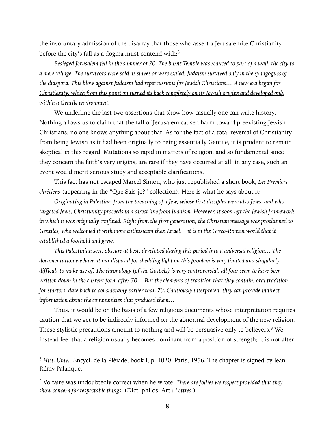the involuntary admission of the disarray that those who assert a Jerusalemite Christianity before the city's fall as a dogma must contend with:<sup>8</sup>

*Besieged Jerusalem fell in the summer of 70. The burnt Temple was reduced to part of a wall, the city to a mere village. The survivors were sold as slaves or were exiled; Judaism survived only in the synagogues of the diaspora. This blow against Judaism had repercussions for Jewish Christians… A new era began for Christianity, which from this point on turned its back completely on its Jewish origins and developed only within a Gentile environment.*

We underline the last two assertions that show how casually one can write history. Nothing allows us to claim that the fall of Jerusalem caused harm toward preexisting Jewish Christians; no one knows anything about that. As for the fact of a total reversal of Christianity from being Jewish as it had been originally to being essentially Gentile, it is prudent to remain skeptical in this regard. Mutations so rapid in matters of religion, and so fundamental since they concern the faith's very origins, are rare if they have occurred at all; in any case, such an event would merit serious study and acceptable clarifications.

This fact has not escaped Marcel Simon, who just republished a short book, *Les Premiers chrétiens* (appearing in the "Que Sais-je?" collection). Here is what he says about it:

*Originating in Palestine, from the preaching of a Jew, whose first disciples were also Jews, and who targeted Jews, Christianity proceeds in a direct line from Judaism. However, it soon left the Jewish framework in which it was originally confined. Right from the first generation, the Christian message was proclaimed to Gentiles, who welcomed it with more enthusiasm than Israel… it is in the Greco-Roman world that it established a foothold and grew…* 

*This Palestinian sect, obscure at best, developed during this period into a universal religion… The documentation we have at our disposal for shedding light on this problem is very limited and singularly difficult to make use of. The chronology (of the Gospels) is very controversial; all four seem to have been written down in the current form after 70… But the elements of tradition that they contain, oral tradition for starters, date back to considerably earlier than 70. Cautiously interpreted, they can provide indirect information about the communities that produced them…* 

Thus, it would be on the basis of a few religious documents whose interpretation requires caution that we get to be indirectly informed on the abnormal development of the new religion. These stylistic precautions amount to nothing and will be persuasive only to believers.<sup>9</sup> We instead feel that a religion usually becomes dominant from a position of strength; it is not after

<sup>&</sup>lt;sup>8</sup> Hist. Univ., Encycl. de la Pléiade, book I, p. 1020. Paris, 1956. The chapter is signed by Jean-Rémy Palanque.

Voltaire was undoubtedly correct when he wrote: *There are follies we respect provided that they* <sup>9</sup> *show concern for respectable things.* (Dict. philos. Art.: *Lettres*.)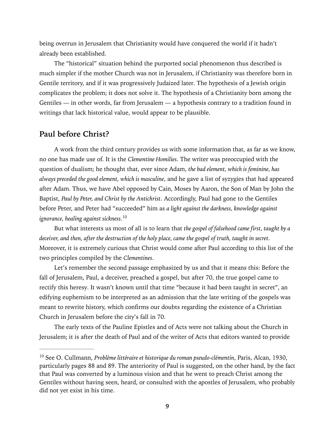being overrun in Jerusalem that Christianity would have conquered the world if it hadn't already been established.

The "historical" situation behind the purported social phenomenon thus described is much simpler if the mother Church was not in Jerusalem, if Christianity was therefore born in Gentile territory, and if it was progressively Judaized later. The hypothesis of a Jewish origin complicates the problem; it does not solve it. The hypothesis of a Christianity born among the Gentiles — in other words, far from Jerusalem — a hypothesis contrary to a tradition found in writings that lack historical value, would appear to be plausible.

#### **Paul before Christ?**

A work from the third century provides us with some information that, as far as we know, no one has made use of. It is the *Clementine Homilies*. The writer was preoccupied with the question of dualism; he thought that, ever since Adam, *the bad element, which is feminine, has always preceded the good element, which is masculine*, and he gave a list of syzygies that had appeared after Adam. Thus, we have Abel opposed by Cain, Moses by Aaron, the Son of Man by John the Baptist, *Paul by Peter, and Christ by the Antichrist*. Accordingly, Paul had gone to the Gentiles before Peter, and Peter had "succeeded" him as *a light against the darkness, knowledge against ignorance, healing against sickness*. 10

But what interests us most of all is to learn that *the gospel of falsehood came first, taught by a deceiver, and then, after the destruction of the holy place, came the gospel of truth, taught in secret*. Moreover, it is extremely curious that Christ would come after Paul according to this list of the two principles compiled by the *Clementines*.

Let's remember the second passage emphasized by us and that it means this: Before the fall of Jerusalem, Paul, a deceiver, preached a gospel, but after 70, the true gospel came to rectify this heresy. It wasn't known until that time "because it had been taught in secret", an edifying euphemism to be interpreted as an admission that the late writing of the gospels was meant to rewrite history, which confirms our doubts regarding the existence of a Christian Church in Jerusalem before the city's fall in 70.

The early texts of the Pauline Epistles and of Acts were not talking about the Church in Jerusalem; it is after the death of Paul and of the writer of Acts that editors wanted to provide

<sup>&</sup>lt;sup>10</sup> See O. Cullmann, *Problème littéraire et historique du roman pseudo-clémentin*, Paris, Alcan, 1930, particularly pages 88 and 89. The anteriority of Paul is suggested, on the other hand, by the fact that Paul was converted by a luminous vision and that he went to preach Christ among the Gentiles without having seen, heard, or consulted with the apostles of Jerusalem, who probably did not yet exist in his time.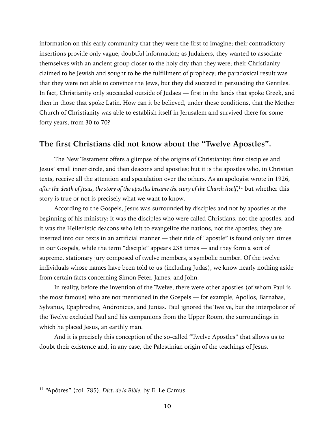information on this early community that they were the first to imagine; their contradictory insertions provide only vague, doubtful information; as Judaizers, they wanted to associate themselves with an ancient group closer to the holy city than they were; their Christianity claimed to be Jewish and sought to be the fulfillment of prophecy; the paradoxical result was that they were not able to convince the Jews, but they did succeed in persuading the Gentiles. In fact, Christianity only succeeded outside of Judaea — first in the lands that spoke Greek, and then in those that spoke Latin. How can it be believed, under these conditions, that the Mother Church of Christianity was able to establish itself in Jerusalem and survived there for some forty years, from 30 to 70?

#### **The first Christians did not know about the "Twelve Apostles".**

The New Testament offers a glimpse of the origins of Christianity: first disciples and Jesus' small inner circle, and then deacons and apostles; but it is the apostles who, in Christian texts, receive all the attention and speculation over the others. As an apologist wrote in 1926, *after the death of Jesus, the story of the apostles became the story of the Church itself*,<sup>11</sup> but whether this story is true or not is precisely what we want to know.

According to the Gospels, Jesus was surrounded by disciples and not by apostles at the beginning of his ministry: it was the disciples who were called Christians, not the apostles, and it was the Hellenistic deacons who left to evangelize the nations, not the apostles; they are inserted into our texts in an artificial manner — their title of "apostle" is found only ten times in our Gospels, while the term "disciple" appears 238 times — and they form a sort of supreme, stationary jury composed of twelve members, a symbolic number. Of the twelve individuals whose names have been told to us (including Judas), we know nearly nothing aside from certain facts concerning Simon Peter, James, and John.

In reality, before the invention of the Twelve, there were other apostles (of whom Paul is the most famous) who are not mentioned in the Gospels — for example, Apollos, Barnabas, Sylvanus, Epaphrodite, Andronicus, and Junias. Paul ignored the Twelve, but the interpolator of the Twelve excluded Paul and his companions from the Upper Room, the surroundings in which he placed Jesus, an earthly man.

And it is precisely this conception of the so-called "Twelve Apostles" that allows us to doubt their existence and, in any case, the Palestinian origin of the teachings of Jesus.

<sup>&</sup>lt;sup>11</sup> "Apôtres" (col. 785), *Dict. de la Bible*, by E. Le Camus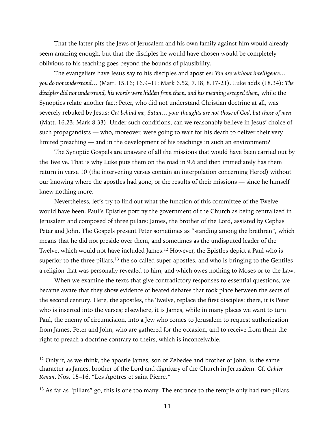That the latter pits the Jews of Jerusalem and his own family against him would already seem amazing enough, but that the disciples he would have chosen would be completely oblivious to his teaching goes beyond the bounds of plausibility.

The evangelists have Jesus say to his disciples and apostles: *You are without intelligence… you do not understand…* (Matt. 15.16; 16.9–11; Mark 6.52, 7.18, 8.17-21). Luke adds (18.34): *The disciples did not understand, his words were hidden from them, and his meaning escaped them*, while the Synoptics relate another fact: Peter, who did not understand Christian doctrine at all, was severely rebuked by Jesus: *Get behind me, Satan… your thoughts are not those of God, but those of men* (Matt. 16.23; Mark 8.33). Under such conditions, can we reasonably believe in Jesus' choice of such propagandists — who, moreover, were going to wait for his death to deliver their very limited preaching — and in the development of his teachings in such an environment?

The Synoptic Gospels are unaware of all the missions that would have been carried out by the Twelve. That is why Luke puts them on the road in 9.6 and then immediately has them return in verse 10 (the intervening verses contain an interpolation concerning Herod) without our knowing where the apostles had gone, or the results of their missions — since he himself knew nothing more.

Nevertheless, let's try to find out what the function of this committee of the Twelve would have been. Paul's Epistles portray the government of the Church as being centralized in Jerusalem and composed of three pillars: James, the brother of the Lord, assisted by Cephas Peter and John. The Gospels present Peter sometimes as "standing among the brethren", which means that he did not preside over them, and sometimes as the undisputed leader of the Twelve, which would not have included James.<sup>12</sup> However, the Epistles depict a Paul who is superior to the three pillars,  $13$  the so-called super-apostles, and who is bringing to the Gentiles a religion that was personally revealed to him, and which owes nothing to Moses or to the Law.

When we examine the texts that give contradictory responses to essential questions, we became aware that they show evidence of heated debates that took place between the sects of the second century. Here, the apostles, the Twelve, replace the first disciples; there, it is Peter who is inserted into the verses; elsewhere, it is James, while in many places we want to turn Paul, the enemy of circumcision, into a Jew who comes to Jerusalem to request authorization from James, Peter and John, who are gathered for the occasion, and to receive from them the right to preach a doctrine contrary to theirs, which is inconceivable.

 $12$  Only if, as we think, the apostle James, son of Zebedee and brother of John, is the same character as James, brother of the Lord and dignitary of the Church in Jerusalem. Cf. *Cahier Renan*, Nos. 15–16, "Les Apôtres et saint Pierre*."*

 $13$  As far as "pillars" go, this is one too many. The entrance to the temple only had two pillars.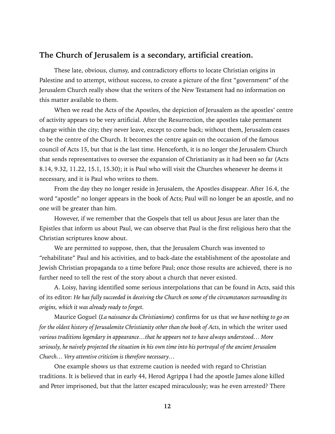#### **The Church of Jerusalem is a secondary, artificial creation.**

These late, obvious, clumsy, and contradictory efforts to locate Christian origins in Palestine and to attempt, without success, to create a picture of the first "government" of the Jerusalem Church really show that the writers of the New Testament had no information on this matter available to them.

When we read the Acts of the Apostles, the depiction of Jerusalem as the apostles' centre of activity appears to be very artificial. After the Resurrection, the apostles take permanent charge within the city; they never leave, except to come back; without them, Jerusalem ceases to be the centre of the Church. It becomes the centre again on the occasion of the famous council of Acts 15, but that is the last time. Henceforth, it is no longer the Jerusalem Church that sends representatives to oversee the expansion of Christianity as it had been so far (Acts 8.14, 9.32, 11.22, 15.1, 15.30); it is Paul who will visit the Churches whenever he deems it necessary, and it is Paul who writes to them.

From the day they no longer reside in Jerusalem, the Apostles disappear. After 16.4, the word "apostle" no longer appears in the book of Acts; Paul will no longer be an apostle, and no one will be greater than him.

However, if we remember that the Gospels that tell us about Jesus are later than the Epistles that inform us about Paul, we can observe that Paul is the first religious hero that the Christian scriptures know about.

We are permitted to suppose, then, that the Jerusalem Church was invented to "rehabilitate" Paul and his activities, and to back-date the establishment of the apostolate and Jewish Christian propaganda to a time before Paul; once those results are achieved, there is no further need to tell the rest of the story about a church that never existed.

A. Loisy, having identified some serious interpolations that can be found in Acts, said this of its editor: *He has fully succeeded in deceiving the Church on some of the circumstances surrounding its origins, which it was already ready to forget.*

Maurice Goguel (*La naissance du Christianisme*) confirms for us that *we have nothing to go on for the oldest history of Jerusalemite Christianity other than the book of Acts,* in which the writer used *various traditions legendary in appearance…that he appears not to have always understood… More seriously, he naively projected the situation in his own time into his portrayal of the ancient Jerusalem Church… Very attentive criticism is therefore necessary…*

One example shows us that extreme caution is needed with regard to Christian traditions. It is believed that in early 44, Herod Agrippa I had the apostle James alone killed and Peter imprisoned, but that the latter escaped miraculously; was he even arrested? There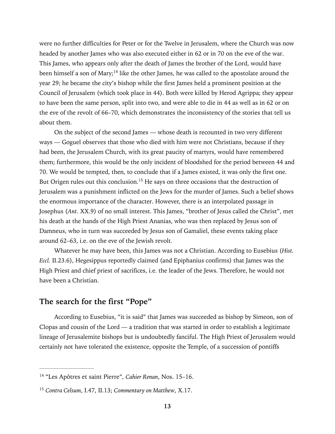were no further difficulties for Peter or for the Twelve in Jerusalem, where the Church was now headed by another James who was also executed either in 62 or in 70 on the eve of the war. This James, who appears only after the death of James the brother of the Lord, would have been himself a son of Mary;<sup>14</sup> like the other James, he was called to the apostolate around the year 29; he became the city's bishop while the first James held a prominent position at the Council of Jerusalem (which took place in 44). Both were killed by Herod Agrippa; they appear to have been the same person, split into two, and were able to die in 44 as well as in 62 or on the eve of the revolt of 66–70, which demonstrates the inconsistency of the stories that tell us about them.

On the subject of the second James — whose death is recounted in two very different ways — Goguel observes that those who died with him were not Christians, because if they had been, the Jerusalem Church, with its great paucity of martyrs, would have remembered them; furthermore, this would be the only incident of bloodshed for the period between 44 and 70. We would be tempted, then, to conclude that if a James existed, it was only the first one. But Origen rules out this conclusion.<sup>15</sup> He says on three occasions that the destruction of Jerusalem was a punishment inflicted on the Jews for the murder of James. Such a belief shows the enormous importance of the character. However, there is an interpolated passage in Josephus (*Ant*. XX.9) of no small interest. This James, "brother of Jesus called the Christ", met his death at the hands of the High Priest Ananias, who was then replaced by Jesus son of Damneus, who in turn was succeeded by Jesus son of Gamaliel, these events taking place around 62–63, i.e. on the eve of the Jewish revolt.

Whatever he may have been, this James was not a Christian. According to Eusebius (*Hist. Eccl.* II.23.6), Hegesippus reportedly claimed (and Epiphanius confirms) that James was the High Priest and chief priest of sacrifices, i.e. the leader of the Jews. Therefore, he would not have been a Christian.

#### **The search for the first "Pope"**

According to Eusebius, "it is said" that James was succeeded as bishop by Simeon, son of Clopas and cousin of the Lord  $-$  a tradition that was started in order to establish a legitimate lineage of Jerusalemite bishops but is undoubtedly fanciful. The High Priest of Jerusalem would certainly not have tolerated the existence, opposite the Temple, of a succession of pontiffs

<sup>&</sup>lt;sup>14</sup> "Les Apôtres et saint Pierre", *Cahier Renan*, Nos. 15-16.

<sup>&</sup>lt;sup>15</sup> Contra Celsum, I.47, II.13; *Commentary on Matthew*, X.17.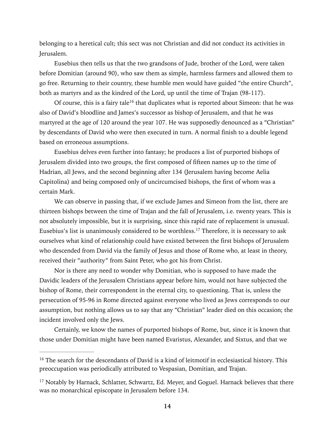belonging to a heretical cult; this sect was not Christian and did not conduct its activities in Jerusalem.

Eusebius then tells us that the two grandsons of Jude, brother of the Lord, were taken before Domitian (around 90), who saw them as simple, harmless farmers and allowed them to go free. Returning to their country, these humble men would have guided "the entire Church", both as martyrs and as the kindred of the Lord, up until the time of Trajan (98-117).

Of course, this is a fairy tale<sup>16</sup> that duplicates what is reported about Simeon: that he was also of David's bloodline and James's successor as bishop of Jerusalem, and that he was martyred at the age of 120 around the year 107. He was supposedly denounced as a "Christian" by descendants of David who were then executed in turn. A normal finish to a double legend based on erroneous assumptions.

Eusebius delves even further into fantasy; he produces a list of purported bishops of Jerusalem divided into two groups, the first composed of fifteen names up to the time of Hadrian, all Jews, and the second beginning after 134 (Jerusalem having become Aelia Capitolina) and being composed only of uncircumcised bishops, the first of whom was a certain Mark.

We can observe in passing that, if we exclude James and Simeon from the list, there are thirteen bishops between the time of Trajan and the fall of Jerusalem, i.e. twenty years. This is not absolutely impossible, but it is surprising, since this rapid rate of replacement is unusual. Eusebius's list is unanimously considered to be worthless.<sup>17</sup> Therefore, it is necessary to ask ourselves what kind of relationship could have existed between the first bishops of Jerusalem who descended from David via the family of Jesus and those of Rome who, at least in theory, received their "authority" from Saint Peter, who got his from Christ.

Nor is there any need to wonder why Domitian, who is supposed to have made the Davidic leaders of the Jerusalem Christians appear before him, would not have subjected the bishop of Rome, their correspondent in the eternal city, to questioning. That is, unless the persecution of 95-96 in Rome directed against everyone who lived as Jews corresponds to our assumption, but nothing allows us to say that any "Christian" leader died on this occasion; the incident involved only the Jews.

Certainly, we know the names of purported bishops of Rome, but, since it is known that those under Domitian might have been named Evaristus, Alexander, and Sixtus, and that we

 $16$  The search for the descendants of David is a kind of leitmotif in ecclesiastical history. This preoccupation was periodically attributed to Vespasian, Domitian, and Trajan.

<sup>&</sup>lt;sup>17</sup> Notably by Harnack, Schlatter, Schwartz, Ed. Meyer, and Goguel. Harnack believes that there was no monarchical episcopate in Jerusalem before 134.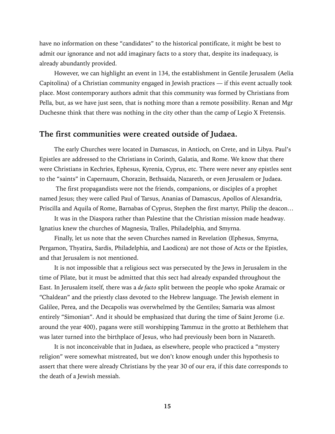have no information on these "candidates" to the historical pontificate, it might be best to admit our ignorance and not add imaginary facts to a story that, despite its inadequacy, is already abundantly provided.

However, we can highlight an event in 134, the establishment in Gentile Jerusalem (Aelia Capitolina) of a Christian community engaged in Jewish practices  $-$  if this event actually took place. Most contemporary authors admit that this community was formed by Christians from Pella, but, as we have just seen, that is nothing more than a remote possibility. Renan and Mgr Duchesne think that there was nothing in the city other than the camp of Legio X Fretensis.

#### **The first communities were created outside of Judaea.**

The early Churches were located in Damascus, in Antioch, on Crete, and in Libya. Paul's Epistles are addressed to the Christians in Corinth, Galatia, and Rome. We know that there were Christians in Kechries, Ephesus, Kyrenia, Cyprus, etc. There were never any epistles sent to the "saints" in Capernaum, Chorazin, Bethsaida, Nazareth, or even Jerusalem or Judaea.

 The first propagandists were not the friends, companions, or disciples of a prophet named Jesus; they were called Paul of Tarsus, Ananias of Damascus, Apollos of Alexandria, Priscilla and Aquila of Rome, Barnabas of Cyprus, Stephen the first martyr, Philip the deacon…

It was in the Diaspora rather than Palestine that the Christian mission made headway. Ignatius knew the churches of Magnesia, Tralles, Philadelphia, and Smyrna.

Finally, let us note that the seven Churches named in Revelation (Ephesus, Smyrna, Pergamon, Thyatira, Sardis, Philadelphia, and Laodicea) are not those of Acts or the Epistles, and that Jerusalem is not mentioned.

It is not impossible that a religious sect was persecuted by the Jews in Jerusalem in the time of Pilate, but it must be admitted that this sect had already expanded throughout the East. In Jerusalem itself, there was a *de facto* split between the people who spoke Aramaic or "Chaldean" and the priestly class devoted to the Hebrew language. The Jewish element in Galilee, Perea, and the Decapolis was overwhelmed by the Gentiles; Samaria was almost entirely "Simonian". And it should be emphasized that during the time of Saint Jerome (i.e. around the year 400), pagans were still worshipping Tammuz in the grotto at Bethlehem that was later turned into the birthplace of Jesus, who had previously been born in Nazareth.

It is not inconceivable that in Judaea, as elsewhere, people who practiced a "mystery religion" were somewhat mistreated, but we don't know enough under this hypothesis to assert that there were already Christians by the year 30 of our era, if this date corresponds to the death of a Jewish messiah.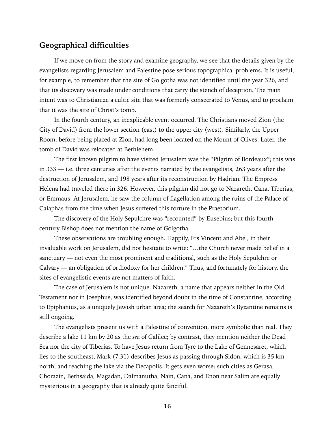#### **Geographical difficulties**

If we move on from the story and examine geography, we see that the details given by the evangelists regarding Jerusalem and Palestine pose serious topographical problems. It is useful, for example, to remember that the site of Golgotha was not identified until the year 326, and that its discovery was made under conditions that carry the stench of deception. The main intent was to Christianize a cultic site that was formerly consecrated to Venus, and to proclaim that it was the site of Christ's tomb.

In the fourth century, an inexplicable event occurred. The Christians moved Zion (the City of David) from the lower section (east) to the upper city (west). Similarly, the Upper Room, before being placed at Zion, had long been located on the Mount of Olives. Later, the tomb of David was relocated at Bethlehem.

The first known pilgrim to have visited Jerusalem was the "Pilgrim of Bordeaux"; this was in  $333$  — i.e. three centuries after the events narrated by the evangelists, 263 years after the destruction of Jerusalem, and 198 years after its reconstruction by Hadrian. The Empress Helena had traveled there in 326. However, this pilgrim did not go to Nazareth, Cana, Tiberias, or Emmaus. At Jerusalem, he saw the column of flagellation among the ruins of the Palace of Caiaphas from the time when Jesus suffered this torture in the Praetorium.

The discovery of the Holy Sepulchre was "recounted" by Eusebius; but this fourthcentury Bishop does not mention the name of Golgotha.

These observations are troubling enough. Happily, Frs Vincent and Abel, in their invaluable work on Jerusalem, did not hesitate to write: "…the Church never made belief in a sanctuary — not even the most prominent and traditional, such as the Holy Sepulchre or Calvary — an obligation of orthodoxy for her children." Thus, and fortunately for history, the sites of evangelistic events are not matters of faith.

The case of Jerusalem is not unique. Nazareth, a name that appears neither in the Old Testament nor in Josephus, was identified beyond doubt in the time of Constantine, according to Epiphanius, as a uniquely Jewish urban area; the search for Nazareth's Byzantine remains is still ongoing.

The evangelists present us with a Palestine of convention, more symbolic than real. They describe a lake 11 km by 20 as the *sea* of Galilee; by contrast, they mention neither the Dead Sea nor the city of Tiberias. To have Jesus return from Tyre to the Lake of Gennesaret, which lies to the southeast, Mark (7.31) describes Jesus as passing through Sidon, which is 35 km north, and reaching the lake via the Decapolis. It gets even worse: such cities as Gerasa, Chorazin, Bethsaida, Magadan, Dalmanutha, Nain, Cana, and Enon near Salim are equally mysterious in a geography that is already quite fanciful.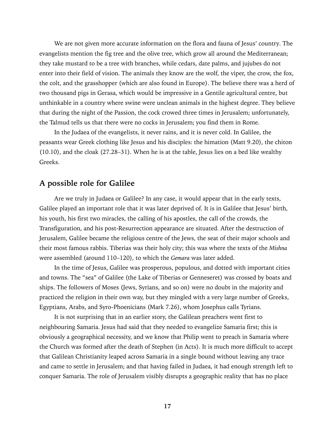We are not given more accurate information on the flora and fauna of Jesus' country. The evangelists mention the fig tree and the olive tree, which grow all around the Mediterranean; they take mustard to be a tree with branches, while cedars, date palms, and jujubes do not enter into their field of vision. The animals they know are the wolf, the viper, the crow, the fox, the colt, and the grasshopper (which are also found in Europe). The believe there was a herd of two thousand pigs in Gerasa, which would be impressive in a Gentile agricultural centre, but unthinkable in a country where swine were unclean animals in the highest degree. They believe that during the night of the Passion, the cock crowed three times in Jerusalem; unfortunately, the Talmud tells us that there were no cocks in Jerusalem; you find them in Rome.

In the Judaea of the evangelists, it never rains, and it is never cold. In Galilee, the peasants wear Greek clothing like Jesus and his disciples: the himation (Matt 9.20), the chiton (10.10), and the cloak (27.28–31). When he is at the table, Jesus lies on a bed like wealthy Greeks.

#### **A possible role for Galilee**

Are we truly in Judaea or Galilee? In any case, it would appear that in the early texts, Galilee played an important role that it was later deprived of. It is in Galilee that Jesus' birth, his youth, his first two miracles, the calling of his apostles, the call of the crowds, the Transfiguration, and his post-Resurrection appearance are situated. After the destruction of Jerusalem, Galilee became the religious centre of the Jews, the seat of their major schools and their most famous rabbis. Tiberias was their holy city; this was where the texts of the *Mishna* were assembled (around 110–120), to which the *Gemara* was later added.

In the time of Jesus, Galilee was prosperous, populous, and dotted with important cities and towns. The "sea" of Galilee (the Lake of Tiberias or Genneseret) was crossed by boats and ships. The followers of Moses (Jews, Syrians, and so on) were no doubt in the majority and practiced the religion in their own way, but they mingled with a very large number of Greeks, Egyptians, Arabs, and Syro-Phoenicians (Mark 7.26), whom Josephus calls Tyrians.

It is not surprising that in an earlier story, the Galilean preachers went first to neighbouring Samaria. Jesus had said that they needed to evangelize Samaria first; this is obviously a geographical necessity, and we know that Philip went to preach in Samaria where the Church was formed after the death of Stephen (in Acts). It is much more difficult to accept that Galilean Christianity leaped across Samaria in a single bound without leaving any trace and came to settle in Jerusalem; and that having failed in Judaea, it had enough strength left to conquer Samaria. The role of Jerusalem visibly disrupts a geographic reality that has no place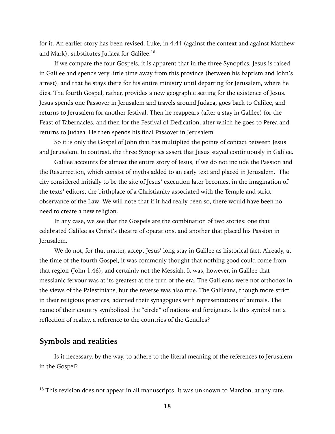for it. An earlier story has been revised. Luke, in 4.44 (against the context and against Matthew and Mark), substitutes Judaea for Galilee.<sup>18</sup>

If we compare the four Gospels, it is apparent that in the three Synoptics, Jesus is raised in Galilee and spends very little time away from this province (between his baptism and John's arrest), and that he stays there for his entire ministry until departing for Jerusalem, where he dies. The fourth Gospel, rather, provides a new geographic setting for the existence of Jesus. Jesus spends one Passover in Jerusalem and travels around Judaea, goes back to Galilee, and returns to Jerusalem for another festival. Then he reappears (after a stay in Galilee) for the Feast of Tabernacles, and then for the Festival of Dedication, after which he goes to Perea and returns to Judaea. He then spends his final Passover in Jerusalem.

So it is only the Gospel of John that has multiplied the points of contact between Jesus and Jerusalem. In contrast, the three Synoptics assert that Jesus stayed continuously in Galilee.

Galilee accounts for almost the entire story of Jesus, if we do not include the Passion and the Resurrection, which consist of myths added to an early text and placed in Jerusalem. The city considered initially to be the site of Jesus' execution later becomes, in the imagination of the texts' editors, the birthplace of a Christianity associated with the Temple and strict observance of the Law. We will note that if it had really been so, there would have been no need to create a new religion.

In any case, we see that the Gospels are the combination of two stories: one that celebrated Galilee as Christ's theatre of operations, and another that placed his Passion in Jerusalem.

We do not, for that matter, accept Jesus' long stay in Galilee as historical fact. Already, at the time of the fourth Gospel, it was commonly thought that nothing good could come from that region (John 1.46), and certainly not the Messiah. It was, however, in Galilee that messianic fervour was at its greatest at the turn of the era. The Galileans were not orthodox in the views of the Palestinians, but the reverse was also true. The Galileans, though more strict in their religious practices, adorned their synagogues with representations of animals. The name of their country symbolized the "circle" of nations and foreigners. Is this symbol not a reflection of reality, a reference to the countries of the Gentiles?

#### **Symbols and realities**

Is it necessary, by the way, to adhere to the literal meaning of the references to Jerusalem in the Gospel?

 $18$  This revision does not appear in all manuscripts. It was unknown to Marcion, at any rate.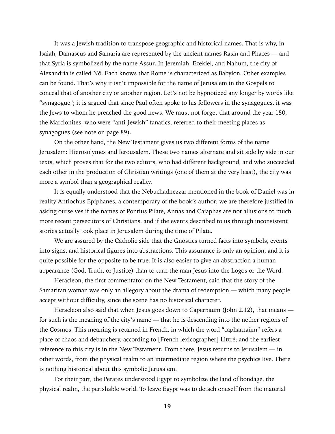It was a Jewish tradition to transpose geographic and historical names. That is why, in Isaiah, Damascus and Samaria are represented by the ancient names Rasin and Phaces — and that Syria is symbolized by the name Assur. In Jeremiah, Ezekiel, and Nahum, the city of Alexandria is called Nō. Each knows that Rome is characterized as Babylon. Other examples can be found. That's why it isn't impossible for the name of Jerusalem in the Gospels to conceal that of another city or another region. Let's not be hypnotized any longer by words like "synagogue"; it is argued that since Paul often spoke to his followers in the synagogues, it was the Jews to whom he preached the good news. We must not forget that around the year 150, the Marcionites, who were "anti-Jewish" fanatics, referred to their meeting places as synagogues (see note on page 89).

On the other hand, the New Testament gives us two different forms of the name Jerusalem: Hierosolymes and Ierousalem. These two names alternate and sit side by side in our texts, which proves that for the two editors, who had different background, and who succeeded each other in the production of Christian writings (one of them at the very least), the city was more a symbol than a geographical reality.

It is equally understood that the Nebuchadnezzar mentioned in the book of Daniel was in reality Antiochus Epiphanes, a contemporary of the book's author; we are therefore justified in asking ourselves if the names of Pontius Pilate, Annas and Caiaphas are not allusions to much more recent persecutors of Christians, and if the events described to us through inconsistent stories actually took place in Jerusalem during the time of Pilate.

We are assured by the Catholic side that the Gnostics turned facts into symbols, events into signs, and historical figures into abstractions. This assurance is only an opinion, and it is quite possible for the opposite to be true. It is also easier to give an abstraction a human appearance (God, Truth, or Justice) than to turn the man Jesus into the Logos or the Word.

Heracleon, the first commentator on the New Testament, said that the story of the Samaritan woman was only an allegory about the drama of redemption — which many people accept without difficulty, since the scene has no historical character.

Heracleon also said that when Jesus goes down to Capernaum (John 2.12), that means for such is the meaning of the city's name — that he is descending into the nether regions of the Cosmos. This meaning is retained in French, in which the word "capharnaüm" refers a place of chaos and debauchery, according to [French lexicographer] Littré; and the earliest reference to this city is in the New Testament. From there, Jesus returns to Jerusalem — in other words, from the physical realm to an intermediate region where the psychics live. There is nothing historical about this symbolic Jerusalem.

For their part, the Perates understood Egypt to symbolize the land of bondage, the physical realm, the perishable world. To leave Egypt was to detach oneself from the material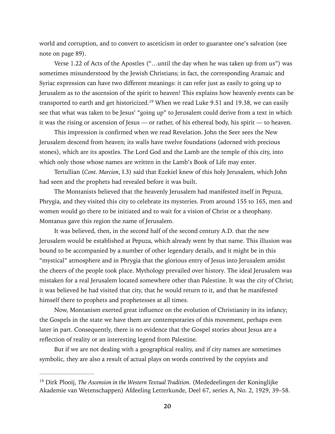world and corruption, and to convert to asceticism in order to guarantee one's salvation (see note on page 89).

Verse 1.22 of Acts of the Apostles ("…until the day when he was taken up from us") was sometimes misunderstood by the Jewish Christians; in fact, the corresponding Aramaic and Syriac expression can have two different meanings: it can refer just as easily to going up to Jerusalem as to the ascension of the spirit to heaven! This explains how heavenly events can be transported to earth and get historicized.<sup>19</sup> When we read Luke 9.51 and 19.38, we can easily see that what was taken to be Jesus' "going up" to Jerusalem could derive from a text in which it was the rising or ascension of Jesus — or rather, of his ethereal body, his spirit — to heaven.

This impression is confirmed when we read Revelation. John the Seer sees the New Jerusalem descend from heaven; its walls have twelve foundations (adorned with precious stones), which are its apostles. The Lord God and the Lamb are the temple of this city, into which only those whose names are written in the Lamb's Book of Life may enter.

Tertullian (*Cont. Marcion*, I.3) said that Ezekiel knew of this holy Jerusalem, which John had seen and the prophets had revealed before it was built.

The Montanists believed that the heavenly Jerusalem had manifested itself in Pepuza, Phrygia, and they visited this city to celebrate its mysteries. From around 155 to 165, men and women would go there to be initiated and to wait for a vision of Christ or a theophany. Montanus gave this region the name of Jerusalem.

It was believed, then, in the second half of the second century A.D. that the new Jerusalem would be established at Pepuza, which already went by that name. This illusion was bound to be accompanied by a number of other legendary details, and it might be in this "mystical" atmosphere and in Phrygia that the glorious entry of Jesus into Jerusalem amidst the cheers of the people took place. Mythology prevailed over history. The ideal Jerusalem was mistaken for a real Jerusalem located somewhere other than Palestine. It was the city of Christ; it was believed he had visited that city, that he would return to it, and that he manifested himself there to prophets and prophetesses at all times.

Now, Montanism exerted great influence on the evolution of Christianity in its infancy; the Gospels in the state we have them are contemporaries of this movement, perhaps even later in part. Consequently, there is no evidence that the Gospel stories about Jesus are a reflection of reality or an interesting legend from Palestine.

But if we are not dealing with a geographical reality, and if city names are sometimes symbolic, they are also a result of actual plays on words contrived by the copyists and

<sup>&</sup>lt;sup>19</sup> Dirk Plooij, *The Ascension in the Western Textual Tradition*. (Mededeelingen der Koninglijke Akademie van Wetenschappen) Afdeeling Letterkunde, Deel 67, series A, No. 2, 1929, 39–58.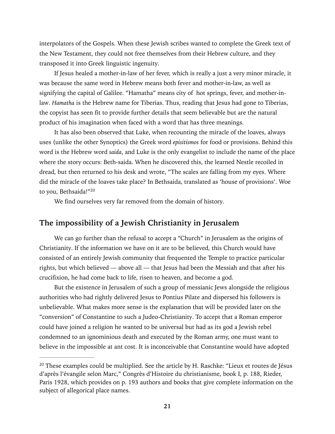interpolators of the Gospels. When these Jewish scribes wanted to complete the Greek text of the New Testament, they could not free themselves from their Hebrew culture, and they transposed it into Greek linguistic ingenuity.

If Jesus healed a mother-in-law of her fever, which is really a just a very minor miracle, it was because the same word in Hebrew means both fever and mother-in-law, as well as signifying the capital of Galilee. "Hamatha" means city of hot springs, fever, and mother-inlaw. *Hamatha* is the Hebrew name for Tiberias. Thus, reading that Jesus had gone to Tiberias, the copyist has seen fit to provide further details that seem believable but are the natural product of his imagination when faced with a word that has three meanings.

It has also been observed that Luke, when recounting the miracle of the loaves, always uses (unlike the other Synoptics) the Greek word *episitismos* for food or provisions. Behind this word is the Hebrew word *saida*, and Luke is the only evangelist to include the name of the place where the story occurs: Beth-saida. When he discovered this, the learned Nestle recoiled in dread, but then returned to his desk and wrote, "The scales are falling from my eyes. Where did the miracle of the loaves take place? In Bethsaida, translated as 'house of provisions'. Woe to you, Bethsaida!"20

We find ourselves very far removed from the domain of history.

#### **The impossibility of a Jewish Christianity in Jerusalem**

We can go further than the refusal to accept a "Church" in Jerusalem as the origins of Christianity. If the information we have on it are to be believed, this Church would have consisted of an entirely Jewish community that frequented the Temple to practice particular rights, but which believed — above all — that Jesus had been the Messiah and that after his crucifixion, he had come back to life, risen to heaven, and become a god.

But the existence in Jerusalem of such a group of messianic Jews alongside the religious authorities who had rightly delivered Jesus to Pontius Pilate and dispersed his followers is unbelievable. What makes more sense is the explanation that will be provided later on the "conversion" of Constantine to such a Judeo-Christianity. To accept that a Roman emperor could have joined a religion he wanted to be universal but had as its god a Jewish rebel condemned to an ignominious death and executed by the Roman army, one must want to believe in the impossible at ant cost. It is inconceivable that Constantine would have adopted

 $20$  These examples could be multiplied. See the article by H. Raschke: "Lieux et routes de Jésus d'après l'évangile selon Marc," Congrès d'Histoire du christianisme, book I, p. 188, Rieder, Paris 1928, which provides on p. 193 authors and books that give complete information on the subject of allegorical place names.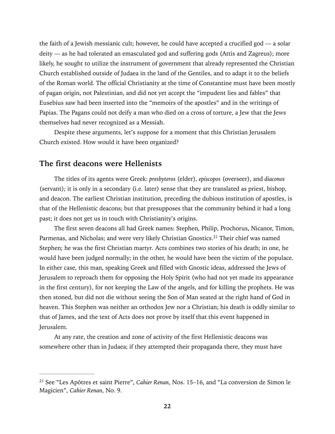the faith of a Jewish messianic cult; however, he could have accepted a crucified god  $-$  a solar deity — as he had tolerated an emasculated god and suffering gods (Attis and Zagreus); more likely, he sought to utilize the instrument of government that already represented the Christian Church established outside of Judaea in the land of the Gentiles, and to adapt it to the beliefs of the Roman world. The official Christianity at the time of Constantine must have been mostly of pagan origin, not Palestinian, and did not yet accept the "impudent lies and fables" that Eusebius saw had been inserted into the "memoirs of the apostles" and in the writings of Papias. The Pagans could not deify a man who died on a cross of torture, a Jew that the Jews themselves had never recognized as a Messiah.

Despite these arguments, let's suppose for a moment that this Christian Jerusalem Church existed. How would it have been organized?

#### **The first deacons were Hellenists**

The titles of its agents were Greek: *presbyteros* (elder), *episcopos* (overseer), and *diaconos* (servant); it is only in a secondary (i.e. later) sense that they are translated as priest, bishop, and deacon. The earliest Christian institution, preceding the dubious institution of apostles, is that of the Hellenistic deacons; but that presupposes that the community behind it had a long past; it does not get us in touch with Christianity's origins.

The first seven deacons all had Greek names: Stephen, Philip, Prochorus, Nicanor, Timon, Parmenas, and Nicholas; and were very likely Christian Gnostics.<sup>21</sup> Their chief was named Stephen; he was the first Christian martyr. Acts combines two stories of his death; in one, he would have been judged normally; in the other, he would have been the victim of the populace. In either case, this man, speaking Greek and filled with Gnostic ideas, addressed the Jews of Jerusalem to reproach them for opposing the Holy Spirit (who had not yet made its appearance in the first century), for not keeping the Law of the angels, and for killing the prophets. He was then stoned, but did not die without seeing the Son of Man seated at the right hand of God in heaven. This Stephen was neither an orthodox Jew nor a Christian; his death is oddly similar to that of James, and the text of Acts does not prove by itself that this event happened in Jerusalem.

At any rate, the creation and zone of activity of the first Hellenistic deacons was somewhere other than in Judaea; if they attempted their propaganda there, they must have

<sup>&</sup>lt;sup>21</sup> See "Les Apôtres et saint Pierre", *Cahier Renan*, Nos. 15–16, and "La conversion de Simon le Magicien", *Cahier Renan*, No. 9.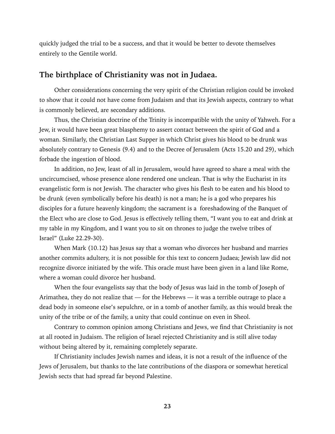quickly judged the trial to be a success, and that it would be better to devote themselves entirely to the Gentile world.

#### **The birthplace of Christianity was not in Judaea.**

Other considerations concerning the very spirit of the Christian religion could be invoked to show that it could not have come from Judaism and that its Jewish aspects, contrary to what is commonly believed, are secondary additions.

Thus, the Christian doctrine of the Trinity is incompatible with the unity of Yahweh. For a Jew, it would have been great blasphemy to assert contact between the spirit of God and a woman. Similarly, the Christian Last Supper in which Christ gives his blood to be drunk was absolutely contrary to Genesis (9.4) and to the Decree of Jerusalem (Acts 15.20 and 29), which forbade the ingestion of blood.

In addition, no Jew, least of all in Jerusalem, would have agreed to share a meal with the uncircumcised, whose presence alone rendered one unclean. That is why the Eucharist in its evangelistic form is not Jewish. The character who gives his flesh to be eaten and his blood to be drunk (even symbolically before his death) is not a man; he is a god who prepares his disciples for a future heavenly kingdom; the sacrament is a foreshadowing of the Banquet of the Elect who are close to God. Jesus is effectively telling them, "I want you to eat and drink at my table in my Kingdom, and I want you to sit on thrones to judge the twelve tribes of Israel" (Luke 22.29-30).

When Mark (10.12) has Jesus say that a woman who divorces her husband and marries another commits adultery, it is not possible for this text to concern Judaea; Jewish law did not recognize divorce initiated by the wife. This oracle must have been given in a land like Rome, where a woman could divorce her husband.

When the four evangelists say that the body of Jesus was laid in the tomb of Joseph of Arimathea, they do not realize that — for the Hebrews — it was a terrible outrage to place a dead body in someone else's sepulchre, or in a tomb of another family, as this would break the unity of the tribe or of the family, a unity that could continue on even in Sheol.

Contrary to common opinion among Christians and Jews, we find that Christianity is not at all rooted in Judaism. The religion of Israel rejected Christianity and is still alive today without being altered by it, remaining completely separate.

If Christianity includes Jewish names and ideas, it is not a result of the influence of the Jews of Jerusalem, but thanks to the late contributions of the diaspora or somewhat heretical Jewish sects that had spread far beyond Palestine.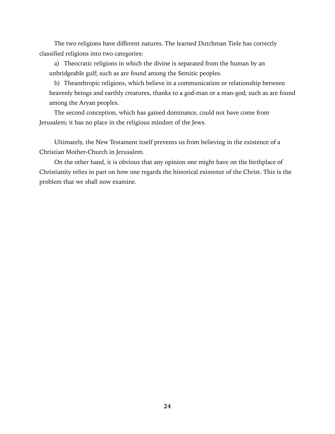The two religions have different natures. The learned Dutchman Tiele has correctly classified religions into two categories:

a) Theocratic religions in which the divine is separated from the human by an unbridgeable gulf; such as are found among the Semitic peoples.

b) Theanthropic religions, which believe in a communication or relationship between heavenly beings and earthly creatures, thanks to a god-man or a man-god; such as are found among the Aryan peoples.

The second conception, which has gained dominance, could not have come from Jerusalem; it has no place in the religious mindset of the Jews.

Ultimately, the New Testament itself prevents us from believing in the existence of a Christian Mother-Church in Jerusalem.

On the other hand, it is obvious that any opinion one might have on the birthplace of Christianity relies in part on how one regards the historical existence of the Christ. This is the problem that we shall now examine.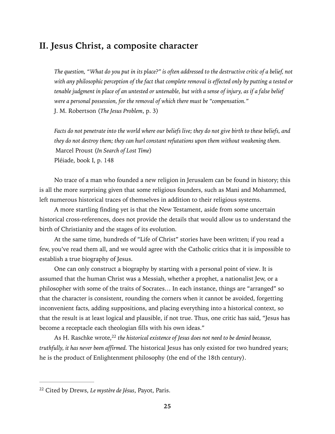### **II. Jesus Christ, a composite character**

*The question, "What do you put in its place?" is often addressed to the destructive critic of a belief, not with any philosophic perception of the fact that complete removal is effected only by putting a tested or tenable judgment in place of an untested or untenable, but with a sense of injury, as if a false belief were a personal possession, for the removal of which there must be "compensation."* J. M. Robertson (*The Jesus Problem*, p. 3)

*Facts do not penetrate into the world where our beliefs live; they do not give birth to these beliefs, and they do not destroy them; they can hurl constant refutations upon them without weakening them.*  Marcel Proust (*In Search of Lost Time*) Pléiade, book I, p. 148

No trace of a man who founded a new religion in Jerusalem can be found in history; this is all the more surprising given that some religious founders, such as Mani and Mohammed, left numerous historical traces of themselves in addition to their religious systems.

A more startling finding yet is that the New Testament, aside from some uncertain historical cross-references, does not provide the details that would allow us to understand the birth of Christianity and the stages of its evolution.

At the same time, hundreds of "Life of Christ" stories have been written; if you read a few, you've read them all, and we would agree with the Catholic critics that it is impossible to establish a true biography of Jesus.

One can only construct a biography by starting with a personal point of view. It is assumed that the human Christ was a Messiah, whether a prophet, a nationalist Jew, or a philosopher with some of the traits of Socrates… In each instance, things are "arranged" so that the character is consistent, rounding the corners when it cannot be avoided, forgetting inconvenient facts, adding suppositions, and placing everything into a historical context, so that the result is at least logical and plausible, if not true. Thus, one critic has said, "Jesus has become a receptacle each theologian fills with his own ideas."

As H. Raschke wrote,<sup>22</sup> the historical existence of Jesus does not need to be denied because, *truthfully, it has never been affirmed.* The historical Jesus has only existed for two hundred years; he is the product of Enlightenment philosophy (the end of the 18th century).

<sup>&</sup>lt;sup>22</sup> Cited by Drews, *Le mystère de Jésus*, Payot, Paris.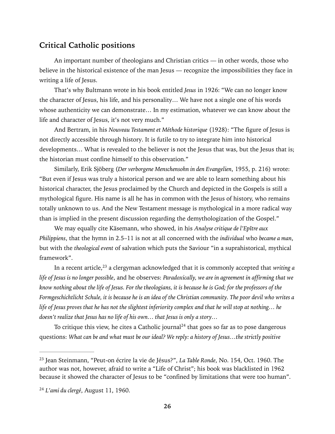#### **Critical Catholic positions**

An important number of theologians and Christian critics — in other words, those who believe in the historical existence of the man Jesus — recognize the impossibilities they face in writing a life of Jesus.

That's why Bultmann wrote in his book entitled *Jesus* in 1926: "We can no longer know the character of Jesus, his life, and his personality… We have not a single one of his words whose authenticity we can demonstrate… In my estimation, whatever we can know about the life and character of Jesus, it's not very much."

And Bertram, in his *Nouveau Testament et Méthode historique* (1928): "The figure of Jesus is not directly accessible through history. It is futile to try to integrate him into historical developments… What is revealed to the believer is not the Jesus that was, but the Jesus that is; the historian must confine himself to this observation."

Similarly, Erik Sjöberg (*Der verborgene Menschensohn in den Evangelien*, 1955, p. 216) wrote: "But even if Jesus was truly a historical person and we are able to learn something about his historical character, the Jesus proclaimed by the Church and depicted in the Gospels is still a mythological figure. His name is all he has in common with the Jesus of history, who remains totally unknown to us. And the New Testament message is mythological in a more radical way than is implied in the present discussion regarding the demythologization of the Gospel."

We may equally cite Käsemann, who showed, in his *Analyse critique de l'Epître aux Philippiens*, that the hymn in 2.5–11 is not at all concerned with the *individual* who *became a man*, but with the *theological event* of salvation which puts the Saviour "in a suprahistorical, mythical framework".

In a recent article,<sup>23</sup> a clergyman acknowledged that it is commonly accepted that *writing a life of Jesus is no longer possible*, and he observes: *Paradoxically, we are in agreement in affirming that we know nothing about the life of Jesus. For the theologians, it is because he is God; for the professors of the Formgeschichtlicht Schule, it is because he is an idea of the Christian community. The poor devil who writes a life of Jesus proves that he has not the slightest inferiority complex and that he will stop at nothing… he doesn't realize that Jesus has no life of his own… that Jesus is only a story…*

To critique this view, he cites a Catholic journal<sup>24</sup> that goes so far as to pose dangerous questions: *What can be and what must be our ideal? We reply: a history of Jesus…the strictly positive* 

<sup>&</sup>lt;sup>23</sup> Jean Steinmann, "Peut-on écrire la vie de Jésus?", *La Table Ronde*, No. 154, Oct. 1960. The author was not, however, afraid to write a "Life of Christ"; his book was blacklisted in 1962 because it showed the character of Jesus to be "confined by limitations that were too human".

<sup>&</sup>lt;sup>24</sup> L'ami du clergé, August 11, 1960.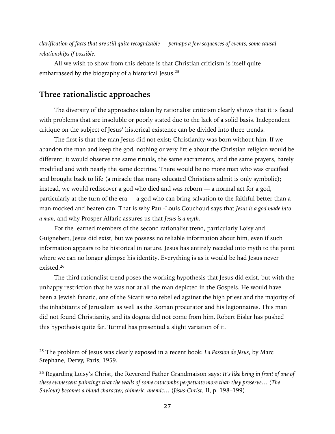*clarification of facts that are still quite recognizable — perhaps a few sequences of events, some causal relationships if possible.*

All we wish to show from this debate is that Christian criticism is itself quite embarrassed by the biography of a historical Jesus.<sup>25</sup>

#### **Three rationalistic approaches**

The diversity of the approaches taken by rationalist criticism clearly shows that it is faced with problems that are insoluble or poorly stated due to the lack of a solid basis. Independent critique on the subject of Jesus' historical existence can be divided into three trends.

The first is that the man Jesus did not exist; Christianity was born without him. If we abandon the man and keep the god, nothing or very little about the Christian religion would be different; it would observe the same rituals, the same sacraments, and the same prayers, barely modified and with nearly the same doctrine. There would be no more man who was crucified and brought back to life (a miracle that many educated Christians admit is only symbolic); instead, we would rediscover a god who died and was reborn — a normal act for a god, particularly at the turn of the era — a god who can bring salvation to the faithful better than a man mocked and beaten can. That is why Paul-Louis Couchoud says that *Jesus is a god made into a man*, and why Prosper Alfaric assures us that *Jesus is a myth*.

For the learned members of the second rationalist trend, particularly Loisy and Guignebert, Jesus did exist, but we possess no reliable information about him, even if such information appears to be historical in nature. Jesus has entirely receded into myth to the point where we can no longer glimpse his identity. Everything is as it would be had Jesus never existed.26

The third rationalist trend poses the working hypothesis that Jesus did exist, but with the unhappy restriction that he was not at all the man depicted in the Gospels. He would have been a Jewish fanatic, one of the Sicarii who rebelled against the high priest and the majority of the inhabitants of Jerusalem as well as the Roman procurator and his legionnaires. This man did not found Christianity, and its dogma did not come from him. Robert Eisler has pushed this hypothesis quite far. Turmel has presented a slight variation of it.

The problem of Jesus was clearly exposed in a recent book: *La Passion de Jésus*, by Marc 25 Stephane, Dervy, Paris, 1959.

<sup>&</sup>lt;sup>26</sup> Regarding Loisy's Christ, the Reverend Father Grandmaison says: *It's like being in front of one of these evanescent paintings that the walls of some catacombs perpetuate more than they preserve… (The Saviour) becomes a bland character, chimeric, anemic…* (*Jésus-Christ*, II, p. 198–199).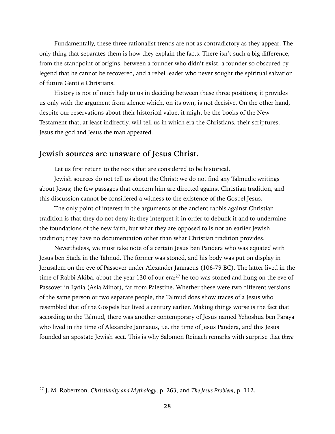Fundamentally, these three rationalist trends are not as contradictory as they appear. The only thing that separates them is how they explain the facts. There isn't such a big difference, from the standpoint of origins, between a founder who didn't exist, a founder so obscured by legend that he cannot be recovered, and a rebel leader who never sought the spiritual salvation of future Gentile Christians.

History is not of much help to us in deciding between these three positions; it provides us only with the argument from silence which, on its own, is not decisive. On the other hand, despite our reservations about their historical value, it might be the books of the New Testament that, at least indirectly, will tell us in which era the Christians, their scriptures, Jesus the god and Jesus the man appeared.

#### **Jewish sources are unaware of Jesus Christ.**

Let us first return to the texts that are considered to be historical.

Jewish sources do not tell us about the Christ; we do not find any Talmudic writings about Jesus; the few passages that concern him are directed against Christian tradition, and this discussion cannot be considered a witness to the existence of the Gospel Jesus.

The only point of interest in the arguments of the ancient rabbis against Christian tradition is that they do not deny it; they interpret it in order to debunk it and to undermine the foundations of the new faith, but what they are opposed to is not an earlier Jewish tradition; they have no documentation other than what Christian tradition provides.

Nevertheless, we must take note of a certain Jesus ben Pandera who was equated with Jesus ben Stada in the Talmud. The former was stoned, and his body was put on display in Jerusalem on the eve of Passover under Alexander Jannaeus (106-79 BC). The latter lived in the time of Rabbi Akiba, about the year 130 of our era; $^{27}$  he too was stoned and hung on the eve of Passover in Lydia (Asia Minor), far from Palestine. Whether these were two different versions of the same person or two separate people, the Talmud does show traces of a Jesus who resembled that of the Gospels but lived a century earlier. Making things worse is the fact that according to the Talmud, there was another contemporary of Jesus named Yehoshua ben Paraya who lived in the time of Alexandre Jannaeus, i.e. the time of Jesus Pandera, and this Jesus founded an apostate Jewish sect. This is why Salomon Reinach remarks with surprise that t*here* 

<sup>&</sup>lt;sup>27</sup> J. M. Robertson, *Christianity and Mythology*, p. 263, and *The Jesus Problem*, p. 112.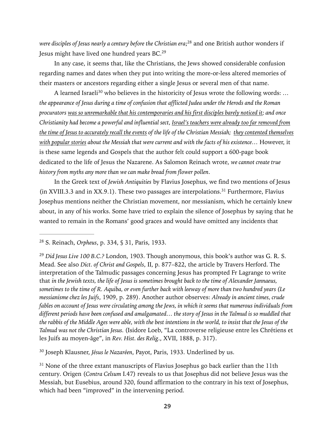*were disciples of Jesus nearly a century before the Christian era*;<sup>28</sup> and one British author wonders if Jesus might have lived one hundred years BC.29

In any case, it seems that, like the Christians, the Jews showed considerable confusion regarding names and dates when they put into writing the more-or-less altered memories of their masters or ancestors regarding either a single Jesus or several men of that name.

A learned Israeli<sup>30</sup> who believes in the historicity of Jesus wrote the following words: ... *the appearance of Jesus during a time of confusion that afflicted Judea under the Herods and the Roman procurators was so unremarkable that his contemporaries and his first disciples barely noticed it; and once Christianity had become a powerful and influential sect, Israel's teachers were already too far removed from the time of Jesus to accurately recall the events of the life of the Christian Messiah; they contented themselves with popular stories about the Messiah that were current and with the facts of his existence…* However, it is these same legends and Gospels that the author felt could support a 600-page book dedicated to the life of Jesus the Nazarene. As Salomon Reinach wrote, *we cannot create true history from myths any more than we can make bread from flower pollen*.

In the Greek text of *Jewish Antiquities* by Flavius Josephus, we find two mentions of Jesus (in XVIII.3.3 and in XX.9.1). These two passages are interpolations.<sup>31</sup> Furthermore, Flavius Josephus mentions neither the Christian movement, nor messianism, which he certainly knew about, in any of his works. Some have tried to explain the silence of Josephus by saying that he wanted to remain in the Romans' good graces and would have omitted any incidents that

<sup>30</sup> Joseph Klausner, *Jésus le Nazaréen*, Payot, Paris, 1933. Underlined by us.

 $31$  None of the three extant manuscripts of Flavius Josephus go back earlier than the 11th century. Origen (*Contra Celsum* I.47) reveals to us that Josephus did not believe Jesus was the Messiah, but Eusebius, around 320, found affirmation to the contrary in his text of Josephus, which had been "improved" in the intervening period.

<sup>&</sup>lt;sup>28</sup> S. Reinach, *Orpheus*, p. 334, § 31, Paris, 1933.

<sup>&</sup>lt;sup>29</sup> Did Jesus Live 100 B.C.? London, 1903. Though anonymous, this book's author was G. R. S. Mead. See also *Dict. of Christ and Gospels*, II, p. 877–822, the article by Travers Herford. The interpretation of the Talmudic passages concerning Jesus has prompted Fr Lagrange to write that *in the Jewish texts, the life of Jesus is sometimes brought back to the time of Alexander Jannaeus, sometimes to the time of R. Aquiba, or even further back with leeway of more than two hundred years (Le messianisme chez les Juifs*, 1909, p. 289). Another author observes: *Already in ancient times, crude fables on account of Jesus were circulating among the Jews, in which it seems that numerous individuals from different periods have been confused and amalgamated… the story of Jesus in the Talmud is so muddled that the rabbis of the Middle Ages were able, with the best intentions in the world, to insist that the Jesus of the Talmud was not the Christian Jesus.* (Isidore Loeb, "La controverse religieuse entre les Chrétiens et les Juifs au moyen-âge", in *Rev. Hist. des Relig*., XVII, 1888, p. 317).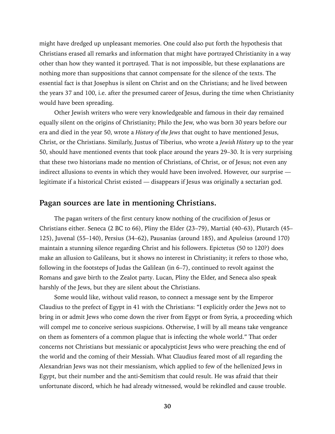might have dredged up unpleasant memories. One could also put forth the hypothesis that Christians erased all remarks and information that might have portrayed Christianity in a way other than how they wanted it portrayed. That is not impossible, but these explanations are nothing more than suppositions that cannot compensate for the silence of the texts. The essential fact is that Josephus is silent on Christ and on the Christians; and he lived between the years 37 and 100, i.e. after the presumed career of Jesus, during the time when Christianity would have been spreading.

Other Jewish writers who were very knowledgeable and famous in their day remained equally silent on the origins of Christianity; Philo the Jew, who was born 30 years before our era and died in the year 50, wrote a *History of the Jews* that ought to have mentioned Jesus, Christ, or the Christians. Similarly, Justus of Tiberius, who wrote a *Jewish History* up to the year 50, should have mentioned events that took place around the years 29–30. It is very surprising that these two historians made no mention of Christians, of Christ, or of Jesus; not even any indirect allusions to events in which they would have been involved. However, our surprise legitimate if a historical Christ existed — disappears if Jesus was originally a sectarian god.

#### **Pagan sources are late in mentioning Christians.**

The pagan writers of the first century know nothing of the crucifixion of Jesus or Christians either. Seneca (2 BC to 66), Pliny the Elder (23–79), Martial (40–63), Plutarch (45– 125), Juvenal (55–140), Persius (34–62), Pausanias (around 185), and Apuleius (around 170) maintain a stunning silence regarding Christ and his followers. Epictetus (50 to 120?) does make an allusion to Galileans, but it shows no interest in Christianity; it refers to those who, following in the footsteps of Judas the Galilean (in 6–7), continued to revolt against the Romans and gave birth to the Zealot party. Lucan, Pliny the Elder, and Seneca also speak harshly of the Jews, but they are silent about the Christians.

Some would like, without valid reason, to connect a message sent by the Emperor Claudius to the prefect of Egypt in 41 with the Christians: "I explicitly order the Jews not to bring in or admit Jews who come down the river from Egypt or from Syria, a proceeding which will compel me to conceive serious suspicions. Otherwise, I will by all means take vengeance on them as fomenters of a common plague that is infecting the whole world." That order concerns not Christians but messianic or apocalypticist Jews who were preaching the end of the world and the coming of their Messiah. What Claudius feared most of all regarding the Alexandrian Jews was not their messianism, which applied to few of the hellenized Jews in Egypt, but their number and the anti-Semitism that could result. He was afraid that their unfortunate discord, which he had already witnessed, would be rekindled and cause trouble.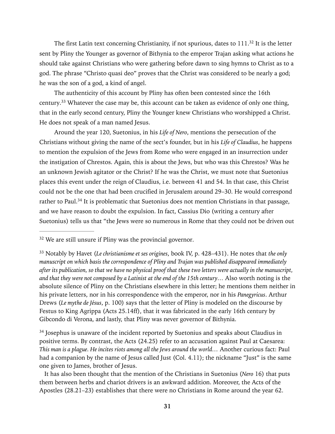The first Latin text concerning Christianity, if not spurious, dates to  $111.^{32}$  It is the letter sent by Pliny the Younger as governor of Bithynia to the emperor Trajan asking what actions he should take against Christians who were gathering before dawn to sing hymns to Christ as to a god. The phrase "Christo quasi deo" proves that the Christ was considered to be nearly a god; he was the son of a god, a kind of angel.

The authenticity of this account by Pliny has often been contested since the 16th century.<sup>33</sup> Whatever the case may be, this account can be taken as evidence of only one thing, that in the early second century, Pliny the Younger knew Christians who worshipped a Christ. He does not speak of a man named Jesus.

Around the year 120, Suetonius, in his *Life of Nero*, mentions the persecution of the Christians without giving the name of the sect's founder, but in his *Life of Claudius*, he happens to mention the expulsion of the Jews from Rome who were engaged in an insurrection under the instigation of Chrestos. Again, this is about the Jews, but who was this Chrestos? Was he an unknown Jewish agitator or the Christ? If he was the Christ, we must note that Suetonius places this event under the reign of Claudius, i.e. between 41 and 54. In that case, this Christ could not be the one that had been crucified in Jerusalem around 29–30. He would correspond rather to Paul.<sup>34</sup> It is problematic that Suetonius does not mention Christians in that passage, and we have reason to doubt the expulsion. In fact, Cassius Dio (writing a century after Suetonius) tells us that "the Jews were so numerous in Rome that they could not be driven out

 $34$  Josephus is unaware of the incident reported by Suetonius and speaks about Claudius in positive terms. By contrast, the Acts (24.25) refer to an accusation against Paul at Caesarea: *This man is a plague. He incites riots among all the Jews around the world…* Another curious fact: Paul had a companion by the name of Jesus called Just (Col. 4.11); the nickname "Just" is the same one given to James, brother of Jesus.

 It has also been thought that the mention of the Christians in Suetonius (*Nero* 16) that puts them between herbs and chariot drivers is an awkward addition. Moreover, the Acts of the Apostles (28.21–23) establishes that there were no Christians in Rome around the year 62.

<sup>&</sup>lt;sup>32</sup> We are still unsure if Pliny was the provincial governor.

Notably by Havet (*Le christianisme et ses origines*, book IV, p. 428–431). He notes that *the only* <sup>33</sup> *manuscript on which basis the correspondence of Pliny and Trajan was published disappeared immediately after its publication, so that we have no physical proof that these two letters were actually in the manuscript, and that they were not composed by a Latinist at the end of the 15th century…* Also worth noting is the absolute silence of Pliny on the Christians elsewhere in this letter; he mentions them neither in his private letters, nor in his correspondence with the emperor, nor in his *Panegyricus*. Arthur Drews (*Le mythe de Jésus*, p. 100) says that the letter of Pliny is modeled on the discourse by Festus to King Agrippa (Acts 25.14ff), that it was fabricated in the early 16th century by Gibcondo di Verona, and lastly, that Pliny was never governor of Bithynia.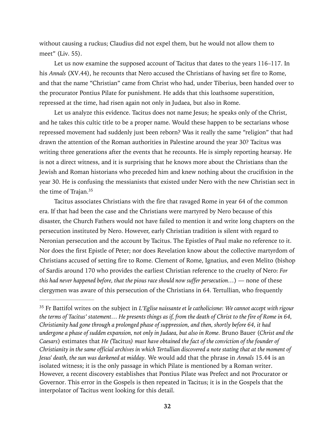without causing a ruckus; Claudius did not expel them, but he would not allow them to meet" (Liv. 55).

Let us now examine the supposed account of Tacitus that dates to the years 116–117. In his *Annals* (XV.44), he recounts that Nero accused the Christians of having set fire to Rome, and that the name "Christian" came from Christ who had, under Tiberius, been handed over to the procurator Pontius Pilate for punishment. He adds that this loathsome superstition, repressed at the time, had risen again not only in Judaea, but also in Rome.

Let us analyze this evidence. Tacitus does not name Jesus; he speaks only of the Christ, and he takes this cultic title to be a proper name. Would these happen to be sectarians whose repressed movement had suddenly just been reborn? Was it really the same "religion" that had drawn the attention of the Roman authorities in Palestine around the year 30? Tacitus was writing three generations after the events that he recounts. He is simply reporting hearsay. He is not a direct witness, and it is surprising that he knows more about the Christians than the Jewish and Roman historians who preceded him and knew nothing about the crucifixion in the year 30. He is confusing the messianists that existed under Nero with the new Christian sect in the time of Trajan.35

Tacitus associates Christians with the fire that ravaged Rome in year 64 of the common era. If that had been the case and the Christians were martyred by Nero because of this disaster, the Church Fathers would not have failed to mention it and write long chapters on the persecution instituted by Nero. However, early Christian tradition is silent with regard to Neronian persecution and the account by Tacitus. The Epistles of Paul make no reference to it. Nor does the first Epistle of Peter; nor does Revelation know about the collective martyrdom of Christians accused of setting fire to Rome. Clement of Rome, Ignatius, and even Melito (bishop of Sardis around 170 who provides the earliest Christian reference to the cruelty of Nero: *For this had never happened before, that the pious race should now suffer persecution…*) — none of these clergymen was aware of this persecution of the Christians in 64. Tertullian, who frequently

Fr Battifol writes on the subject in *L'Eglise naissante et le catholicisme*: *We cannot accept with rigour* <sup>35</sup> *the terms of Tacitus' statement… He presents things as if, from the death of Christ to the fire of Rome in 64, Christianity had gone through a prolonged phase of suppression, and then, shortly before 64, it had undergone a phase of sudden expansion, not only in Judaea, but also in Rome.* Bruno Bauer (*Christ and the Caesars*) estimates that *He (*Tacitus*) must have obtained the fact of the conviction of the founder of Christianity in the same official archives in which Tertullian discovered a note stating that at the moment of Jesus' death, the sun was darkened at midday.* We would add that the phrase in *Annals* 15.44 is an isolated witness; it is the only passage in which Pilate is mentioned by a Roman writer. However, a recent discovery establishes that Pontius Pilate was Prefect and not Procurator or Governor. This error in the Gospels is then repeated in Tacitus; it is in the Gospels that the interpolator of Tacitus went looking for this detail.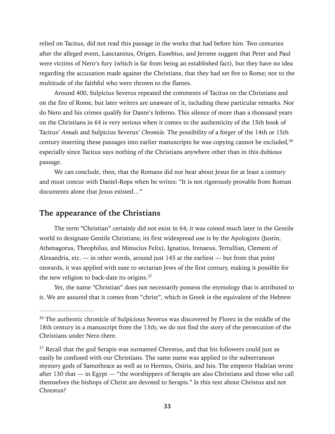relied on Tacitus, did not read this passage in the works that had before him. Two centuries after the alleged event, Lanctantius, Origen, Eusebius, and Jerome suggest that Peter and Paul were victims of Nero's fury (which is far from being an established fact), but they have no idea regarding the accusation made against the Christians, that they had set fire to Rome; nor to the multitude of the faithful who were thrown to the flames.

Around 400, Sulpicius Severus repeated the comments of Tacitus on the Christians and on the fire of Rome, but later writers are unaware of it, including these particular remarks. Nor do Nero and his crimes qualify for Dante's Inferno. This silence of more than a thousand years on the Christians in 64 is very serious when it comes to the authenticity of the 15th book of Tacitus' *Annals* and Sulpicius Severus' *Chronicle*. The possibility of a forger of the 14th or 15th century inserting these passages into earlier manuscripts he was copying cannot be excluded,<sup>36</sup> especially since Tacitus says nothing of the Christians anywhere other than in this dubious passage.

We can conclude, then, that the Romans did not hear about Jesus for at least a century and must concur with Daniel-Rops when he writes: "It is not rigorously provable from Roman documents alone that Jesus existed…"

#### **The appearance of the Christians**

The term "Christian" certainly did not exist in 64; it was coined much later in the Gentile world to designate Gentile Christians; its first widespread use is by the Apologists (Justin, Athenagorus, Theophilus, and Minucius Felix), Ignatius, Irenaeus, Tertullian, Clement of Alexandria, etc. — in other words, around just 145 at the earliest — but from that point onwards, it was applied with ease to sectarian Jews of the first century, making it possible for the new religion to back-date its origins.<sup>37</sup>

Yet, the name "Christian" does not necessarily possess the etymology that is attributed to it. We are assured that it comes from "christ", which in Greek is the equivalent of the Hebrew

<sup>&</sup>lt;sup>36</sup> The authentic chronicle of Sulpicious Severus was discovered by Florez in the middle of the 18th century in a manuscript from the 13th; we do not find the story of the persecution of the Christians under Nero there.

 $37$  Recall that the god Serapis was surnamed Chrestus, and that his followers could just as easily be confused with our Christians. The same name was applied to the subterranean mystery gods of Samothrace as well as to Hermes, Osiris, and Isis. The emperor Hadrian wrote after 130 that — in Egypt — "the worshippers of Serapis are also Christians and those who call themselves the bishops of Christ are devoted to Serapis." Is this text about Christus and not Chrestus?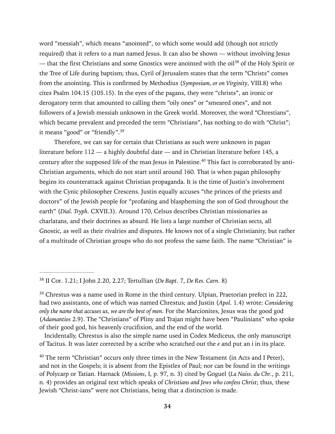word "messiah", which means "anointed", to which some would add (though not strictly required) that it refers to a man named Jesus. It can also be shown — without involving Jesus — that the first Christians and some Gnostics were anointed with the oil<sup>38</sup> of the Holy Spirit or the Tree of Life during baptism; thus, Cyril of Jerusalem states that the term "Christs" comes from the anointing. This is confirmed by Methodius (*Symposium, or on Virginity*, VIII.8) who cites Psalm 104.15 (105.15). In the eyes of the pagans, they were "christs", an ironic or derogatory term that amounted to calling them "oily ones" or "smeared ones", and not followers of a Jewish messiah unknown in the Greek world. Moreover, the word "Chrestians", which became prevalent and preceded the term "Christians", has nothing to do with "Christ"; it means "good" or "friendly".39

Therefore, we can say for certain that Christians as such were unknown in pagan literature before 112 — a highly doubtful date — and in Christian literature before 145, a century after the supposed life of the man Jesus in Palestine.<sup>40</sup> This fact is corroborated by anti-Christian arguments, which do not start until around 160. That is when pagan philosophy begins its counterattack against Christian propaganda. It is the time of Justin's involvement with the Cynic philosopher Crescens. Justin equally accuses "the princes of the priests and doctors" of the Jewish people for "profaning and blaspheming the son of God throughout the earth" (*Dial. Tryph.* CXVII.3). Around 170, Celsus describes Christian missionaries as charlatans, and their doctrines as absurd. He lists a large number of Christian sects, all Gnostic, as well as their rivalries and disputes. He knows not of a single Christianity, but rather of a multitude of Christian groups who do not profess the same faith. The name "Christian" is

II Cor. 1.21; I John 2.20, 2.27; Tertullian (*De Bapt.* 7, *De Res. Carn*. 8) <sup>38</sup>

 $39$  Chrestus was a name used in Rome in the third century. Ulpian, Praetorian prefect in 222, had two assistants, one of which was named Chrestus; and Justin (*Apol*. 1.4) wrote: *Considering only the name that accuses us, we are the best of men*. For the Marcionites, Jesus was the good god (*Adamantios* 2.9). The "Christians" of Pliny and Trajan might have been "Paulinians" who spoke of their good god, his heavenly crucifixion, and the end of the world.

Incidentally, Chrestus is also the simple name used in Codex Mediceus, the only manuscript of Tacitus. It was later corrected by a scribe who scratched out the *e* and put an *i* in its place.

 $40$  The term "Christian" occurs only three times in the New Testament (in Acts and I Peter), and not in the Gospels; it is absent from the Epistles of Paul; nor can be found in the writings of Polycarp or Tatian. Harnack (*Missions*, I, p. 97, n. 3) cited by Goguel (*La Naiss. du Chr.*, p. 211, n. 4) provides an original text which speaks of *Christians and Jews who confess Christ*; thus, these Jewish "Christ-ians" were not Christians, being that a distinction is made.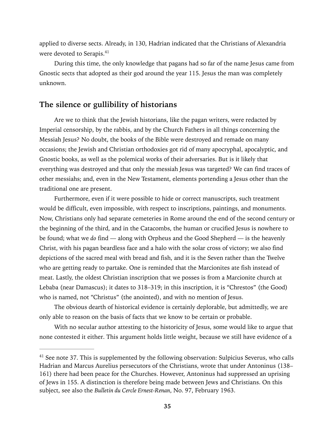applied to diverse sects. Already, in 130, Hadrian indicated that the Christians of Alexandria were devoted to Serapis.<sup>41</sup>

During this time, the only knowledge that pagans had so far of the name Jesus came from Gnostic sects that adopted as their god around the year 115. Jesus the man was completely unknown.

#### **The silence or gullibility of historians**

Are we to think that the Jewish historians, like the pagan writers, were redacted by Imperial censorship, by the rabbis, and by the Church Fathers in all things concerning the Messiah Jesus? No doubt, the books of the Bible were destroyed and remade on many occasions; the Jewish and Christian orthodoxies got rid of many apocryphal, apocalyptic, and Gnostic books, as well as the polemical works of their adversaries. But is it likely that everything was destroyed and that only the messiah Jesus was targeted? We can find traces of other messiahs; and, even in the New Testament, elements portending a Jesus other than the traditional one are present.

Furthermore, even if it were possible to hide or correct manuscripts, such treatment would be difficult, even impossible, with respect to inscriptions, paintings, and monuments. Now, Christians only had separate cemeteries in Rome around the end of the second century or the beginning of the third, and in the Catacombs, the human or crucified Jesus is nowhere to be found; what we *do* find — along with Orpheus and the Good Shepherd — is the heavenly Christ, with his pagan beardless face and a halo with the solar cross of victory; we also find depictions of the sacred meal with bread and fish, and it is the Seven rather than the Twelve who are getting ready to partake. One is reminded that the Marcionites ate fish instead of meat. Lastly, the oldest Christian inscription that we posses is from a Marcionite church at Lebaba (near Damascus); it dates to 318–319; in this inscription, it is "Chrestos" (the Good) who is named, not "Christus" (the anointed), and with no mention of Jesus.

The obvious dearth of historical evidence is certainly deplorable, but admittedly, we are only able to reason on the basis of facts that we know to be certain or probable.

With no secular author attesting to the historicity of Jesus, some would like to argue that none contested it either. This argument holds little weight, because we still have evidence of a

 $41$  See note 37. This is supplemented by the following observation: Sulpicius Severus, who calls Hadrian and Marcus Aurelius persecutors of the Christians, wrote that under Antoninus (138– 161) there had been peace for the Churches. However, Antoninus had suppressed an uprising of Jews in 155. A distinction is therefore being made between Jews and Christians. On this subject, see also the *Bulletin du Cercle Ernest-Renan*, No. 97, February 1963.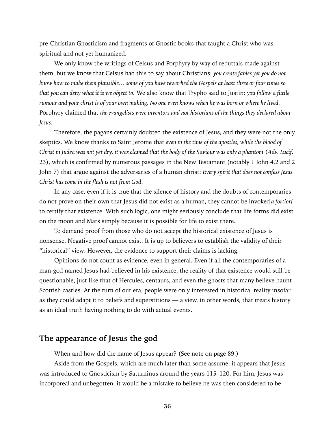pre-Christian Gnosticism and fragments of Gnostic books that taught a Christ who was spiritual and not yet humanized.

We only know the writings of Celsus and Porphyry by way of rebuttals made against them, but we know that Celsus had this to say about Christians: *you create fables yet you do not know how to make them plausible… some of you have reworked the Gospels at least three or four times so that you can deny what it is we object to.* We also know that Trypho said to Justin: *you follow a futile rumour and your christ is of your own making. No one even knows when he was born or where he lived.* Porphyry claimed that *the evangelists were inventors and not historians of the things they declared about Jesus*.

Therefore, the pagans certainly doubted the existence of Jesus, and they were not the only skeptics. We know thanks to Saint Jerome that *even in the time of the apostles, while the blood of Christ in Judea was not yet dry, it was claimed that the body of the Saviour was only a phantom* (*Adv. Lucif.*  23), which is confirmed by numerous passages in the New Testament (notably 1 John 4.2 and 2 John 7) that argue against the adversaries of a human christ: *Every spirit that does not confess Jesus Christ has come in the flesh is not from God*.

In any case, even if it is true that the silence of history and the doubts of contemporaries do not prove on their own that Jesus did not exist as a human, they cannot be invoked *a fortiori* to certify that existence. With such logic, one might seriously conclude that life forms did exist on the moon and Mars simply because it is possible for life to exist there.

To demand proof from those who do not accept the historical existence of Jesus is nonsense. Negative proof cannot exist. It is up to believers to establish the validity of their "historical" view. However, the evidence to support their claims is lacking.

Opinions do not count as evidence, even in general. Even if all the contemporaries of a man-god named Jesus had believed in his existence, the reality of that existence would still be questionable, just like that of Hercules, centaurs, and even the ghosts that many believe haunt Scottish castles. At the turn of our era, people were only interested in historical reality insofar as they could adapt it to beliefs and superstitions — a view, in other words, that treats history as an ideal truth having nothing to do with actual events.

### **The appearance of Jesus the god**

When and how did the name of Jesus appear? (See note on page 89.)

Aside from the Gospels, which are much later than some assume, it appears that Jesus was introduced to Gnosticism by Saturninus around the years 115–120. For him, Jesus was incorporeal and unbegotten; it would be a mistake to believe he was then considered to be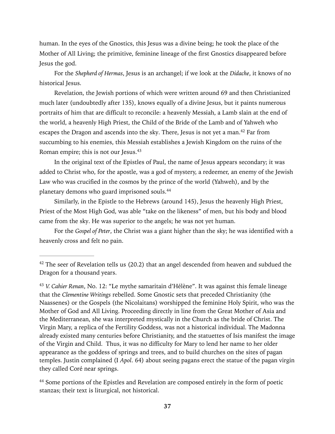human. In the eyes of the Gnostics, this Jesus was a divine being; he took the place of the Mother of All Living; the primitive, feminine lineage of the first Gnostics disappeared before Jesus the god.

For the *Shepherd of Hermas*, Jesus is an archangel; if we look at the *Didache*, it knows of no historical Jesus.

Revelation, the Jewish portions of which were written around 69 and then Christianized much later (undoubtedly after 135), knows equally of a divine Jesus, but it paints numerous portraits of him that are difficult to reconcile: a heavenly Messiah, a Lamb slain at the end of the world, a heavenly High Priest, the Child of the Bride of the Lamb and of Yahweh who escapes the Dragon and ascends into the sky. There, Jesus is not yet a man.<sup>42</sup> Far from succumbing to his enemies, this Messiah establishes a Jewish Kingdom on the ruins of the Roman empire; this is not our Jesus.<sup>43</sup>

In the original text of the Epistles of Paul, the name of Jesus appears secondary; it was added to Christ who, for the apostle, was a god of mystery, a redeemer, an enemy of the Jewish Law who was crucified in the cosmos by the prince of the world (Yahweh), and by the planetary demons who guard imprisoned souls.44

Similarly, in the Epistle to the Hebrews (around 145), Jesus the heavenly High Priest, Priest of the Most High God, was able "take on the likeness" of men, but his body and blood came from the sky. He was superior to the angels; he was not yet human.

For the *Gospel of Peter*, the Christ was a giant higher than the sky; he was identified with a heavenly cross and felt no pain.

 $42$  The seer of Revelation tells us (20.2) that an angel descended from heaven and subdued the Dragon for a thousand years.

<sup>&</sup>lt;sup>43</sup> V. Cahier Renan, No. 12: "Le mythe samaritain d'Hélène". It was against this female lineage that the *Clementine Writings* rebelled. Some Gnostic sets that preceded Christianity (the Naassenes) or the Gospels (the Nicolaitans) worshipped the feminine Holy Spirit, who was the Mother of God and All Living. Proceeding directly in line from the Great Mother of Asia and the Mediterranean, she was interpreted mystically in the Church as the bride of Christ. The Virgin Mary, a replica of the Fertility Goddess, was not a historical individual. The Madonna already existed many centuries before Christianity, and the statuettes of Isis manifest the image of the Virgin and Child. Thus, it was no difficulty for Mary to lend her name to her older appearance as the goddess of springs and trees, and to build churches on the sites of pagan temples. Justin complained (I *Apol*. 64) about seeing pagans erect the statue of the pagan virgin they called Coré near springs.

<sup>&</sup>lt;sup>44</sup> Some portions of the Epistles and Revelation are composed entirely in the form of poetic stanzas; their text is liturgical, not historical.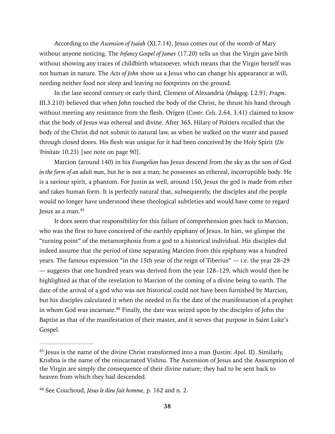According to the *Ascension of Isaiah* (XI.7.14), Jesus comes out of the womb of Mary without anyone noticing. The *Infancy Gospel of James* (17.20) tells us that the Virgin gave birth without showing any traces of childbirth whatsoever, which means that the Virgin herself was not human in nature. The *Acts of John* show us a Jesus who can change his appearance at will, needing neither food nor sleep and leaving no footprints on the ground.

In the late second century or early third, Clement of Alexandria (*Pedagog.* I.2.91; *Fragm*. III.3.210) believed that when John touched the body of the Christ, he thrust his hand through without meeting any resistance from the flesh. Origen (*Contr. Cels.* 2.64, 3.41) claimed to know that the body of Jesus was ethereal and divine. After 365, Hilary of Poitiers recalled that the body of the Christ did not submit to natural law, as when he walked on the water and passed through closed doors. His flesh was unique for it had been conceived by the Holy Spirit (*De Trinitate* 10.23) [see note on page 90].

Marcion (around 140) in his *Evangelion* has Jesus descend from the sky as the son of God *in the form of an adult man*, but he is not a man; he possesses an ethereal, incorruptible body. He is a saviour spirit, a phantom. For Justin as well, around 150, Jesus the god is made from ether and takes human form. It is perfectly natural that, subsequently, the disciples and the people would no longer have understood these theological subtleties and would have come to regard Jesus as a man.45

It does seem that responsibility for this failure of comprehension goes back to Marcion, who was the first to have conceived of the earthly epiphany of Jesus. In him, we glimpse the "turning point" of the metamorphosis from a god to a historical individual. His disciples did indeed assume that the period of time separating Marcion from this epiphany was a hundred years. The famous expression "in the 15th year of the reign of Tiberius" — i.e. the year 28–29 — suggests that one hundred years was derived from the year 128–129, which would then be highlighted as that of the revelation to Marcion of the coming of a divine being to earth. The date of the arrival of a god who was not historical could not have been furnished by Marcion, but his disciples calculated it when the needed to fix the date of the manifestation of a prophet in whom God was incarnate.<sup>46</sup> Finally, the date was seized upon by the disciples of John the Baptist as that of the manifestation of their master, and it serves that purpose in Saint Luke's Gospel.

<sup>&</sup>lt;sup>45</sup> Jesus is the name of the divine Christ transformed into a man (Justin: Apol. II). Similarly, Krishna is the name of the reincarnated Vishnu. The Ascension of Jesus and the Assumption of the Virgin are simply the consequence of their divine nature; they had to be sent back to heaven from which they had descended.

<sup>&</sup>lt;sup>46</sup> See Couchoud, *Jésus le dieu fait homme*, p. 162 and n. 2.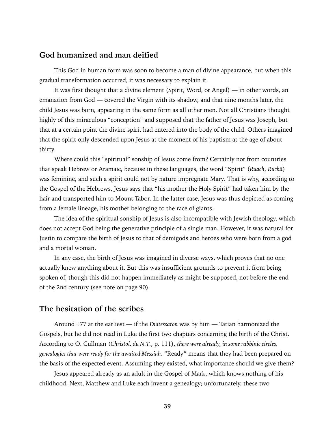### **God humanized and man deified**

This God in human form was soon to become a man of divine appearance, but when this gradual transformation occurred, it was necessary to explain it.

It was first thought that a divine element (Spirit, Word, or Angel) — in other words, an emanation from God — covered the Virgin with its shadow, and that nine months later, the child Jesus was born, appearing in the same form as all other men. Not all Christians thought highly of this miraculous "conception" and supposed that the father of Jesus was Joseph, but that at a certain point the divine spirit had entered into the body of the child. Others imagined that the spirit only descended upon Jesus at the moment of his baptism at the age of about thirty.

Where could this "spiritual" sonship of Jesus come from? Certainly not from countries that speak Hebrew or Aramaic, because in these languages, the word "Spirit" (*Ruach*, *Ruchâ*) was feminine, and such a spirit could not by nature impregnate Mary. That is why, according to the Gospel of the Hebrews, Jesus says that "his mother the Holy Spirit" had taken him by the hair and transported him to Mount Tabor. In the latter case, Jesus was thus depicted as coming from a female lineage, his mother belonging to the race of giants.

The idea of the spiritual sonship of Jesus is also incompatible with Jewish theology, which does not accept God being the generative principle of a single man. However, it was natural for Justin to compare the birth of Jesus to that of demigods and heroes who were born from a god and a mortal woman.

In any case, the birth of Jesus was imagined in diverse ways, which proves that no one actually knew anything about it. But this was insufficient grounds to prevent it from being spoken of, though this did not happen immediately as might be supposed, not before the end of the 2nd century (see note on page 90).

### **The hesitation of the scribes**

Around 177 at the earliest — if the *Diatessaron* was by him — Tatian harmonized the Gospels, but he did not read in Luke the first two chapters concerning the birth of the Christ. According to O. Cullman (*Christol. du N.T.*, p. 111), *there were already, in some rabbinic circles, genealogies that were ready for the awaited Messiah*. "Ready" means that they had been prepared on the basis of the expected event. Assuming they existed, what importance should we give them?

Jesus appeared already as an adult in the Gospel of Mark, which knows nothing of his childhood. Next, Matthew and Luke each invent a genealogy; unfortunately, these two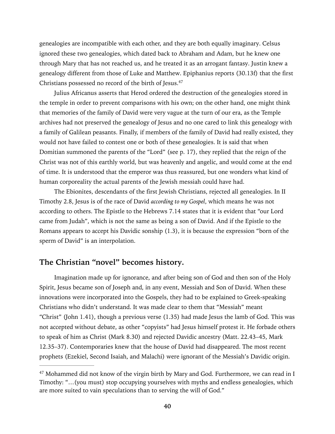genealogies are incompatible with each other, and they are both equally imaginary. Celsus ignored these two genealogies, which dated back to Abraham and Adam, but he knew one through Mary that has not reached us, and he treated it as an arrogant fantasy. Justin knew a genealogy different from those of Luke and Matthew. Epiphanius reports (30.13f) that the first Christians possessed no record of the birth of Jesus.47

Julius Africanus asserts that Herod ordered the destruction of the genealogies stored in the temple in order to prevent comparisons with his own; on the other hand, one might think that memories of the family of David were very vague at the turn of our era, as the Temple archives had not preserved the genealogy of Jesus and no one cared to link this genealogy with a family of Galilean peasants. Finally, if members of the family of David had really existed, they would not have failed to contest one or both of these genealogies. It is said that when Domitian summoned the parents of the "Lord" (see p. 17), they replied that the reign of the Christ was not of this earthly world, but was heavenly and angelic, and would come at the end of time. It is understood that the emperor was thus reassured, but one wonders what kind of human corporeality the actual parents of the Jewish messiah could have had.

The Ebionites, descendants of the first Jewish Christians, rejected all genealogies. In II Timothy 2.8, Jesus is of the race of David *according to my Gospel*, which means he was not according to others. The Epistle to the Hebrews 7.14 states that it is evident that "our Lord came from Judah", which is not the same as being a son of David. And if the Epistle to the Romans appears to accept his Davidic sonship (1.3), it is because the expression "born of the sperm of David" is an interpolation.

### **The Christian "novel" becomes history.**

Imagination made up for ignorance, and after being son of God and then son of the Holy Spirit, Jesus became son of Joseph and, in any event, Messiah and Son of David. When these innovations were incorporated into the Gospels, they had to be explained to Greek-speaking Christians who didn't understand. It was made clear to them that "Messiah" meant "Christ" (John 1.41), though a previous verse (1.35) had made Jesus the lamb of God. This was not accepted without debate, as other "copyists" had Jesus himself protest it. He forbade others to speak of him as Christ (Mark 8.30) and rejected Davidic ancestry (Matt. 22.43–45, Mark 12.35–37). Contemporaries knew that the house of David had disappeared. The most recent prophets (Ezekiel, Second Isaiah, and Malachi) were ignorant of the Messiah's Davidic origin.

 $47$  Mohammed did not know of the virgin birth by Mary and God. Furthermore, we can read in I Timothy: "…(you must) stop occupying yourselves with myths and endless genealogies, which are more suited to vain speculations than to serving the will of God."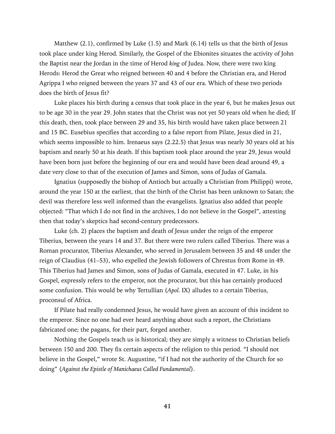Matthew (2.1), confirmed by Luke (1.5) and Mark (6.14) tells us that the birth of Jesus took place under king Herod. Similarly, the Gospel of the Ebionites situates the activity of John the Baptist near the Jordan in the time of Herod *king* of Judea. Now, there were two king Herods: Herod the Great who reigned between 40 and 4 before the Christian era, and Herod Agrippa I who reigned between the years 37 and 43 of our era. Which of these two periods does the birth of Jesus fit?

Luke places his birth during a census that took place in the year 6, but he makes Jesus out to be age 30 in the year 29. John states that the Christ was not yet 50 years old when he died; If this death, then, took place between 29 and 35, his birth would have taken place between 21 and 15 BC. Eusebius specifies that according to a false report from Pilate, Jesus died in 21, which seems impossible to him. Irenaeus says (2.22.5) that Jesus was nearly 30 years old at his baptism and nearly 50 at his death. If this baptism took place around the year 29, Jesus would have been born just before the beginning of our era and would have been dead around 49, a date very close to that of the execution of James and Simon, sons of Judas of Gamala.

Ignatius (supposedly the bishop of Antioch but actually a Christian from Philippi) wrote, around the year 150 at the earliest, that the birth of the Christ has been unknown to Satan; the devil was therefore less well informed than the evangelists. Ignatius also added that people objected: "That which I do not find in the archives, I do not believe in the Gospel", attesting then that today's skeptics had second-century predecessors.

Luke (ch. 2) places the baptism and death of Jesus under the reign of the emperor Tiberius, between the years 14 and 37. But there were two rulers called Tiberius. There was a Roman procurator, Tiberius Alexander, who served in Jerusalem between 35 and 48 under the reign of Claudius (41–53), who expelled the Jewish followers of Chrestus from Rome in 49. This Tiberius had James and Simon, sons of Judas of Gamala, executed in 47. Luke, in his Gospel, expressly refers to the emperor, not the procurator, but this has certainly produced some confusion. This would be why Tertullian (*Apol.* IX) alludes to a certain Tiberius, proconsul of Africa.

If Pilate had really condemned Jesus, he would have given an account of this incident to the emperor. Since no one had ever heard anything about such a report, the Christians fabricated one; the pagans, for their part, forged another.

Nothing the Gospels teach us is historical; they are simply a witness to Christian beliefs between 150 and 200. They fix certain aspects of the religion to this period. "I should not believe in the Gospel," wrote St. Augustine, "if I had not the authority of the Church for so doing" (*Against the Epistle of Manichaeus Called Fundamental*).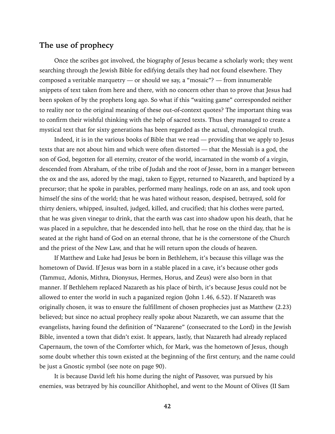### **The use of prophecy**

Once the scribes got involved, the biography of Jesus became a scholarly work; they went searching through the Jewish Bible for edifying details they had not found elsewhere. They composed a veritable marquetry — or should we say, a "mosaic"? — from innumerable snippets of text taken from here and there, with no concern other than to prove that Jesus had been spoken of by the prophets long ago. So what if this "waiting game" corresponded neither to reality nor to the original meaning of these out-of-context quotes? The important thing was to confirm their wishful thinking with the help of sacred texts. Thus they managed to create a mystical text that for sixty generations has been regarded as the actual, chronological truth.

Indeed, it is in the various books of Bible that we read — providing that we apply to Jesus texts that are not about him and which were often distorted — that the Messiah is a god, the son of God, begotten for all eternity, creator of the world, incarnated in the womb of a virgin, descended from Abraham, of the tribe of Judah and the root of Jesse, born in a manger between the ox and the ass, adored by the magi, taken to Egypt, returned to Nazareth, and baptized by a precursor; that he spoke in parables, performed many healings, rode on an ass, and took upon himself the sins of the world; that he was hated without reason, despised, betrayed, sold for thirty deniers, whipped, insulted, judged, killed, and crucified; that his clothes were parted, that he was given vinegar to drink, that the earth was cast into shadow upon his death, that he was placed in a sepulchre, that he descended into hell, that he rose on the third day, that he is seated at the right hand of God on an eternal throne, that he is the cornerstone of the Church and the priest of the New Law, and that he will return upon the clouds of heaven.

If Matthew and Luke had Jesus be born in Bethlehem, it's because this village was the hometown of David. If Jesus was born in a stable placed in a cave, it's because other gods (Tammuz, Adonis, Mithra, Dionysus, Hermes, Horus, and Zeus) were also born in that manner. If Bethlehem replaced Nazareth as his place of birth, it's because Jesus could not be allowed to enter the world in such a paganized region (John 1.46, 6.52). If Nazareth was originally chosen, it was to ensure the fulfillment of chosen prophecies just as Matthew (2.23) believed; but since no actual prophecy really spoke about Nazareth, we can assume that the evangelists, having found the definition of "Nazarene" (consecrated to the Lord) in the Jewish Bible, invented a town that didn't exist. It appears, lastly, that Nazareth had already replaced Capernaum, the town of the Comforter which, for Mark, was the hometown of Jesus, though some doubt whether this town existed at the beginning of the first century, and the name could be just a Gnostic symbol (see note on page 90).

It is because David left his home during the night of Passover, was pursued by his enemies, was betrayed by his councillor Ahithophel, and went to the Mount of Olives (II Sam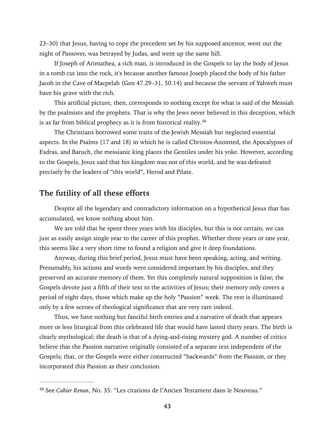23–30) that Jesus, having to copy the precedent set by his supposed ancestor, went out the night of Passover, was betrayed by Judas, and went up the same hill.

If Joseph of Arimathea, a rich man, is introduced in the Gospels to lay the body of Jesus in a tomb cut into the rock, it's because another famous Joseph placed the body of his father Jacob in the Cave of Macpelah (Gen 47.29–31, 50.14) and because the servant of Yahweh must have his grave with the rich.

This artificial picture, then, corresponds to nothing except for what is said of the Messiah by the psalmists and the prophets. That is why the Jews never believed in this deception, which is as far from biblical prophecy as it is from historical reality.<sup>48</sup>

The Christians borrowed some traits of the Jewish Messiah but neglected essential aspects. In the Psalms (17 and 18) in which he is called Christos-Anointed, the Apocalypses of Esdras, and Baruch, the messianic king places the Gentiles under his yoke. However, according to the Gospels, Jesus said that his kingdom was not of this world, and he was defeated precisely by the leaders of "this world", Herod and Pilate.

### **The futility of all these efforts**

Despite all the legendary and contradictory information on a hypothetical Jesus that has accumulated, we know nothing about him.

We are told that he spent three years with his disciples, but this is not certain; we can just as easily assign single year to the career of this prophet. Whether three years or one year, this seems like a very short time to found a religion and give it deep foundations.

Anyway, during this brief period, Jesus must have been speaking, acting, and writing. Presumably, his actions and words were considered important by his disciples, and they preserved an accurate memory of them. Yet this completely natural supposition is false; the Gospels devote just a fifth of their text to the activities of Jesus; their memory only covers a period of eight days, those which make up the holy "Passion" week. The rest is illuminated only by a few scenes of theological significance that are very rare indeed.

Thus, we have nothing but fanciful birth entries and a narrative of death that appears more or less liturgical from this celebrated life that would have lasted thirty years. The birth is clearly mythological; the death is that of a dying-and-rising mystery god. A number of critics believe that the Passion narrative originally consisted of a separate text independent of the Gospels; that, or the Gospels were either constructed "backwards" from the Passion, or they incorporated this Passion as their conclusion.

See *Cahier Renan*, No. 35. "Les citations de l'Ancien Testament dans le Nouveau." <sup>48</sup>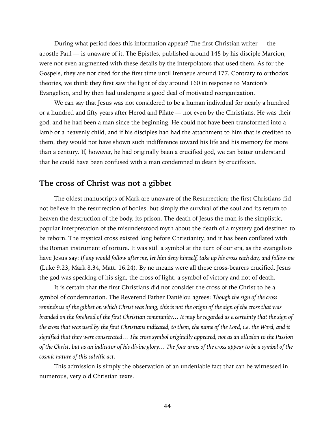During what period does this information appear? The first Christian writer — the apostle Paul — is unaware of it. The Epistles, published around 145 by his disciple Marcion, were not even augmented with these details by the interpolators that used them. As for the Gospels, they are not cited for the first time until Irenaeus around 177. Contrary to orthodox theories, we think they first saw the light of day around 160 in response to Marcion's Evangelion, and by then had undergone a good deal of motivated reorganization.

We can say that Jesus was not considered to be a human individual for nearly a hundred or a hundred and fifty years after Herod and Pilate — not even by the Christians. He was their god, and he had been a man since the beginning. He could not have been transformed into a lamb or a heavenly child, and if his disciples had had the attachment to him that is credited to them, they would not have shown such indifference toward his life and his memory for more than a century. If, however, he had originally been a crucified god, we can better understand that he could have been confused with a man condemned to death by crucifixion.

### **The cross of Christ was not a gibbet**

The oldest manuscripts of Mark are unaware of the Resurrection; the first Christians did not believe in the resurrection of bodies, but simply the survival of the soul and its return to heaven the destruction of the body, its prison. The death of Jesus the man is the simplistic, popular interpretation of the misunderstood myth about the death of a mystery god destined to be reborn. The mystical cross existed long before Christianity, and it has been conflated with the Roman instrument of torture. It was still a symbol at the turn of our era, as the evangelists have Jesus say: *If any would follow after me, let him deny himself, take up his cross each day, and follow me* (Luke 9.23, Mark 8.34, Matt. 16.24). By no means were all these cross-bearers crucified. Jesus the god was speaking of his sign, the cross of light, a symbol of victory and not of death.

It is certain that the first Christians did not consider the cross of the Christ to be a symbol of condemnation. The Reverend Father Daniélou agrees: *Though the sign of the cross reminds us of the gibbet on which Christ was hung, this is not the origin of the sign of the cross that was branded on the forehead of the first Christian community… It may be regarded as a certainty that the sign of the cross that was used by the first Christians indicated, to them, the name of the Lord, i.e. the Word, and it signified that they were consecrated… The cross symbol originally appeared, not as an allusion to the Passion of the Christ, but as an indicator of his divine glory… The four arms of the cross appear to be a symbol of the cosmic nature of this salvific act.*

This admission is simply the observation of an undeniable fact that can be witnessed in numerous, very old Christian texts.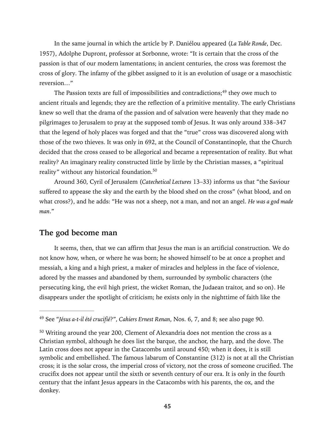In the same journal in which the article by P. Daniélou appeared (*La Table Ronde*, Dec. 1957), Adolphe Dupront, professor at Sorbonne, wrote: "It is certain that the cross of the passion is that of our modern lamentations; in ancient centuries, the cross was foremost the cross of glory. The infamy of the gibbet assigned to it is an evolution of usage or a masochistic reversion…"

The Passion texts are full of impossibilities and contradictions; $49$  they owe much to ancient rituals and legends; they are the reflection of a primitive mentality. The early Christians knew so well that the drama of the passion and of salvation were heavenly that they made no pilgrimages to Jerusalem to pray at the supposed tomb of Jesus. It was only around 338–347 that the legend of holy places was forged and that the "true" cross was discovered along with those of the two thieves. It was only in 692, at the Council of Constantinople, that the Church decided that the cross ceased to be allegorical and became a representation of reality. But what reality? An imaginary reality constructed little by little by the Christian masses, a "spiritual reality" without any historical foundation.<sup>50</sup>

Around 360, Cyril of Jerusalem (*Catechetical Lectures* 13–33) informs us that "the Saviour suffered to appease the sky and the earth by the blood shed on the cross" (what blood, and on what cross?), and he adds: "He was not a sheep, not a man, and not an angel. *He was a god made man*."

### **The god become man**

It seems, then, that we can affirm that Jesus the man is an artificial construction. We do not know how, when, or where he was born; he showed himself to be at once a prophet and messiah, a king and a high priest, a maker of miracles and helpless in the face of violence, adored by the masses and abandoned by them, surrounded by symbolic characters (the persecuting king, the evil high priest, the wicket Roman, the Judaean traitor, and so on). He disappears under the spotlight of criticism; he exists only in the nighttime of faith like the

See "*Jésus a-t-il été crucifié*?"*, Cahiers Ernest Renan*, Nos. 6, 7, and 8; see also page 90. <sup>49</sup>

 $50$  Writing around the year 200, Clement of Alexandria does not mention the cross as a Christian symbol, although he does list the barque, the anchor, the harp, and the dove. The Latin cross does not appear in the Catacombs until around 450; when it does, it is still symbolic and embellished. The famous labarum of Constantine (312) is not at all the Christian cross; it is the solar cross, the imperial cross of victory, not the cross of someone crucified. The crucifix does not appear until the sixth or seventh century of our era. It is only in the fourth century that the infant Jesus appears in the Catacombs with his parents, the ox, and the donkey.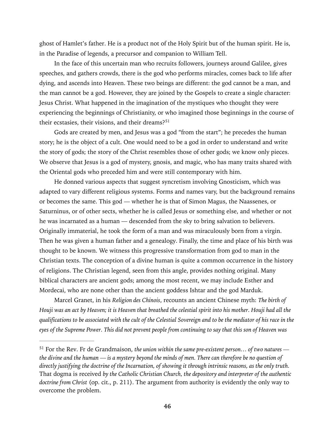ghost of Hamlet's father. He is a product not of the Holy Spirit but of the human spirit. He is, in the Paradise of legends, a precursor and companion to William Tell.

In the face of this uncertain man who recruits followers, journeys around Galilee, gives speeches, and gathers crowds, there is the god who performs miracles, comes back to life after dying, and ascends into Heaven. These two beings are different: the god cannot be a man, and the man cannot be a god. However, they are joined by the Gospels to create a single character: Jesus Christ. What happened in the imagination of the mystiques who thought they were experiencing the beginnings of Christianity, or who imagined those beginnings in the course of their ecstasies, their visions, and their dreams?<sup>51</sup>

Gods are created by men, and Jesus was a god "from the start"; he precedes the human story; he is the object of a cult. One would need to be a god in order to understand and write the story of gods; the story of the Christ resembles those of other gods; we know only pieces. We observe that Jesus is a god of mystery, gnosis, and magic, who has many traits shared with the Oriental gods who preceded him and were still contemporary with him.

He donned various aspects that suggest syncretism involving Gnosticism, which was adapted to vary different religious systems. Forms and names vary, but the background remains or becomes the same. This god — whether he is that of Simon Magus, the Naassenes, or Saturninus, or of other sects, whether he is called Jesus or something else, and whether or not he was incarnated as a human — descended from the sky to bring salvation to believers. Originally immaterial, he took the form of a man and was miraculously born from a virgin. Then he was given a human father and a genealogy. Finally, the time and place of his birth was thought to be known. We witness this progressive transformation from god to man in the Christian texts. The conception of a divine human is quite a common occurrence in the history of religions. The Christian legend, seen from this angle, provides nothing original. Many biblical characters are ancient gods; among the most recent, we may include Esther and Mordecai, who are none other than the ancient goddess Ishtar and the god Marduk.

Marcel Granet, in his *Religion des Chinois*, recounts an ancient Chinese myth: *The birth of Houji was an act by Heaven; it is Heaven that breathed the celestial spirit into his mother. Houji had all the qualifications to be associated with the cult of the Celestial Sovereign and to be the mediator of his race in the eyes of the Supreme Power. This did not prevent people from continuing to say that this son of Heaven was* 

<sup>&</sup>lt;sup>51</sup> For the Rev. Fr de Grandmaison, *the union within the same pre-existent person... of two natures the divine and the human — is a mystery beyond the minds of men. There can therefore be no question of directly justifying the doctrine of the Incarnation, of showing it through intrinsic reasons, as the only truth.* That dogma is received *by the Catholic Christian Church, the depository and interpreter of the authentic doctrine from Christ* (op. cit., p. 211). The argument from authority is evidently the only way to overcome the problem.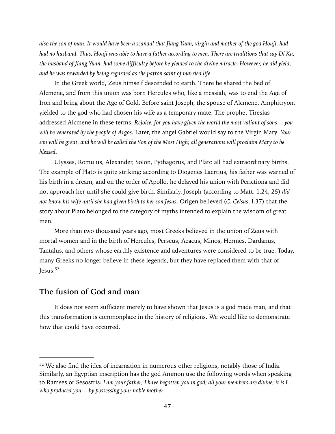*also the son of man. It would have been a scandal that Jiang Yuan, virgin and mother of the god Houji, had had no husband. Thus, Houji was able to have a father according to men. There are traditions that say Di Ku, the husband of Jiang Yuan, had some difficulty before he yielded to the divine miracle. However, he did yield, and he was rewarded by being regarded as the patron saint of married life.*

In the Greek world, Zeus himself descended to earth. There he shared the bed of Alcmene, and from this union was born Hercules who, like a messiah, was to end the Age of Iron and bring about the Age of Gold. Before saint Joseph, the spouse of Alcmene, Amphitryon, yielded to the god who had chosen his wife as a temporary mate. The prophet Tiresias addressed Alcmene in these terms: *Rejoice, for you have given the world the most valiant of sons… you will be venerated by the people of Argos.* Later, the angel Gabriel would say to the Virgin Mary: *Your son will be great, and he will be called the Son of the Most High; all generations will proclaim Mary to be blessed.*

Ulysses, Romulus, Alexander, Solon, Pythagorus, and Plato all had extraordinary births. The example of Plato is quite striking: according to Diogenes Laertius, his father was warned of his birth in a dream, and on the order of Apollo, he delayed his union with Perictiona and did not approach her until she could give birth. Similarly, Joseph (according to Matt. 1.24, 25) *did not know his wife until she had given birth to her son Jesus*. Origen believed (*C. Celsus*, I.37) that the story about Plato belonged to the category of myths intended to explain the wisdom of great men.

More than two thousand years ago, most Greeks believed in the union of Zeus with mortal women and in the birth of Hercules, Perseus, Aeacus, Minos, Hermes, Dardanus, Tantalus, and others whose earthly existence and adventures were considered to be true. Today, many Greeks no longer believe in these legends, but they have replaced them with that of  $Iesus.<sup>52</sup>$ 

### **The fusion of God and man**

It does not seem sufficient merely to have shown that Jesus is a god made man, and that this transformation is commonplace in the history of religions. We would like to demonstrate how that could have occurred.

 $52$  We also find the idea of incarnation in numerous other religions, notably those of India. Similarly, an Egyptian inscription has the god Ammon use the following words when speaking to Ramses or Sesostris: *I am your father; I have begotten you in god; all your members are divine; it is I who produced you… by possessing your noble mother.*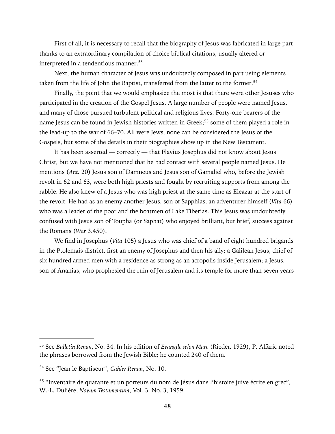First of all, it is necessary to recall that the biography of Jesus was fabricated in large part thanks to an extraordinary compilation of choice biblical citations, usually altered or interpreted in a tendentious manner.<sup>53</sup>

Next, the human character of Jesus was undoubtedly composed in part using elements taken from the life of John the Baptist, transferred from the latter to the former.<sup>54</sup>

Finally, the point that we would emphasize the most is that there were other Jesuses who participated in the creation of the Gospel Jesus. A large number of people were named Jesus, and many of those pursued turbulent political and religious lives. Forty-one bearers of the name Jesus can be found in Jewish histories written in Greek;<sup>55</sup> some of them played a role in the lead-up to the war of 66–70. All were Jews; none can be considered the Jesus of the Gospels, but some of the details in their biographies show up in the New Testament.

It has been asserted — correctly — that Flavius Josephus did not know about Jesus Christ, but we have not mentioned that he had contact with several people named Jesus. He mentions (*Ant.* 20) Jesus son of Damneus and Jesus son of Gamaliel who, before the Jewish revolt in 62 and 63, were both high priests and fought by recruiting supports from among the rabble. He also knew of a Jesus who was high priest at the same time as Eleazar at the start of the revolt. He had as an enemy another Jesus, son of Sapphias, an adventurer himself (*Vita* 66) who was a leader of the poor and the boatmen of Lake Tiberias. This Jesus was undoubtedly confused with Jesus son of Toupha (or Saphat) who enjoyed brilliant, but brief, success against the Romans (*War* 3.450).

We find in Josephus (*Vita* 105) a Jesus who was chief of a band of eight hundred brigands in the Ptolemais district, first an enemy of Josephus and then his ally; a Galilean Jesus, chief of six hundred armed men with a residence as strong as an acropolis inside Jerusalem; a Jesus, son of Ananias, who prophesied the ruin of Jerusalem and its temple for more than seven years

See *Bulletin Renan*, No. 34. In his edition of *Evangile selon Marc* (Rieder, 1929), P. Alfaric noted 53 the phrases borrowed from the Jewish Bible; he counted 240 of them.

<sup>&</sup>lt;sup>54</sup> See "Jean le Baptiseur", *Cahier Renan*, No. 10.

<sup>&</sup>lt;sup>55</sup> "Inventaire de quarante et un porteurs du nom de Jésus dans l'histoire juive écrite en grec", W.-L. Dulière, *Novum Testamentum*, Vol. 3, No. 3, 1959.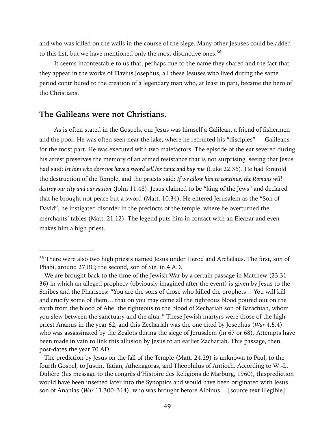and who was killed on the walls in the course of the siege. Many other Jesuses could be added to this list, but we have mentioned only the most distinctive ones.<sup>56</sup>

It seems incontestable to us that, perhaps due to the name they shared and the fact that they appear in the works of Flavius Josephus, all these Jesuses who lived during the same period contributed to the creation of a legendary man who, at least in part, became the hero of the Christians.

### **The Galileans were not Christians.**

As is often stated in the Gospels, our Jesus was himself a Galilean, a friend of fishermen and the poor. He was often seen near the lake, where he recruited his "disciples" — Galileans for the most part. He was executed with two malefactors. The episode of the ear severed during his arrest preserves the memory of an armed resistance that is not surprising, seeing that Jesus had said: *let him who does not have a sword sell his tunic and buy one* (Luke 22.36). He had foretold the destruction of the Temple, and the priests said: *If we allow him to continue, the Romans will destroy our city and our nation* (John 11.48). Jesus claimed to be "king of the Jews" and declared that he brought not peace but a sword (Matt. 10.34). He entered Jerusalem as the "Son of David"; he instigated disorder in the precincts of the temple, where he overturned the merchants' tables (Matt. 21.12). The legend puts him in contact with an Eleazar and even makes him a high priest.

<sup>&</sup>lt;sup>56</sup> There were also two high priests named Jesus under Herod and Archelaus. The first, son of Phabi, around 27 BC; the second, son of Sie, in 4 AD.

We are brought back to the time of the Jewish War by a certain passage in Matthew (23.31– 36) in which an alleged prophecy (obviously imagined after the event) is given by Jesus to the Scribes and the Pharisees: "You are the sons of those who killed the prophets… You will kill and crucify some of them… that on you may come all the righteous blood poured out on the earth from the blood of Abel the righteous to the blood of Zechariah son of Barachiah, whom you slew between the sanctuary and the altar." These Jewish martyrs were those of the high priest Ananus in the year 62, and this Zechariah was the one cited by Josephus (*War* 4.5.4) who was assassinated by the Zealots during the siege of Jerusalem (in 67 or 68). Attempts have been made in vain to link this allusion by Jesus to an earlier Zachariah. This passage, then, post-dates the year 70 AD.

The prediction by Jesus on the fall of the Temple (Matt. 24.29) is unknown to Paul, to the fourth Gospel, to Justin, Tatian, Athenagoras, and Theophilus of Antioch. According to W.-L. Dulière (his message to the congrès d'Histoire des Religions de Marburg, 1960), thisprediction would have been inserted later into the Synoptics and would have been originated with Jesus son of Ananias (*War* 11.300–314), who was brought before Albinus… [source text illegible]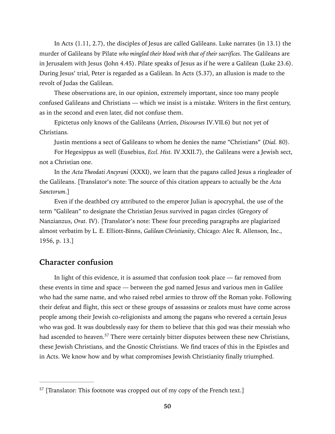In Acts (1.11, 2.7), the disciples of Jesus are called Galileans. Luke narrates (in 13.1) the murder of Galileans by Pilate *who mingled their blood with that of their sacrifices*. The Galileans are in Jerusalem with Jesus (John 4.45). Pilate speaks of Jesus as if he were a Galilean (Luke 23.6). During Jesus' trial, Peter is regarded as a Galilean. In Acts (5.37), an allusion is made to the revolt of Judas the Galilean.

These observations are, in our opinion, extremely important, since too many people confused Galileans and Christians — which we insist is a mistake. Writers in the first century, as in the second and even later, did not confuse them.

Epictetus only knows of the Galileans (Arrien, *Discourses* IV.VII.6) but not yet of Christians.

Justin mentions a sect of Galileans to whom he denies the name "Christians" (*Dial.* 80).

For Hegesippus as well (Eusebius, *Eccl. Hist.* IV.XXII.7), the Galileans were a Jewish sect, not a Christian one.

In the *Acta Theodati Ancyrani* (XXXI), we learn that the pagans called Jesus a ringleader of the Galileans. [Translator's note: The source of this citation appears to actually be the *Acta Sanctorum*.]

Even if the deathbed cry attributed to the emperor Julian is apocryphal, the use of the term "Galilean" to designate the Christian Jesus survived in pagan circles (Gregory of Nanzianzus, *Orat.* IV). [Translator's note: These four preceding paragraphs are plagiarized almost verbatim by L. E. Elliott-Binns, *Galilean Christianity*, Chicago: Alec R. Allenson, Inc., 1956, p. 13.]

### **Character confusion**

In light of this evidence, it is assumed that confusion took place — far removed from these events in time and space — between the god named Jesus and various men in Galilee who had the same name, and who raised rebel armies to throw off the Roman yoke. Following their defeat and flight, this sect or these groups of assassins or zealots must have come across people among their Jewish co-religionists and among the pagans who revered a certain Jesus who was god. It was doubtlessly easy for them to believe that this god was their messiah who had ascended to heaven.<sup>57</sup> There were certainly bitter disputes between these new Christians, these Jewish Christians, and the Gnostic Christians. We find traces of this in the Epistles and in Acts. We know how and by what compromises Jewish Christianity finally triumphed.

 $57$  [Translator: This footnote was cropped out of my copy of the French text.]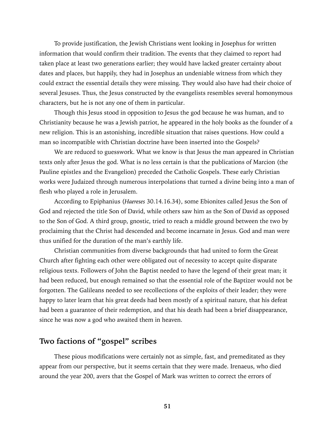To provide justification, the Jewish Christians went looking in Josephus for written information that would confirm their tradition. The events that they claimed to report had taken place at least two generations earlier; they would have lacked greater certainty about dates and places, but happily, they had in Josephus an undeniable witness from which they could extract the essential details they were missing. They would also have had their choice of several Jesuses. Thus, the Jesus constructed by the evangelists resembles several homonymous characters, but he is not any one of them in particular.

Though this Jesus stood in opposition to Jesus the god because he was human, and to Christianity because he was a Jewish patriot, he appeared in the holy books as the founder of a new religion. This is an astonishing, incredible situation that raises questions. How could a man so incompatible with Christian doctrine have been inserted into the Gospels?

We are reduced to guesswork. What we know is that Jesus the man appeared in Christian texts only after Jesus the god. What is no less certain is that the publications of Marcion (the Pauline epistles and the Evangelion) preceded the Catholic Gospels. These early Christian works were Judaized through numerous interpolations that turned a divine being into a man of flesh who played a role in Jerusalem.

According to Epiphanius (*Haereses* 30.14.16.34), some Ebionites called Jesus the Son of God and rejected the title Son of David, while others saw him as the Son of David as opposed to the Son of God. A third group, gnostic, tried to reach a middle ground between the two by proclaiming that the Christ had descended and become incarnate in Jesus. God and man were thus unified for the duration of the man's earthly life.

Christian communities from diverse backgrounds that had united to form the Great Church after fighting each other were obligated out of necessity to accept quite disparate religious texts. Followers of John the Baptist needed to have the legend of their great man; it had been reduced, but enough remained so that the essential role of the Baptizer would not be forgotten. The Galileans needed to see recollections of the exploits of their leader; they were happy to later learn that his great deeds had been mostly of a spiritual nature, that his defeat had been a guarantee of their redemption, and that his death had been a brief disappearance, since he was now a god who awaited them in heaven.

## **Two factions of "gospel" scribes**

These pious modifications were certainly not as simple, fast, and premeditated as they appear from our perspective, but it seems certain that they were made. Irenaeus, who died around the year 200, avers that the Gospel of Mark was written to correct the errors of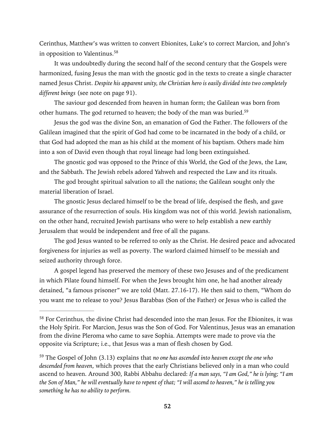Cerinthus, Matthew's was written to convert Ebionites, Luke's to correct Marcion, and John's in opposition to Valentinus.58

It was undoubtedly during the second half of the second century that the Gospels were harmonized, fusing Jesus the man with the gnostic god in the texts to create a single character named Jesus Christ. *Despite his apparent unity, the Christian hero is easily divided into two completely different beings* (see note on page 91).

The saviour god descended from heaven in human form; the Galilean was born from other humans. The god returned to heaven; the body of the man was buried.<sup>59</sup>

Jesus the god was the divine Son, an emanation of God the Father. The followers of the Galilean imagined that the spirit of God had come to be incarnated in the body of a child, or that God had adopted the man as his child at the moment of his baptism. Others made him into a son of David even though that royal lineage had long been extinguished.

The gnostic god was opposed to the Prince of this World, the God of the Jews, the Law, and the Sabbath. The Jewish rebels adored Yahweh and respected the Law and its rituals.

The god brought spiritual salvation to all the nations; the Galilean sought only the material liberation of Israel.

The gnostic Jesus declared himself to be the bread of life, despised the flesh, and gave assurance of the resurrection of souls. His kingdom was not of this world. Jewish nationalism, on the other hand, recruited Jewish partisans who were to help establish a new earthly Jerusalem that would be independent and free of all the pagans.

The god Jesus wanted to be referred to only as the Christ. He desired peace and advocated forgiveness for injuries as well as poverty. The warlord claimed himself to be messiah and seized authority through force.

A gospel legend has preserved the memory of these two Jesuses and of the predicament in which Pilate found himself. For when the Jews brought him one, he had another already detained, "a famous prisoner" we are told (Matt. 27.16-17). He then said to them, "Whom do you want me to release to you? Jesus Barabbas (Son of the Father) or Jesus who is called the

<sup>&</sup>lt;sup>58</sup> For Cerinthus, the divine Christ had descended into the man Jesus. For the Ebionites, it was the Holy Spirit. For Marcion, Jesus was the Son of God. For Valentinus, Jesus was an emanation from the divine Pleroma who came to save Sophia. Attempts were made to prove via the opposite via Scripture; i.e., that Jesus was a man of flesh chosen by God.

<sup>&</sup>lt;sup>59</sup> The Gospel of John (3.13) explains that *no one has ascended into heaven except the one who descended from heaven*, which proves that the early Christians believed only in a man who could ascend to heaven. Around 300, Rabbi Abbahu declared: *If a man says, "I am God," he is lying; "I am the Son of Man," he will eventually have to repent of that; "I will ascend to heaven," he is telling you something he has no ability to perform.*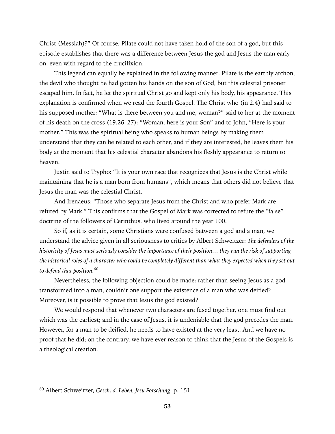Christ (Messiah)?" Of course, Pilate could not have taken hold of the son of a god, but this episode establishes that there was a difference between Jesus the god and Jesus the man early on, even with regard to the crucifixion.

This legend can equally be explained in the following manner: Pilate is the earthly archon, the devil who thought he had gotten his hands on the son of God, but this celestial prisoner escaped him. In fact, he let the spiritual Christ go and kept only his body, his appearance. This explanation is confirmed when we read the fourth Gospel. The Christ who (in 2.4) had said to his supposed mother: "What is there between you and me, woman?" said to her at the moment of his death on the cross (19.26–27): "Woman, here is your Son" and to John, "Here is your mother." This was the spiritual being who speaks to human beings by making them understand that they can be related to each other, and if they are interested, he leaves them his body at the moment that his celestial character abandons his fleshly appearance to return to heaven.

Justin said to Trypho: "It is your own race that recognizes that Jesus is the Christ while maintaining that he is a man born from humans", which means that others did not believe that Jesus the man was the celestial Christ.

And Irenaeus: "Those who separate Jesus from the Christ and who prefer Mark are refuted by Mark." This confirms that the Gospel of Mark was corrected to refute the "false" doctrine of the followers of Cerinthus, who lived around the year 100.

So if, as it is certain, some Christians were confused between a god and a man, we understand the advice given in all seriousness to critics by Albert Schweitzer: *The defenders of the historicity of Jesus must seriously consider the importance of their position… they run the risk of supporting the historical roles of a character who could be completely different than what they expected when they set out to defend that position.60*

Nevertheless, the following objection could be made: rather than seeing Jesus as a god transformed into a man, couldn't one support the existence of a man who was deified? Moreover, is it possible to prove that Jesus the god existed?

We would respond that whenever two characters are fused together, one must find out which was the earliest; and in the case of Jesus, it is undeniable that the god precedes the man. However, for a man to be deified, he needs to have existed at the very least. And we have no proof that he did; on the contrary, we have ever reason to think that the Jesus of the Gospels is a theological creation.

<sup>&</sup>lt;sup>60</sup> Albert Schweitzer, *Gesch. d. Leben, Jesu Forschung*, p. 151.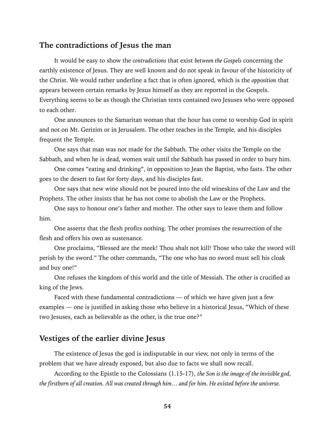### **The contradictions of Jesus the man**

It would be easy to show the *contradictions* that exist *between the Gospels* concerning the earthly existence of Jesus. They are well known and do not speak in favour of the historicity of the Christ. We would rather underline a fact that is often ignored, which is the *opposition* that appears between certain remarks by Jesus himself as they are reported in the Gospels. Everything seems to be as though the Christian texts contained two Jesuses who were opposed to each other.

One announces to the Samaritan woman that the hour has come to worship God in spirit and not on Mt. Gerizim or in Jerusalem. The other teaches in the Temple, and his disciples frequent the Temple.

One says that man was not made for the Sabbath. The other visits the Temple on the Sabbath, and when he is dead, women wait until the Sabbath has passed in order to bury him.

One comes "eating and drinking", in opposition to Jean the Baptist, who fasts. The other goes to the desert to fast for forty days, and his disciples fast.

One says that new wine should not be poured into the old wineskins of the Law and the Prophets. The other insists that he has not come to abolish the Law or the Prophets.

One says to honour one's father and mother. The other says to leave them and follow him.

One asserts that the flesh profits nothing. The other promises the resurrection of the flesh and offers his own as sustenance.

One proclaims, "Blessed are the meek! Thou shalt not kill! Those who take the sword will perish by the sword." The other commands, "The one who has no sword must sell his cloak and buy one!"

One refuses the kingdom of this world and the title of Messiah. The other is crucified as king of the Jews.

Faced with these fundamental contradictions — of which we have given just a few examples — one is justified in asking those who believe in a historical Jesus, "Which of these two Jesuses, each as believable as the other, is the true one?"

### **Vestiges of the earlier divine Jesus**

The existence of Jesus the god is indisputable in our view, not only in terms of the problem that we have already exposed, but also due to facts we shall now recall.

According to the Epistle to the Colossians (1.15-17), *the Son is the image of the invisible god, the firstborn of all creation. All was created through him… and for him. He existed before the universe.*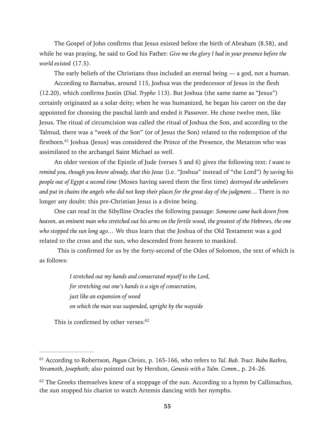The Gospel of John confirms that Jesus existed before the birth of Abraham (8.58), and while he was praying, he said to God his Father: *Give me the glory I had in your presence before the world existed* (17.5).

The early beliefs of the Christians thus included an eternal being — a god, not a human.

According to Barnabas, around 115, Joshua was the predecessor of Jesus in the flesh (12.20), which confirms Justin (*Dial. Trypho* 113). But Joshua (the same name as "Jesus") certainly originated as a solar deity; when he was humanized, he began his career on the day appointed for choosing the paschal lamb and ended it Passover. He chose twelve men, like Jesus. The ritual of circumcision was called the ritual of Joshua the Son, and according to the Talmud, there was a "week of the Son" (or of Jesus the Son) related to the redemption of the firstborn. $61$  Joshua (Jesus) was considered the Prince of the Presence, the Metatron who was assimilated to the archangel Saint Michael as well.

An older version of the Epistle of Jude (verses 5 and 6) gives the following text: *I want to remind you, though you know already, that this Jesus* (i.e. "Joshua" instead of "the Lord") *by saving his people out of Egypt a second time* (Moses having saved them the first time) *destroyed the unbelievers and put in chains the angels who did not keep their places for the great day of the judgment…* There is no longer any doubt: this pre-Christian Jesus is a divine being.

One can read in the Sibylline Oracles the following passage: *Someone came back down from heaven, an eminent man who stretched out his arms on the fertile wood, the greatest of the Hebrews, the one who stopped the sun long ago…* We thus learn that the Joshua of the Old Testament was a god related to the cross and the sun, who descended from heaven to mankind.

 This is confirmed for us by the forty-second of the Odes of Solomon, the text of which is as follows:

> *I stretched out my hands and consecrated myself to the Lord, for stretching out one's hands is a sign of consecration, just like an expansion of wood on which the man was suspended, upright by the wayside*

This is confirmed by other verses:<sup>62</sup>

According to Robertson, *Pagan Christs*, p. 165-166, who refers to *Tal. Bab. Tract. Baba Bathra,* <sup>61</sup> *Yevamoth, Josephoth*; also pointed out by Hershon, *Genesis with a Talm. Comm.*, p. 24–26.

 $62$  The Greeks themselves knew of a stoppage of the sun. According to a hymn by Callimachus, the sun stopped his chariot to watch Artemis dancing with her nymphs.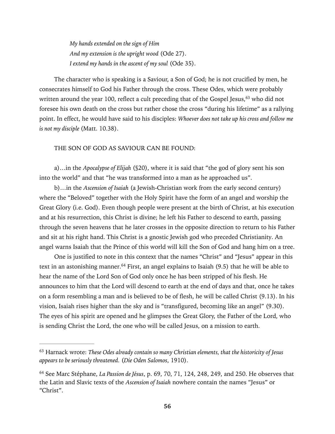*My hands extended on the sign of Him And my extension is the upright wood* (Ode 27). *I extend my hands in the ascent of my soul* (Ode 35).

The character who is speaking is a Saviour, a Son of God; he is not crucified by men, he consecrates himself to God his Father through the cross. These Odes, which were probably written around the year 100, reflect a cult preceding that of the Gospel Jesus,  $63$  who did not foresee his own death on the cross but rather chose the cross "during his lifetime" as a rallying point. In effect, he would have said to his disciples: *Whoever does not take up his cross and follow me is not my disciple* (Matt. 10.38).

#### THE SON OF GOD AS SAVIOUR CAN BE FOUND:

a)…in the *Apocalypse of Elijah* (§20), where it is said that "the god of glory sent his son into the world" and that "he was transformed into a man as he approached us".

b)…in the *Ascension of Isaiah* (a Jewish-Christian work from the early second century) where the "Beloved" together with the Holy Spirit have the form of an angel and worship the Great Glory (i.e. God). Even though people were present at the birth of Christ, at his execution and at his resurrection, this Christ is divine; he left his Father to descend to earth, passing through the seven heavens that he later crosses in the opposite direction to return to his Father and sit at his right hand. This Christ is a gnostic Jewish god who preceded Christianity. An angel warns Isaiah that the Prince of this world will kill the Son of God and hang him on a tree.

One is justified to note in this context that the names "Christ" and "Jesus" appear in this text in an astonishing manner.<sup>64</sup> First, an angel explains to Isaiah (9.5) that he will be able to hear the name of the Lord Son of God only once he has been stripped of his flesh. He announces to him that the Lord will descend to earth at the end of days and that, once he takes on a form resembling a man and is believed to be of flesh, he will be called Christ (9.13). In his vision, Isaiah rises higher than the sky and is "transfigured, becoming like an angel" (9.30). The eyes of his spirit are opened and he glimpses the Great Glory, the Father of the Lord, who is sending Christ the Lord, the one who will be called Jesus, on a mission to earth.

Harnack wrote: *These Odes already contain so many Christian elements, that the historicity of Jesus* <sup>63</sup> *appears to be seriously threatened.* (*Die Oden Salomos*, 1910).

<sup>&</sup>lt;sup>64</sup> See Marc Stéphane, *La Passion de Jésus*, p. 69, 70, 71, 124, 248, 249, and 250. He observes that the Latin and Slavic texts of the *Ascension of Isaiah* nowhere contain the names "Jesus" or "Christ".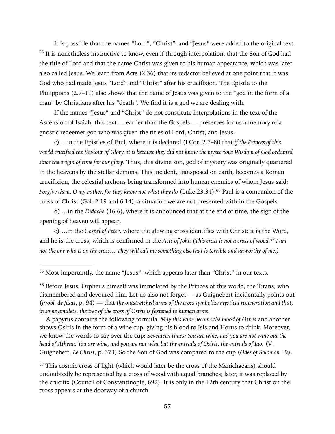It is possible that the names "Lord", "Christ", and "Jesus" were added to the original text.  $65$  It is nonetheless instructive to know, even if through interpolation, that the Son of God had the title of Lord and that the name Christ was given to his human appearance, which was later also called Jesus. We learn from Acts (2.36) that its redactor believed at one point that it was God who had made Jesus "Lord" and "Christ" after his crucifixion. The Epistle to the Philippians (2.7–11) also shows that the name of Jesus was given to the "god in the form of a man" by Christians after his "death". We find it is a god we are dealing with.

If the names "Jesus" and "Christ" do not constitute interpolations in the text of the Ascension of Isaiah, this text — earlier than the Gospels — preserves for us a memory of a gnostic redeemer god who was given the titles of Lord, Christ, and Jesus.

c) …in the Epistles of Paul, where it is declared (I Cor. 2.7–80 that *if the Princes of this world crucified the Saviour of Glory, it is because they did not know the mysterious Wisdom of God ordained since the origin of time for our glory.* Thus, this divine son, god of mystery was originally quartered in the heavens by the stellar demons. This incident, transposed on earth, becomes a Roman crucifixion, the celestial archons being transformed into human enemies of whom Jesus said: *Forgive them, O my Father, for they know not what they do* (Luke 23.34).<sup>66</sup> Paul is a companion of the cross of Christ (Gal. 2.19 and 6.14), a situation we are not presented with in the Gospels.

d) …in the *Didache* (16.6), where it is announced that at the end of time, the sign of the opening of heaven will appear.

e) …in the *Gospel of Peter*, where the glowing cross identifies with Christ; it is the Word, and he is the cross, which is confirmed in the *Acts of John (This cross is not a cross of wood.*<sup>67</sup> I am *not the one who is on the cross… They will call me something else that is terrible and unworthy of me.)*

 A papyrus contains the following formula: *May this wine become the blood of Osiris* and another shows Osiris in the form of a wine cup, giving his blood to Isis and Horus to drink. Moreover, we know the words to say over the cup: *Seventeen times: You are wine, and you are not wine but the head of Athena. You are wine, and you are not wine but the entrails of Osiris, the entrails of Iao.* (V. Guignebert, *Le Christ*, p. 373) So the Son of God was compared to the cup (*Odes of Solomon* 19).

 $67$  This cosmic cross of light (which would later be the cross of the Manichaeans) should undoubtedly be represented by a cross of wood with equal branches; later, it was replaced by the crucifix (Council of Constantinople, 692). It is only in the 12th century that Christ on the cross appears at the doorway of a church

 $65$  Most importantly, the name "Jesus", which appears later than "Christ" in our texts.

<sup>&</sup>lt;sup>66</sup> Before Jesus, Orpheus himself was immolated by the Princes of this world, the Titans, who dismembered and devoured him. Let us also not forget — as Guignebert incidentally points out (*Probl. de Jésus*, p. 94) — that *the outstretched arms of the cross symbolize mystical regeneration and that, in some amulets, the tree of the cross of Osiris is fastened to human arms.*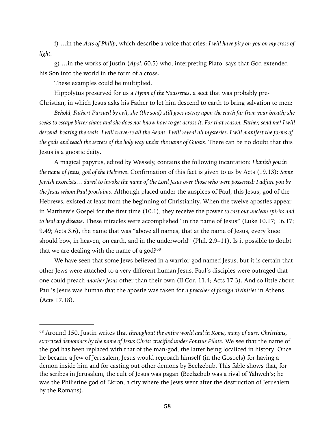f) …in the *Acts of Philip*, which describe a voice that cries: *I will have pity on you on my cross of light.*

g) …in the works of Justin (*Apol.* 60.5) who, interpreting Plato, says that God extended his Son into the world in the form of a cross.

These examples could be multiplied.

Hippolytus preserved for us a *Hymn of the Naassenes*, a sect that was probably pre-Christian, in which Jesus asks his Father to let him descend to earth to bring salvation to men:

*Behold, Father! Pursued by evil, she (the soul) still goes astray upon the earth far from your breath; she seeks to escape bitter chaos and she does not know how to get across it. For that reason, Father, send me! I will descend bearing the seals. I will traverse all the Aeons. I will reveal all mysteries. I will manifest the forms of the gods and teach the secrets of the holy way under the name of Gnosis*. There can be no doubt that this Jesus is a gnostic deity.

A magical papyrus, edited by Wessely, contains the following incantation: *I banish you in the name of Jesus, god of the Hebrews*. Confirmation of this fact is given to us by Acts (19.13): *Some Jewish exorcists… dared to invoke the name of the Lord Jesus over those who were possessed: I adjure you by the Jesus whom Paul proclaims*. Although placed under the auspices of Paul, this Jesus, god of the Hebrews, existed at least from the beginning of Christianity. When the twelve apostles appear in Matthew's Gospel for the first time (10.1), they receive the power *to cast out unclean spirits and to heal any disease*. These miracles were accomplished "in the name of Jesus" (Luke 10.17; 16.17; 9.49; Acts 3.6), the name that was "above all names, that at the name of Jesus, every knee should bow, in heaven, on earth, and in the underworld" (Phil. 2.9–11). Is it possible to doubt that we are dealing with the name of a god? $68$ 

We have seen that some Jews believed in a warrior-god named Jesus, but it is certain that other Jews were attached to a very different human Jesus. Paul's disciples were outraged that one could preach *another Jesus* other than their own (II Cor. 11.4; Acts 17.3). And so little about Paul's Jesus was human that the apostle was taken for *a preacher of foreign divinities* in Athens (Acts 17.18).

Around 150, Justin writes that *throughout the entire world and in Rome, many of ours, Christians,* <sup>68</sup> *exorcized demoniacs by the name of Jesus Christ crucified under Pontius Pilate*. We see that the name of the god has been replaced with that of the man-god, the latter being localized in history. Once he became a Jew of Jerusalem, Jesus would reproach himself (in the Gospels) for having a demon inside him and for casting out other demons by Beelzebub. This fable shows that, for the scribes in Jerusalem, the cult of Jesus was pagan (Beelzebub was a rival of Yahweh's; he was the Philistine god of Ekron, a city where the Jews went after the destruction of Jerusalem by the Romans).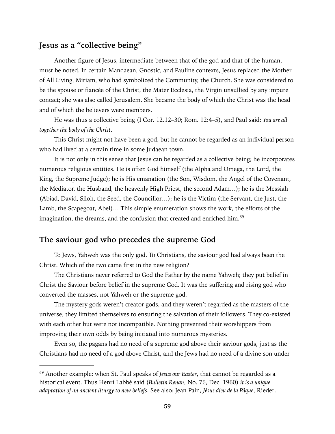# **Jesus as a "collective being"**

Another figure of Jesus, intermediate between that of the god and that of the human, must be noted. In certain Mandaean, Gnostic, and Pauline contexts, Jesus replaced the Mother of All Living, Miriam, who had symbolized the Community, the Church. She was considered to be the spouse or fiancée of the Christ, the Mater Ecclesia, the Virgin unsullied by any impure contact; she was also called Jerusalem. She became the body of which the Christ was the head and of which the believers were members.

He was thus a collective being (I Cor. 12.12–30; Rom. 12:4–5), and Paul said: *You are all together the body of the Christ*.

This Christ might not have been a god, but he cannot be regarded as an individual person who had lived at a certain time in some Judaean town.

It is not only in this sense that Jesus can be regarded as a collective being; he incorporates numerous religious entities. He is often God himself (the Alpha and Omega, the Lord, the King, the Supreme Judge); he is His emanation (the Son, Wisdom, the Angel of the Covenant, the Mediator, the Husband, the heavenly High Priest, the second Adam…); he is the Messiah (Abiad, David, Siloh, the Seed, the Councillor…); he is the Victim (the Servant, the Just, the Lamb, the Scapegoat, Abel)… This simple enumeration shows the work, the efforts of the imagination, the dreams, and the confusion that created and enriched him.<sup>69</sup>

### **The saviour god who precedes the supreme God**

To Jews, Yahweh was the only god. To Christians, the saviour god had always been the Christ. Which of the two came first in the new religion?

The Christians never referred to God the Father by the name Yahweh; they put belief in Christ the Saviour before belief in the supreme God. It was the suffering and rising god who converted the masses, not Yahweh or the supreme god.

The mystery gods weren't creator gods, and they weren't regarded as the masters of the universe; they limited themselves to ensuring the salvation of their followers. They co-existed with each other but were not incompatible. Nothing prevented their worshippers from improving their own odds by being initiated into numerous mysteries.

Even so, the pagans had no need of a supreme god above their saviour gods, just as the Christians had no need of a god above Christ, and the Jews had no need of a divine son under

<sup>&</sup>lt;sup>69</sup> Another example: when St. Paul speaks of *Jesus our Easter*, that cannot be regarded as a historical event. Thus Henri Labbé said (*Bulletin Renan*, No. 76, Dec. 1960) *it is a unique adaptation of an ancient liturgy to new beliefs*. See also: Jean Pain, *Jésus dieu de la Pâque*, Rieder.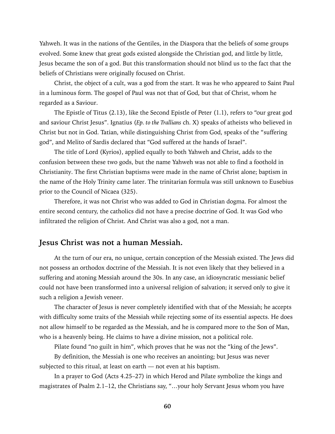Yahweh. It was in the nations of the Gentiles, in the Diaspora that the beliefs of some groups evolved. Some knew that great gods existed alongside the Christian god, and little by little, Jesus became the son of a god. But this transformation should not blind us to the fact that the beliefs of Christians were originally focused on Christ.

Christ, the object of a cult, was a god from the start. It was he who appeared to Saint Paul in a luminous form. The gospel of Paul was not that of God, but that of Christ, whom he regarded as a Saviour.

The Epistle of Titus (2.13), like the Second Epistle of Peter (1.1), refers to "our great god and saviour Christ Jesus". Ignatius (*Ep. to the Trallians* ch. X) speaks of atheists who believed in Christ but not in God. Tatian, while distinguishing Christ from God, speaks of the "suffering god", and Melito of Sardis declared that "God suffered at the hands of Israel".

The title of Lord (Kyrios), applied equally to both Yahweh and Christ, adds to the confusion between these two gods, but the name Yahweh was not able to find a foothold in Christianity. The first Christian baptisms were made in the name of Christ alone; baptism in the name of the Holy Trinity came later. The trinitarian formula was still unknown to Eusebius prior to the Council of Nicaea (325).

Therefore, it was not Christ who was added to God in Christian dogma. For almost the entire second century, the catholics did not have a precise doctrine of God. It was God who infiltrated the religion of Christ. And Christ was also a god, not a man.

### **Jesus Christ was not a human Messiah.**

At the turn of our era, no unique, certain conception of the Messiah existed. The Jews did not possess an orthodox doctrine of the Messiah. It is not even likely that they believed in a suffering and atoning Messiah around the 30s. In any case, an idiosyncratic messianic belief could not have been transformed into a universal religion of salvation; it served only to give it such a religion a Jewish veneer.

The character of Jesus is never completely identified with that of the Messiah; he accepts with difficulty some traits of the Messiah while rejecting some of its essential aspects. He does not allow himself to be regarded as the Messiah, and he is compared more to the Son of Man, who is a heavenly being. He claims to have a divine mission, not a political role.

Pilate found "no guilt in him", which proves that he was not the "king of the Jews".

By definition, the Messiah is one who receives an anointing; but Jesus was never subjected to this ritual, at least on earth — not even at his baptism.

In a prayer to God (Acts 4.25–27) in which Herod and Pilate symbolize the kings and magistrates of Psalm 2.1–12, the Christians say, "…your holy Servant Jesus whom you have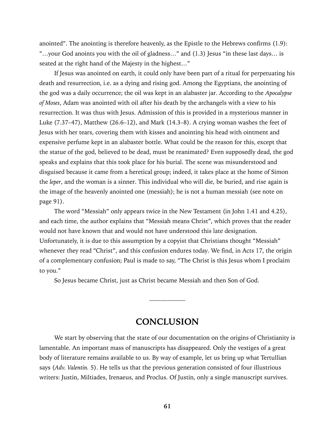anointed". The anointing is therefore heavenly, as the Epistle to the Hebrews confirms (1.9): "…your God anoints you with the oil of gladness…" and (1.3) Jesus "in these last days… is seated at the right hand of the Majesty in the highest…"

If Jesus was anointed on earth, it could only have been part of a ritual for perpetuating his death and resurrection, i.e. as a dying and rising god. Among the Egyptians, the anointing of the god was a daily occurrence; the oil was kept in an alabaster jar. According to the *Apocalypse of Moses*, Adam was anointed with oil after his death by the archangels with a view to his resurrection. It was thus with Jesus. Admission of this is provided in a mysterious manner in Luke (7.37–47), Matthew (26.6–12), and Mark (14.3–8). A crying woman washes the feet of Jesus with her tears, covering them with kisses and anointing his head with ointment and expensive perfume kept in an alabaster bottle. What could be the reason for this, except that the statue of the god, believed to be dead, must be reanimated? Even supposedly dead, the god speaks and explains that this took place for his burial. The scene was misunderstood and disguised because it came from a heretical group; indeed, it takes place at the home of Simon the *leper*, and the woman is a sinner. This individual who will die, be buried, and rise again is the image of the heavenly anointed one (messiah); he is not a human messiah (see note on page 91).

The word "Messiah" only appears twice in the New Testament (in John 1.41 and 4.25), and each time, the author explains that "Messiah means Christ", which proves that the reader would not have known that and would not have understood this late designation. Unfortunately, it is due to this assumption by a copyist that Christians thought "Messiah" whenever they read "Christ", and this confusion endures today. We find, in Acts 17, the origin of a complementary confusion; Paul is made to say, "The Christ is this Jesus whom I proclaim to you."

So Jesus became Christ, just as Christ became Messiah and then Son of God.

# **CONCLUSION**

——————

We start by observing that the state of our documentation on the origins of Christianity is lamentable. An important mass of manuscripts has disappeared. Only the vestiges of a great body of literature remains available to us. By way of example, let us bring up what Tertullian says (*Adv. Valentin.* 5). He tells us that the previous generation consisted of four illustrious writers: Justin, Miltiades, Irenaeus, and Proclus. Of Justin, only a single manuscript survives.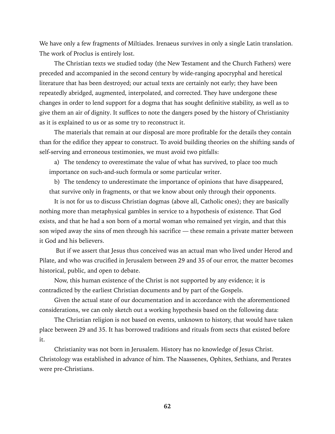We have only a few fragments of Miltiades. Irenaeus survives in only a single Latin translation. The work of Proclus is entirely lost.

The Christian texts we studied today (the New Testament and the Church Fathers) were preceded and accompanied in the second century by wide-ranging apocryphal and heretical literature that has been destroyed; our actual texts are certainly not early; they have been repeatedly abridged, augmented, interpolated, and corrected. They have undergone these changes in order to lend support for a dogma that has sought definitive stability, as well as to give them an air of dignity. It suffices to note the dangers posed by the history of Christianity as it is explained to us or as some try to reconstruct it.

The materials that remain at our disposal are more profitable for the details they contain than for the edifice they appear to construct. To avoid building theories on the shifting sands of self-serving and erroneous testimonies, we must avoid two pitfalls:

a) The tendency to overestimate the value of what has survived, to place too much importance on such-and-such formula or some particular writer.

b) The tendency to underestimate the importance of opinions that have disappeared, that survive only in fragments, or that we know about only through their opponents.

It is not for us to discuss Christian dogmas (above all, Catholic ones); they are basically nothing more than metaphysical gambles in service to a hypothesis of existence. That God exists, and that he had a son born of a mortal woman who remained yet virgin, and that this son wiped away the sins of men through his sacrifice — these remain a private matter between it God and his believers.

 But if we assert that Jesus thus conceived was an actual man who lived under Herod and Pilate, and who was crucified in Jerusalem between 29 and 35 of our error, the matter becomes historical, public, and open to debate.

Now, this human existence of the Christ is not supported by any evidence; it is contradicted by the earliest Christian documents and by part of the Gospels.

Given the actual state of our documentation and in accordance with the aforementioned considerations, we can only sketch out a working hypothesis based on the following data:

The Christian religion is not based on events, unknown to history, that would have taken place between 29 and 35. It has borrowed traditions and rituals from sects that existed before it.

Christianity was not born in Jerusalem. History has no knowledge of Jesus Christ. Christology was established in advance of him. The Naassenes, Ophites, Sethians, and Perates were pre-Christians.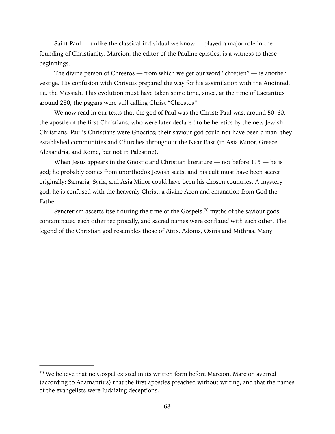Saint Paul — unlike the classical individual we know — played a major role in the founding of Christianity. Marcion, the editor of the Pauline epistles, is a witness to these beginnings.

The divine person of Chrestos — from which we get our word "chrétien" — is another vestige. His confusion with Christus prepared the way for his assimilation with the Anointed, i.e. the Messiah. This evolution must have taken some time, since, at the time of Lactantius around 280, the pagans were still calling Christ "Chrestos".

We now read in our texts that the god of Paul was the Christ; Paul was, around 50–60, the apostle of the first Christians, who were later declared to be heretics by the new Jewish Christians. Paul's Christians were Gnostics; their saviour god could not have been a man; they established communities and Churches throughout the Near East (in Asia Minor, Greece, Alexandria, and Rome, but not in Palestine).

When Jesus appears in the Gnostic and Christian literature — not before  $115$  — he is god; he probably comes from unorthodox Jewish sects, and his cult must have been secret originally; Samaria, Syria, and Asia Minor could have been his chosen countries. A mystery god, he is confused with the heavenly Christ, a divine Aeon and emanation from God the Father.

Syncretism asserts itself during the time of the Gospels;<sup>70</sup> myths of the saviour gods contaminated each other reciprocally, and sacred names were conflated with each other. The legend of the Christian god resembles those of Attis, Adonis, Osiris and Mithras. Many

 $70$  We believe that no Gospel existed in its written form before Marcion. Marcion averred (according to Adamantius) that the first apostles preached without writing, and that the names of the evangelists were Judaizing deceptions.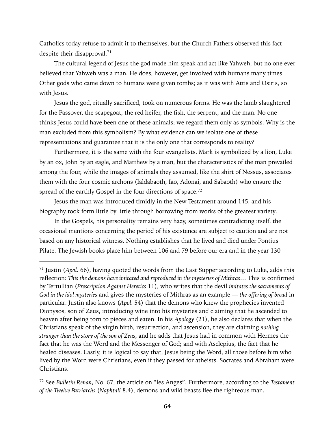Catholics today refuse to admit it to themselves, but the Church Fathers observed this fact despite their disapproval.<sup>71</sup>

The cultural legend of Jesus the god made him speak and act like Yahweh, but no one ever believed that Yahweh was a man. He does, however, get involved with humans many times. Other gods who came down to humans were given tombs; as it was with Attis and Osiris, so with Jesus.

Jesus the god, ritually sacrificed, took on numerous forms. He was the lamb slaughtered for the Passover, the scapegoat, the red heifer, the fish, the serpent, and the man. No one thinks Jesus could have been one of these animals; we regard them only as symbols. Why is the man excluded from this symbolism? By what evidence can we isolate one of these representations and guarantee that it is the only one that corresponds to reality?

Furthermore, it is the same with the four evangelists. Mark is symbolized by a lion, Luke by an ox, John by an eagle, and Matthew by a man, but the characteristics of the man prevailed among the four, while the images of animals they assumed, like the shirt of Nessus, associates them with the four cosmic archons (Ialdabaoth, Iao, Adonai, and Sabaoth) who ensure the spread of the earthly Gospel in the four directions of space.<sup>72</sup>

Jesus the man was introduced timidly in the New Testament around 145, and his biography took form little by little through borrowing from works of the greatest variety.

In the Gospels, his personality remains very hazy, sometimes contradicting itself. the occasional mentions concerning the period of his existence are subject to caution and are not based on any historical witness. Nothing establishes that he lived and died under Pontius Pilate. The Jewish books place him between 106 and 79 before our era and in the year 130

<sup>&</sup>lt;sup>71</sup> Justin (*Apol.* 66), having quoted the words from the Last Supper according to Luke, adds this reflection: *This the demons have imitated and reproduced in the mysteries of Mithras*… This is confirmed by Tertullian (*Prescription Against Heretics* 11), who writes that the devil *imitates the sacraments of God in the idol mysteries* and gives the mysteries of Mithras as an example — *the offering of bread* in particular. Justin also knows (*Apol.* 54) that the demons who knew the prophecies invented Dionysos, son of Zeus, introducing wine into his mysteries and claiming that he ascended to heaven after being torn to pieces and eaten. In his *Apology* (21), he also declares that when the Christians speak of the virgin birth, resurrection, and ascension, they are claiming *nothing stranger than the story of the son of Zeus*, and he adds that Jesus had in common with Hermes the fact that he was the Word and the Messenger of God; and with Asclepius, the fact that he healed diseases. Lastly, it is logical to say that, Jesus being the Word, all those before him who lived by the Word were Christians, even if they passed for atheists. Socrates and Abraham were Christians.

See *Bulletin Renan*, No. 67, the article on "les Anges". Furthermore, according to the *Testament* <sup>72</sup> *of the Twelve Patriarchs* (*Naphtali* 8.4), demons and wild beasts flee the righteous man.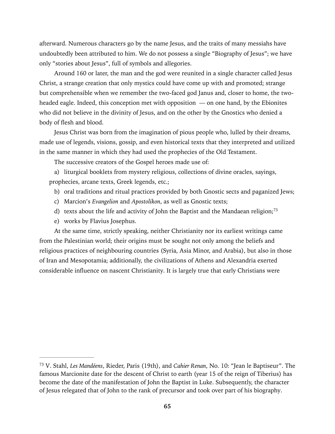afterward. Numerous characters go by the name Jesus, and the traits of many messiahs have undoubtedly been attributed to him. We do not possess a single "Biography of Jesus"; we have only "stories about Jesus", full of symbols and allegories.

Around 160 or later, the man and the god were reunited in a single character called Jesus Christ, a strange creation that only mystics could have come up with and promoted; strange but comprehensible when we remember the two-faced god Janus and, closer to home, the twoheaded eagle. Indeed, this conception met with opposition — on one hand, by the Ebionites who did not believe in the divinity of Jesus, and on the other by the Gnostics who denied a body of flesh and blood.

Jesus Christ was born from the imagination of pious people who, lulled by their dreams, made use of legends, visions, gossip, and even historical texts that they interpreted and utilized in the same manner in which they had used the prophecies of the Old Testament.

The successive creators of the Gospel heroes made use of:

a) liturgical booklets from mystery religious, collections of divine oracles, sayings, prophecies, arcane texts, Greek legends, etc.;

- b) oral traditions and ritual practices provided by both Gnostic sects and paganized Jews;
- c) Marcion's *Evangelion* and *Apostolikon*, as well as Gnostic texts;
- d) texts about the life and activity of John the Baptist and the Mandaean religion;<sup>73</sup>
- e) works by Flavius Josephus.

At the same time, strictly speaking, neither Christianity nor its earliest writings came from the Palestinian world; their origins must be sought not only among the beliefs and religious practices of neighbouring countries (Syria, Asia Minor, and Arabia), but also in those of Iran and Mesopotamia; additionally, the civilizations of Athens and Alexandria exerted considerable influence on nascent Christianity. It is largely true that early Christians were

V. Stahl, *Les Mandéens*, Rieder, Paris (19th), and *Cahier Renan*, No. 10: "Jean le Baptiseur". The 73 famous Marcionite date for the descent of Christ to earth (year 15 of the reign of Tiberius) has become the date of the manifestation of John the Baptist in Luke. Subsequently, the character of Jesus relegated that of John to the rank of precursor and took over part of his biography.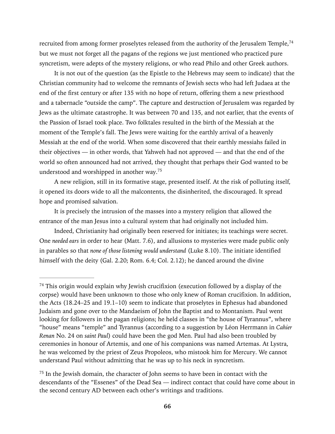recruited from among former proselytes released from the authority of the Jerusalem Temple,<sup>74</sup> but we must not forget all the pagans of the regions we just mentioned who practiced pure syncretism, were adepts of the mystery religions, or who read Philo and other Greek authors.

It is not out of the question (as the Epistle to the Hebrews may seem to indicate) that the Christian community had to welcome the remnants of Jewish sects who had left Judaea at the end of the first century or after 135 with no hope of return, offering them a new priesthood and a tabernacle "outside the camp". The capture and destruction of Jerusalem was regarded by Jews as the ultimate catastrophe. It was between 70 and 135, and not earlier, that the events of the Passion of Israel took place. Two folktales resulted in the birth of the Messiah at the moment of the Temple's fall. The Jews were waiting for the earthly arrival of a heavenly Messiah at the end of the world. When some discovered that their earthly messiahs failed in their objectives — in other words, that Yahweh had not approved — and that the end of the world so often announced had not arrived, they thought that perhaps their God wanted to be understood and worshipped in another way.75

A new religion, still in its formative stage, presented itself. At the risk of polluting itself, it opened its doors wide to all the malcontents, the disinherited, the discouraged. It spread hope and promised salvation.

It is precisely the intrusion of the masses into a mystery religion that allowed the entrance of the man Jesus into a cultural system that had originally not included him.

Indeed, Christianity had originally been reserved for initiates; its teachings were secret. One *needed ears* in order to hear (Matt. 7.6), and allusions to mysteries were made public only in parables so that *none of those listening would understand* (Luke 8.10). The initiate identified himself with the deity (Gal. 2.20; Rom. 6.4; Col. 2.12); he danced around the divine

 $74$  This origin would explain why Jewish crucifixion (execution followed by a display of the corpse) would have been unknown to those who only knew of Roman crucifixion. In addition, the Acts (18.24–25 and 19.1–10) seem to indicate that proselytes in Ephesus had abandoned Judaism and gone over to the Mandaeism of John the Baptist and to Montanism. Paul went looking for followers in the pagan religions; he held classes in "the house of Tyrannus", where "house" means "temple" and Tyrannus (according to a suggestion by Léon Herrmann in *Cahier Renan* No. 24 on *saint Paul*) could have been the god Men. Paul had also been troubled by ceremonies in honour of Artemis, and one of his companions was named Artemas. At Lystra, he was welcomed by the priest of Zeus Propoleos, who mistook him for Mercury. We cannot understand Paul without admitting that he was up to his neck in syncretism.

 $<sup>75</sup>$  In the Jewish domain, the character of John seems to have been in contact with the</sup> descendants of the "Essenes" of the Dead Sea — indirect contact that could have come about in the second century AD between each other's writings and traditions.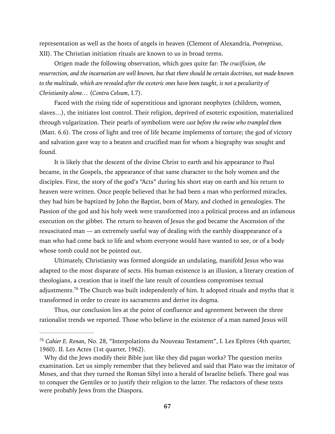representation as well as the hosts of angels in heaven (Clement of Alexandria, *Protrepticus*, XII). The Christian initiation rituals are known to us in broad terms.

Origen made the following observation, which goes quite far: *The crucifixion, the resurrection, and the incarnation are well known, but that there should be certain doctrines, not made known to the multitude, which are revealed after the exoteric ones have been taught, is not a peculiarity of Christianity alone…* (*Contra Celsum*, I.7).

Faced with the rising tide of superstitious and ignorant neophytes (children, women, slaves…), the initiates lost control. Their religion, deprived of esoteric exposition, materialized through vulgarization. Their pearls of symbolism were *cast before the swine who trampled them* (Matt. 6.6). The cross of light and tree of life became implements of torture; the god of victory and salvation gave way to a beaten and crucified man for whom a biography was sought and found.

It is likely that the descent of the divine Christ to earth and his appearance to Paul became, in the Gospels, the appearance of that same character to the holy women and the disciples. First, the story of the god's "Acts" during his short stay on earth and his return to heaven were written. Once people believed that he had been a man who performed miracles, they had him be baptized by John the Baptist, born of Mary, and clothed in genealogies. The Passion of the god and his holy week were transformed into a political process and an infamous execution on the gibbet. The return to heaven of Jesus the god became the Ascension of the resuscitated man — an extremely useful way of dealing with the earthly disappearance of a man who had come back to life and whom everyone would have wanted to see, or of a body whose tomb could not be pointed out.

Ultimately, Christianity was formed alongside an undulating, manifold Jesus who was adapted to the most disparate of sects. His human existence is an illusion, a literary creation of theologians, a creation that is itself the late result of countless compromises textual adjustments.<sup>76</sup> The Church was built independently of him. It adopted rituals and myths that it transformed in order to create its sacraments and derive its dogma.

Thus, our conclusion lies at the point of confluence and agreement between the three rationalist trends we reported. Those who believe in the existence of a man named Jesus will

*Cahier E. Renan*, No. 28, "Interpolations du Nouveau Testament", I. Les Epîtres (4th quarter, 76 1960). II. Les Actes (1st quarter, 1962).

Why did the Jews modify their Bible just like they did pagan works? The question merits examination. Let us simply remember that they believed and said that Plato was the imitator of Moses, and that they turned the Roman Sibyl into a herald of Israelite beliefs. There goal was to conquer the Gentiles or to justify their religion to the latter. The redactors of these texts were probably Jews from the Diaspora.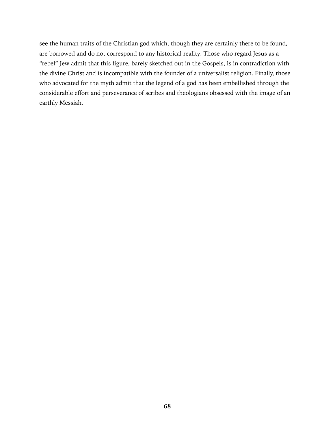see the human traits of the Christian god which, though they are certainly there to be found, are borrowed and do not correspond to any historical reality. Those who regard Jesus as a "rebel" Jew admit that this figure, barely sketched out in the Gospels, is in contradiction with the divine Christ and is incompatible with the founder of a universalist religion. Finally, those who advocated for the myth admit that the legend of a god has been embellished through the considerable effort and perseverance of scribes and theologians obsessed with the image of an earthly Messiah.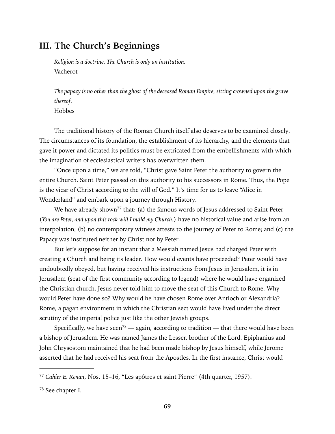# **III. The Church's Beginnings**

*Religion is a doctrine. The Church is only an institution.*  Vacherot

*The papacy is no other than the ghost of the deceased Roman Empire, sitting crowned upon the grave thereof.*

Hobbes

The traditional history of the Roman Church itself also deserves to be examined closely. The circumstances of its foundation, the establishment of its hierarchy, and the elements that gave it power and dictated its politics must be extricated from the embellishments with which the imagination of ecclesiastical writers has overwritten them.

"Once upon a time," we are told, "Christ gave Saint Peter the authority to govern the entire Church. Saint Peter passed on this authority to his successors in Rome. Thus, the Pope is the vicar of Christ according to the will of God." It's time for us to leave "Alice in Wonderland" and embark upon a journey through History.

We have already shown<sup>77</sup> that: (a) the famous words of Jesus addressed to Saint Peter (*You are Peter, and upon this rock will I build my Church.*) have no historical value and arise from an interpolation; (b) no contemporary witness attests to the journey of Peter to Rome; and (c) the Papacy was instituted neither by Christ nor by Peter.

But let's suppose for an instant that a Messiah named Jesus had charged Peter with creating a Church and being its leader. How would events have proceeded? Peter would have undoubtedly obeyed, but having received his instructions from Jesus in Jerusalem, it is in Jerusalem (seat of the first community according to legend) where he would have organized the Christian church. Jesus never told him to move the seat of this Church to Rome. Why would Peter have done so? Why would he have chosen Rome over Antioch or Alexandria? Rome, a pagan environment in which the Christian sect would have lived under the direct scrutiny of the imperial police just like the other Jewish groups.

Specifically, we have seen<sup>78</sup> — again, according to tradition — that there would have been a bishop of Jerusalem. He was named James the Lesser, brother of the Lord. Epiphanius and John Chrysostom maintained that he had been made bishop by Jesus himself, while Jerome asserted that he had received his seat from the Apostles. In the first instance, Christ would

*Cahier E. Renan*, Nos. 15–16, "Les apôtres et saint Pierre" (4th quarter, 1957). <sup>77</sup>

<sup>&</sup>lt;sup>78</sup> See chapter I.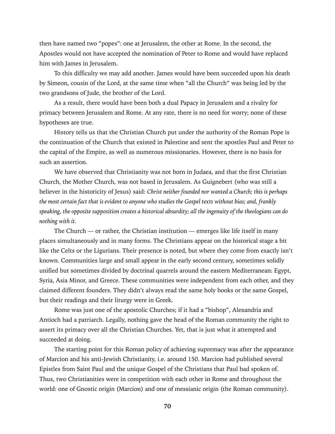then have named two "popes": one at Jerusalem, the other at Rome. In the second, the Apostles would not have accepted the nomination of Peter to Rome and would have replaced him with James in Jerusalem.

To this difficulty we may add another. James would have been succeeded upon his death by Simeon, cousin of the Lord, at the same time when "all the Church" was being led by the two grandsons of Jude, the brother of the Lord.

As a result, there would have been both a dual Papacy in Jerusalem and a rivalry for primacy between Jerusalem and Rome. At any rate, there is no need for worry; none of these hypotheses are true.

History tells us that the Christian Church put under the authority of the Roman Pope is the continuation of the Church that existed in Palestine and sent the apostles Paul and Peter to the capital of the Empire, as well as numerous missionaries. However, there is no basis for such an assertion.

We have observed that Christianity was not born in Judaea, and that the first Christian Church, the Mother Church, was not based in Jerusalem. As Guignebert (who was still a believer in the historicity of Jesus) said: *Christ neither founded nor wanted a Church; this is perhaps the most certain fact that is evident to anyone who studies the Gospel texts without bias; and, frankly speaking, the opposite supposition creates a historical absurdity; all the ingenuity of the theologians can do nothing with it.*

The Church — or rather, the Christian institution — emerges like life itself in many places simultaneously and in many forms. The Christians appear on the historical stage a bit like the Celts or the Ligurians. Their presence is noted, but where they come from exactly isn't known. Communities large and small appear in the early second century, sometimes solidly unified but sometimes divided by doctrinal quarrels around the eastern Mediterranean: Egypt, Syria, Asia Minor, and Greece. These communities were independent from each other, and they claimed different founders. They didn't always read the same holy books or the same Gospel, but their readings and their liturgy were in Greek.

Rome was just one of the apostolic Churches; if it had a "bishop", Alexandria and Antioch had a patriarch. Legally, nothing gave the head of the Roman community the right to assert its primacy over all the Christian Churches. Yet, that is just what it attempted and succeeded at doing.

The starting point for this Roman policy of achieving supremacy was after the appearance of Marcion and his anti-Jewish Christianity, i.e. around 150. Marcion had published several Epistles from Saint Paul and the unique Gospel of the Christians that Paul had spoken of. Thus, two Christianities were in competition with each other in Rome and throughout the world: one of Gnostic origin (Marcion) and one of messianic origin (the Roman community).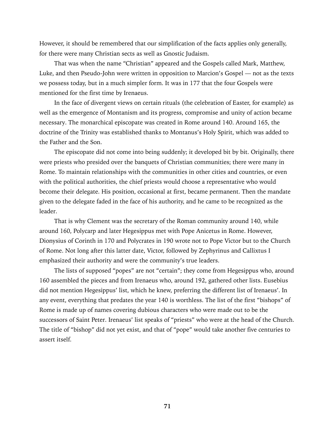However, it should be remembered that our simplification of the facts applies only generally, for there were many Christian sects as well as Gnostic Judaism.

That was when the name "Christian" appeared and the Gospels called Mark, Matthew, Luke, and then Pseudo-John were written in opposition to Marcion's Gospel — not as the texts we possess today, but in a much simpler form. It was in 177 that the four Gospels were mentioned for the first time by Irenaeus.

In the face of divergent views on certain rituals (the celebration of Easter, for example) as well as the emergence of Montanism and its progress, compromise and unity of action became necessary. The monarchical episcopate was created in Rome around 140. Around 165, the doctrine of the Trinity was established thanks to Montanus's Holy Spirit, which was added to the Father and the Son.

The episcopate did not come into being suddenly; it developed bit by bit. Originally, there were priests who presided over the banquets of Christian communities; there were many in Rome. To maintain relationships with the communities in other cities and countries, or even with the political authorities, the chief priests would choose a representative who would become their delegate. His position, occasional at first, became permanent. Then the mandate given to the delegate faded in the face of his authority, and he came to be recognized as the leader.

That is why Clement was the secretary of the Roman community around 140, while around 160, Polycarp and later Hegesippus met with Pope Anicetus in Rome. However, Dionysius of Corinth in 170 and Polycrates in 190 wrote not to Pope Victor but to the Church of Rome. Not long after this latter date, Victor, followed by Zephyrinus and Callixtus I emphasized their authority and were the community's true leaders.

The lists of supposed "popes" are not "certain"; they come from Hegesippus who, around 160 assembled the pieces and from Irenaeus who, around 192, gathered other lists. Eusebius did not mention Hegesippus' list, which he knew, preferring the different list of Irenaeus'. In any event, everything that predates the year 140 is worthless. The list of the first "bishops" of Rome is made up of names covering dubious characters who were made out to be the successors of Saint Peter. Irenaeus' list speaks of "priests" who were at the head of the Church. The title of "bishop" did not yet exist, and that of "pope" would take another five centuries to assert itself.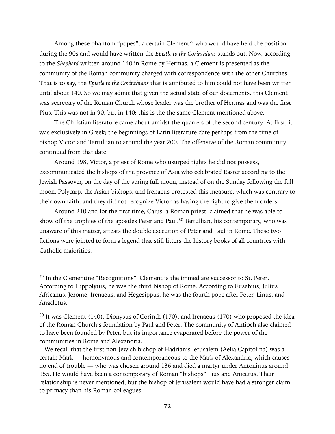Among these phantom "popes", a certain Clement<sup>79</sup> who would have held the position during the 90s and would have written the *Epistle to the Corinthians* stands out. Now, according to the *Shepherd* written around 140 in Rome by Hermas, a Clement is presented as the community of the Roman community charged with correspondence with the other Churches. That is to say, the *Epistle to the Corinthians* that is attributed to him could not have been written until about 140. So we may admit that given the actual state of our documents, this Clement was secretary of the Roman Church whose leader was the brother of Hermas and was the first Pius. This was not in 90, but in 140; this is the the same Clement mentioned above.

The Christian literature came about amidst the quarrels of the second century. At first, it was exclusively in Greek; the beginnings of Latin literature date perhaps from the time of bishop Victor and Tertullian to around the year 200. The offensive of the Roman community continued from that date.

Around 198, Victor, a priest of Rome who usurped rights he did not possess, excommunicated the bishops of the province of Asia who celebrated Easter according to the Jewish Passover, on the day of the spring full moon, instead of on the Sunday following the full moon. Polycarp, the Asian bishops, and Irenaeus protested this measure, which was contrary to their own faith, and they did not recognize Victor as having the right to give them orders.

Around 210 and for the first time, Caius, a Roman priest, claimed that he was able to show off the trophies of the apostles Peter and Paul.<sup>80</sup> Tertullian, his contemporary, who was unaware of this matter, attests the double execution of Peter and Paul in Rome. These two fictions were jointed to form a legend that still litters the history books of all countries with Catholic majorities.

 $179$  In the Clementine "Recognitions", Clement is the immediate successor to St. Peter. According to Hippolytus, he was the third bishop of Rome. According to Eusebius, Julius Africanus, Jerome, Irenaeus, and Hegesippus, he was the fourth pope after Peter, Linus, and Anacletus.

 $80$  It was Clement (140), Dionysus of Corinth (170), and Irenaeus (170) who proposed the idea of the Roman Church's foundation by Paul and Peter. The community of Antioch also claimed to have been founded by Peter, but its importance evaporated before the power of the communities in Rome and Alexandria.

We recall that the first non-Jewish bishop of Hadrian's Jerusalem (Aelia Capitolina) was a certain Mark — homonymous and contemporaneous to the Mark of Alexandria, which causes no end of trouble — who was chosen around 136 and died a martyr under Antoninus around 155. He would have been a contemporary of Roman "bishops" Pius and Anicetus. Their relationship is never mentioned; but the bishop of Jerusalem would have had a stronger claim to primacy than his Roman colleagues.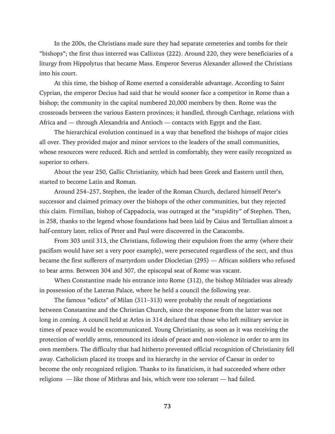In the 200s, the Christians made sure they had separate cemeteries and tombs for their "bishops"; the first thus interred was Callixtus (222). Around 220, they were beneficiaries of a liturgy from Hippolytus that became Mass. Emperor Severus Alexander allowed the Christians into his court.

At this time, the bishop of Rome exerted a considerable advantage. According to Saint Cyprian, the emperor Decius had said that he would sooner face a competitor in Rome than a bishop; the community in the capital numbered 20,000 members by then. Rome was the crossroads between the various Eastern provinces; it handled, through Carthage, relations with Africa and — through Alexandria and Antioch — contacts with Egypt and the East.

The hierarchical evolution continued in a way that benefited the bishops of major cities all over. They provided major and minor services to the leaders of the small communities, whose resources were reduced. Rich and settled in comfortably, they were easily recognized as superior to others.

About the year 250, Gallic Christianity, which had been Greek and Eastern until then, started to become Latin and Roman.

Around 254–257, Stephen, the leader of the Roman Church, declared himself Peter's successor and claimed primacy over the bishops of the other communities, but they rejected this claim. Firmilian, bishop of Cappadocia, was outraged at the "stupidity" of Stephen. Then, in 258, thanks to the legend whose foundations had been laid by Caius and Tertullian almost a half-century later, relics of Peter and Paul were discovered in the Catacombs.

From 303 until 313, the Christians, following their expulsion from the army (where their pacifism would have set a very poor example), were persecuted regardless of the sect, and thus became the first sufferers of martyrdom under Diocletian (295) — African soldiers who refused to bear arms. Between 304 and 307, the episcopal seat of Rome was vacant.

When Constantine made his entrance into Rome (312), the bishop Miltiades was already in possession of the Lateran Palace, where he held a council the following year.

The famous "edicts" of Milan (311–313) were probably the result of negotiations between Constantine and the Christian Church, since the response from the latter was not long in coming. A council held at Arles in 314 declared that those who left military service in times of peace would be excommunicated. Young Christianity, as soon as it was receiving the protection of worldly arms, renounced its ideals of peace and non-violence in order to arm its own members. The difficulty that had hitherto prevented official recognition of Christianity fell away. Catholicism placed its troops and its hierarchy in the service of Caesar in order to become the only recognized religion. Thanks to its fanaticism, it had succeeded where other religions — like those of Mithras and Isis, which were too tolerant — had failed.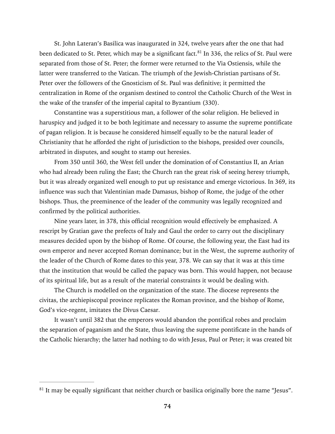St. John Lateran's Basilica was inaugurated in 324, twelve years after the one that had been dedicated to St. Peter, which may be a significant fact.<sup>81</sup> In 336, the relics of St. Paul were separated from those of St. Peter; the former were returned to the Via Ostiensis, while the latter were transferred to the Vatican. The triumph of the Jewish-Christian partisans of St. Peter over the followers of the Gnosticism of St. Paul was definitive; it permitted the centralization in Rome of the organism destined to control the Catholic Church of the West in the wake of the transfer of the imperial capital to Byzantium (330).

Constantine was a superstitious man, a follower of the solar religion. He believed in haruspicy and judged it to be both legitimate and necessary to assume the supreme pontificate of pagan religion. It is because he considered himself equally to be the natural leader of Christianity that he afforded the right of jurisdiction to the bishops, presided over councils, arbitrated in disputes, and sought to stamp out heresies.

From 350 until 360, the West fell under the domination of of Constantius II, an Arian who had already been ruling the East; the Church ran the great risk of seeing heresy triumph, but it was already organized well enough to put up resistance and emerge victorious. In 369, its influence was such that Valentinian made Damasus, bishop of Rome, the judge of the other bishops. Thus, the preeminence of the leader of the community was legally recognized and confirmed by the political authorities.

Nine years later, in 378, this official recognition would effectively be emphasized. A rescript by Gratian gave the prefects of Italy and Gaul the order to carry out the disciplinary measures decided upon by the bishop of Rome. Of course, the following year, the East had its own emperor and never accepted Roman dominance; but in the West, the supreme authority of the leader of the Church of Rome dates to this year, 378. We can say that it was at this time that the institution that would be called the papacy was born. This would happen, not because of its spiritual life, but as a result of the material constraints it would be dealing with.

The Church is modelled on the organization of the state. The diocese represents the civitas, the archiepiscopal province replicates the Roman province, and the bishop of Rome, God's vice-regent, imitates the Divus Caesar.

It wasn't until 382 that the emperors would abandon the pontifical robes and proclaim the separation of paganism and the State, thus leaving the supreme pontificate in the hands of the Catholic hierarchy; the latter had nothing to do with Jesus, Paul or Peter; it was created bit

 $81$  It may be equally significant that neither church or basilica originally bore the name "Jesus".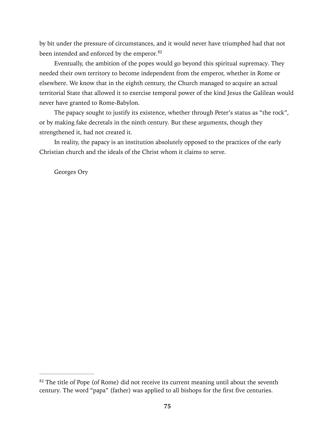by bit under the pressure of circumstances, and it would never have triumphed had that not been intended and enforced by the emperor.<sup>82</sup>

Eventually, the ambition of the popes would go beyond this spiritual supremacy. They needed their own territory to become independent from the emperor, whether in Rome or elsewhere. We know that in the eighth century, the Church managed to acquire an actual territorial State that allowed it to exercise temporal power of the kind Jesus the Galilean would never have granted to Rome-Babylon.

The papacy sought to justify its existence, whether through Peter's status as "the rock", or by making fake decretals in the ninth century. But these arguments, though they strengthened it, had not created it.

In reality, the papacy is an institution absolutely opposed to the practices of the early Christian church and the ideals of the Christ whom it claims to serve.

Georges Ory

 $82$  The title of Pope (of Rome) did not receive its current meaning until about the seventh century. The word "papa" (father) was applied to all bishops for the first five centuries.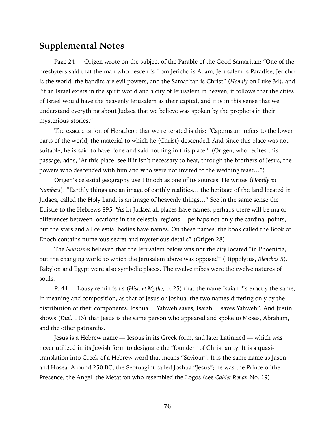## **Supplemental Notes**

Page 24 — Origen wrote on the subject of the Parable of the Good Samaritan: "One of the presbyters said that the man who descends from Jericho is Adam, Jerusalem is Paradise, Jericho is the world, the bandits are evil powers, and the Samaritan is Christ" (*Homily* on Luke 34). and "if an Israel exists in the spirit world and a city of Jerusalem in heaven, it follows that the cities of Israel would have the heavenly Jerusalem as their capital, and it is in this sense that we understand everything about Judaea that we believe was spoken by the prophets in their mysterious stories."

The exact citation of Heracleon that we reiterated is this: "Capernaum refers to the lower parts of the world, the material to which he (Christ) descended. And since this place was not suitable, he is said to have done and said nothing in this place." (Origen, who recites this passage, adds, "At this place, see if it isn't necessary to hear, through the brothers of Jesus, the powers who descended with him and who were not invited to the wedding feast…")

Origen's celestial geography use I Enoch as one of its sources. He writes (*Homily on Numbers*): "Earthly things are an image of earthly realities… the heritage of the land located in Judaea, called the Holy Land, is an image of heavenly things…" See in the same sense the Epistle to the Hebrews 895. "As in Judaea all places have names, perhaps there will be major differences between locations in the celestial regions… perhaps not only the cardinal points, but the stars and all celestial bodies have names. On these names, the book called the Book of Enoch contains numerous secret and mysterious details" (Origen 28).

The *Naassenes* believed that the Jerusalem below was not the city located "in Phoenicia, but the changing world to which the Jerusalem above was opposed" (Hippolytus, *Elenchos* 5). Babylon and Egypt were also symbolic places. The twelve tribes were the twelve natures of souls.

P. 44 — Lousy reminds us (*Hist. et Mythe*, p. 25) that the name Isaiah "is exactly the same, in meaning and composition, as that of Jesus or Joshua, the two names differing only by the distribution of their components. Joshua = Yahweh saves; Isaiah = saves Yahweh". And Justin shows (*Dial.* 113) that Jesus is the same person who appeared and spoke to Moses, Abraham, and the other patriarchs.

Jesus is a Hebrew name — Iesous in its Greek form, and later Latinized — which was never utilized in its Jewish form to designate the "founder" of Christianity. It is a quasitranslation into Greek of a Hebrew word that means "Saviour". It is the same name as Jason and Hosea. Around 250 BC, the Septuagint called Joshua "Jesus"; he was the Prince of the Presence, the Angel, the Metatron who resembled the Logos (see *Cahier Renan* No. 19).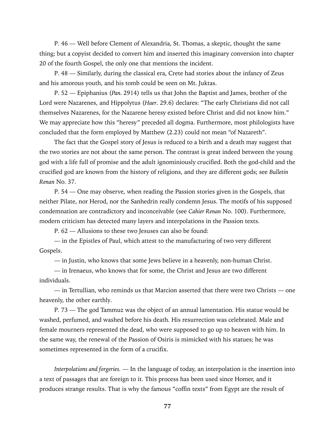P. 46 — Well before Clement of Alexandria, St. Thomas, a skeptic, thought the same thing; but a copyist decided to convert him and inserted this imaginary conversion into chapter 20 of the fourth Gospel, the only one that mentions the incident.

P. 48 — Similarly, during the classical era, Crete had stories about the infancy of Zeus and his amorous youth, and his tomb could be seen on Mt. Juktas.

P. 52 — Epiphanius (*Pan.* 2914) tells us that John the Baptist and James, brother of the Lord were Nazarenes, and Hippolytus (*Haer*. 29.6) declares: "The early Christians did not call themselves Nazarenes, for the Nazarene heresy existed before Christ and did not know him." We may appreciate how this "heresy" preceded all dogma. Furthermore, most philologists have concluded that the form employed by Matthew (2.23) could not mean "of Nazareth".

The fact that the Gospel story of Jesus is reduced to a birth and a death may suggest that the two stories are not about the same person. The contrast is great indeed between the young god with a life full of promise and the adult ignominiously crucified. Both the god-child and the crucified god are known from the history of religions, and they are different gods; see *Bulletin Renan* No. 37.

P. 54 — One may observe, when reading the Passion stories given in the Gospels, that neither Pilate, nor Herod, nor the Sanhedrin really condemn Jesus. The motifs of his supposed condemnation are contradictory and inconceivable (see *Cahier Renan* No. 100). Furthermore, modern criticism has detected many layers and interpolations in the Passion texts.

P. 62 — Allusions to these two Jesuses can also be found:

— in the Epistles of Paul, which attest to the manufacturing of two very different Gospels.

— in Justin, who knows that some Jews believe in a heavenly, non-human Christ.

— in Irenaeus, who knows that for some, the Christ and Jesus are two different individuals.

— in Tertullian, who reminds us that Marcion asserted that there were two Christs — one heavenly, the other earthly.

P. 73 — The god Tammuz was the object of an annual lamentation. His statue would be washed, perfumed, and washed before his death. His resurrection was celebrated. Male and female mourners represented the dead, who were supposed to go up to heaven with him. In the same way, the renewal of the Passion of Osiris is mimicked with his statues; he was sometimes represented in the form of a crucifix.

*Interpolations and forgeries.* — In the language of today, an interpolation is the insertion into a text of passages that are foreign to it. This process has been used since Homer, and it produces strange results. That is why the famous "coffin texts" from Egypt are the result of